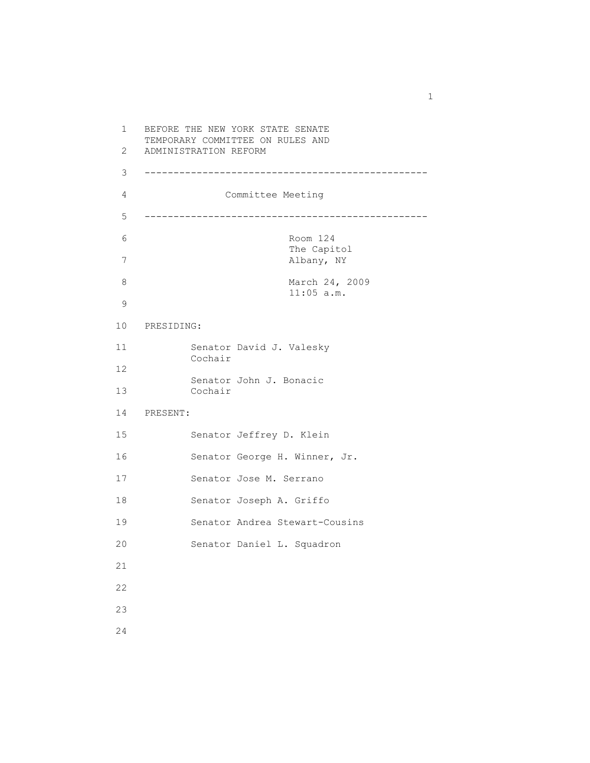1 BEFORE THE NEW YORK STATE SENATE TEMPORARY COMMITTEE ON RULES AND 2 ADMINISTRATION REFORM 3 ------------------------------------------------- 4 Committee Meeting 5 ------------------------------------------------- 6 Room 124 The Capitol 7 Albany, NY 8 March 24, 2009 11:05 a.m. 9 10 PRESIDING: 11 Senator David J. Valesky Cochair 12 Senator John J. Bonacic 13 Cochair 14 PRESENT: 15 Senator Jeffrey D. Klein 16 Senator George H. Winner, Jr. 17 Senator Jose M. Serrano 18 Senator Joseph A. Griffo 19 Senator Andrea Stewart-Cousins 20 Senator Daniel L. Squadron 21 22 23 24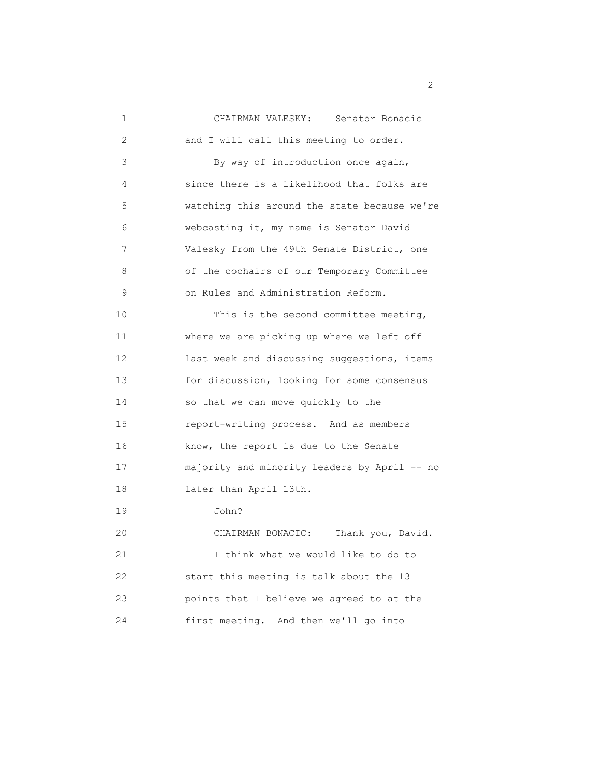| 1  | CHAIRMAN VALESKY: Senator Bonacic            |
|----|----------------------------------------------|
| 2  | and I will call this meeting to order.       |
| 3  | By way of introduction once again,           |
| 4  | since there is a likelihood that folks are   |
| 5  | watching this around the state because we're |
| 6  | webcasting it, my name is Senator David      |
| 7  | Valesky from the 49th Senate District, one   |
| 8  | of the cochairs of our Temporary Committee   |
| 9  | on Rules and Administration Reform.          |
| 10 | This is the second committee meeting,        |
| 11 | where we are picking up where we left off    |
| 12 | last week and discussing suggestions, items  |
| 13 | for discussion, looking for some consensus   |
| 14 | so that we can move quickly to the           |
| 15 | report-writing process. And as members       |
| 16 | know, the report is due to the Senate        |
| 17 | majority and minority leaders by April -- no |
| 18 | later than April 13th.                       |
| 19 | John?                                        |
| 20 | CHAIRMAN BONACIC: Thank you, David.          |
| 21 | I think what we would like to do to          |
| 22 | start this meeting is talk about the 13      |
| 23 | points that I believe we agreed to at the    |
| 24 | first meeting. And then we'll go into        |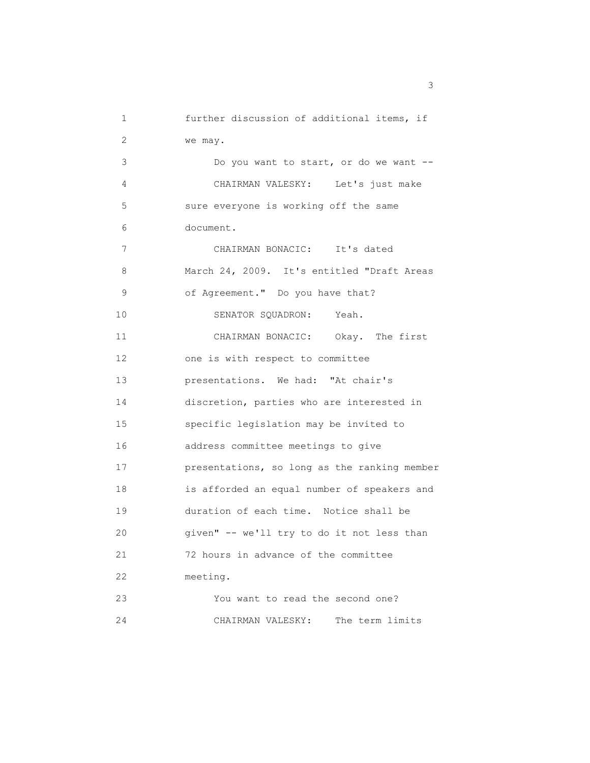1 further discussion of additional items, if 2 we may. 3 Do you want to start, or do we want -- 4 CHAIRMAN VALESKY: Let's just make 5 sure everyone is working off the same 6 document. 7 CHAIRMAN BONACIC: It's dated 8 March 24, 2009. It's entitled "Draft Areas 9 of Agreement." Do you have that? 10 SENATOR SQUADRON: Yeah. 11 CHAIRMAN BONACIC: Okay. The first 12 one is with respect to committee 13 presentations. We had: "At chair's 14 discretion, parties who are interested in 15 specific legislation may be invited to 16 address committee meetings to give 17 presentations, so long as the ranking member 18 is afforded an equal number of speakers and 19 duration of each time. Notice shall be 20 given" -- we'll try to do it not less than 21 72 hours in advance of the committee 22 meeting. 23 You want to read the second one? 24 CHAIRMAN VALESKY: The term limits

 $\sim$  3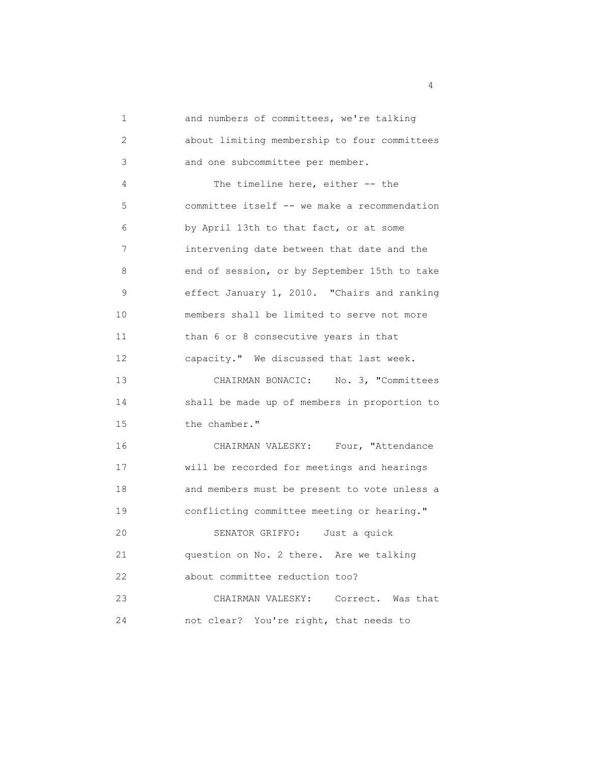| 1  | and numbers of committees, we're talking     |
|----|----------------------------------------------|
| 2  | about limiting membership to four committees |
| 3  | and one subcommittee per member.             |
| 4  | The timeline here, either -- the             |
| 5  | committee itself -- we make a recommendation |
| 6  | by April 13th to that fact, or at some       |
| 7  | intervening date between that date and the   |
| 8  | end of session, or by September 15th to take |
| 9  | effect January 1, 2010. "Chairs and ranking  |
| 10 | members shall be limited to serve not more   |
| 11 | than 6 or 8 consecutive years in that        |
| 12 | capacity." We discussed that last week.      |
| 13 | CHAIRMAN BONACIC: No. 3, "Committees         |
| 14 | shall be made up of members in proportion to |
| 15 | the chamber."                                |
| 16 | CHAIRMAN VALESKY: Four, "Attendance          |
| 17 | will be recorded for meetings and hearings   |
| 18 | and members must be present to vote unless a |
| 19 | conflicting committee meeting or hearing."   |
| 20 | SENATOR GRIFFO:<br>Just a quick              |
| 21 | question on No. 2 there. Are we talking      |
| 22 | about committee reduction too?               |
| 23 | CHAIRMAN VALESKY:<br>Correct. Was that       |
| 24 | not clear? You're right, that needs to       |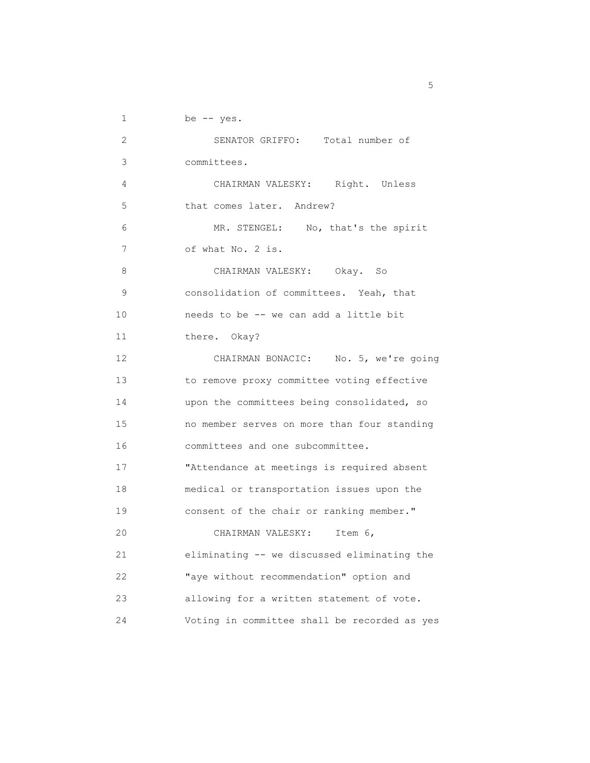$1$  be  $-$  yes.

| 2  | SENATOR GRIFFO: Total number of              |
|----|----------------------------------------------|
| 3  | committees.                                  |
| 4  | CHAIRMAN VALESKY: Right. Unless              |
| 5  | that comes later. Andrew?                    |
| 6  | MR. STENGEL: No, that's the spirit           |
| 7  | of what No. 2 is.                            |
| 8  | CHAIRMAN VALESKY: Okay. So                   |
| 9  | consolidation of committees. Yeah, that      |
| 10 | needs to be -- we can add a little bit       |
| 11 | there. Okay?                                 |
| 12 | CHAIRMAN BONACIC: No. 5, we're going         |
| 13 | to remove proxy committee voting effective   |
| 14 | upon the committees being consolidated, so   |
| 15 | no member serves on more than four standing  |
| 16 | committees and one subcommittee.             |
| 17 | "Attendance at meetings is required absent   |
| 18 | medical or transportation issues upon the    |
| 19 | consent of the chair or ranking member."     |
| 20 | CHAIRMAN VALESKY:<br>Item $6,$               |
| 21 | eliminating -- we discussed eliminating the  |
| 22 | "aye without recommendation" option and      |
| 23 | allowing for a written statement of vote.    |
| 24 | Voting in committee shall be recorded as yes |

<u>5</u>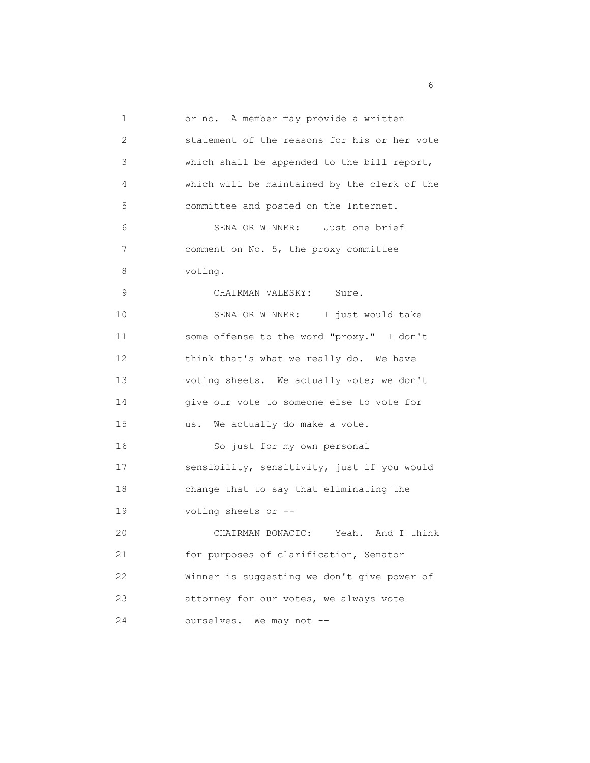1 or no. A member may provide a written 2 statement of the reasons for his or her vote 3 which shall be appended to the bill report, 4 which will be maintained by the clerk of the 5 committee and posted on the Internet. 6 SENATOR WINNER: Just one brief 7 comment on No. 5, the proxy committee 8 voting. 9 CHAIRMAN VALESKY: Sure. 10 SENATOR WINNER: I just would take 11 some offense to the word "proxy." I don't 12 think that's what we really do. We have 13 voting sheets. We actually vote; we don't 14 give our vote to someone else to vote for 15 us. We actually do make a vote. 16 So just for my own personal 17 sensibility, sensitivity, just if you would 18 change that to say that eliminating the 19 voting sheets or -- 20 CHAIRMAN BONACIC: Yeah. And I think 21 for purposes of clarification, Senator 22 Winner is suggesting we don't give power of 23 attorney for our votes, we always vote 24 ourselves. We may not --

 $\sim$  6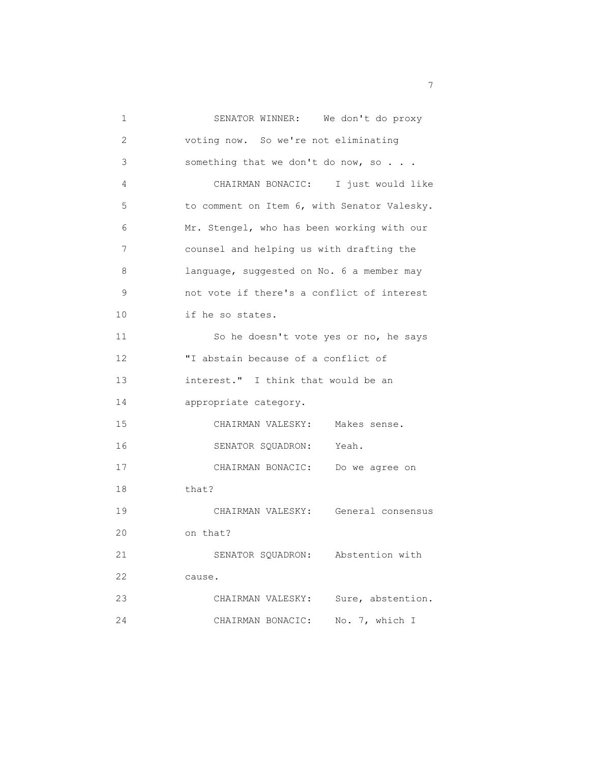| 1  | SENATOR WINNER: We don't do proxy           |
|----|---------------------------------------------|
| 2  | voting now. So we're not eliminating        |
| 3  | something that we don't do now, so          |
| 4  | CHAIRMAN BONACIC: I just would like         |
| 5  | to comment on Item 6, with Senator Valesky. |
| 6  | Mr. Stengel, who has been working with our  |
| 7  | counsel and helping us with drafting the    |
| 8  | language, suggested on No. 6 a member may   |
| 9  | not vote if there's a conflict of interest  |
| 10 | if he so states.                            |
| 11 | So he doesn't vote yes or no, he says       |
| 12 | "I abstain because of a conflict of         |
| 13 | interest." I think that would be an         |
| 14 | appropriate category.                       |
| 15 | CHAIRMAN VALESKY:<br>Makes sense.           |
| 16 | SENATOR SQUADRON:<br>Yeah.                  |
| 17 | CHAIRMAN BONACIC: Do we agree on            |
| 18 | that?                                       |
| 19 | CHAIRMAN VALESKY: General consensus         |
| 20 | on that?                                    |
| 21 | Abstention with<br>SENATOR SQUADRON:        |
| 22 | cause.                                      |
| 23 | Sure, abstention.<br>CHAIRMAN VALESKY:      |
| 24 | No. 7, which I<br>CHAIRMAN BONACIC:         |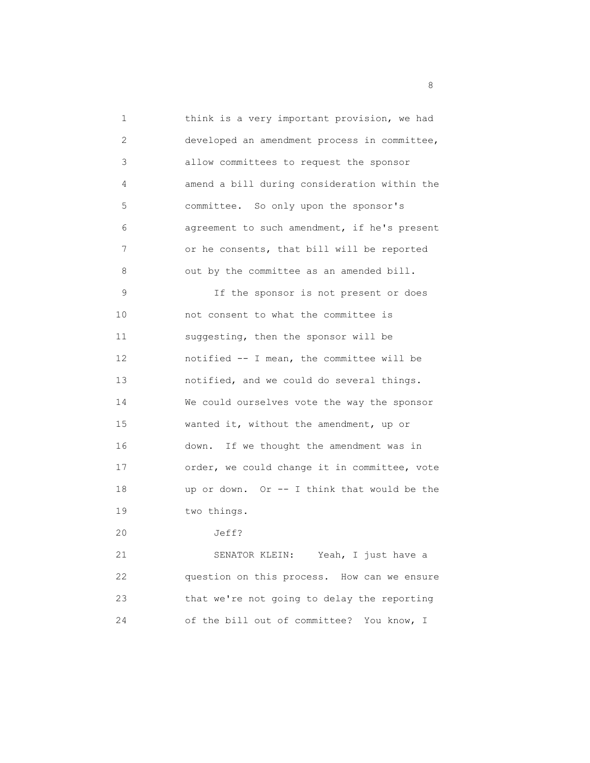1 think is a very important provision, we had 2 developed an amendment process in committee, 3 allow committees to request the sponsor 4 amend a bill during consideration within the 5 committee. So only upon the sponsor's 6 agreement to such amendment, if he's present 7 or he consents, that bill will be reported 8 out by the committee as an amended bill. 9 If the sponsor is not present or does 10 not consent to what the committee is 11 suggesting, then the sponsor will be 12 notified -- I mean, the committee will be 13 notified, and we could do several things. 14 We could ourselves vote the way the sponsor 15 wanted it, without the amendment, up or 16 down. If we thought the amendment was in 17 order, we could change it in committee, vote 18 up or down. Or -- I think that would be the 19 two things. 20 Jeff? 21 SENATOR KLEIN: Yeah, I just have a

 22 question on this process. How can we ensure 23 that we're not going to delay the reporting 24 of the bill out of committee? You know, I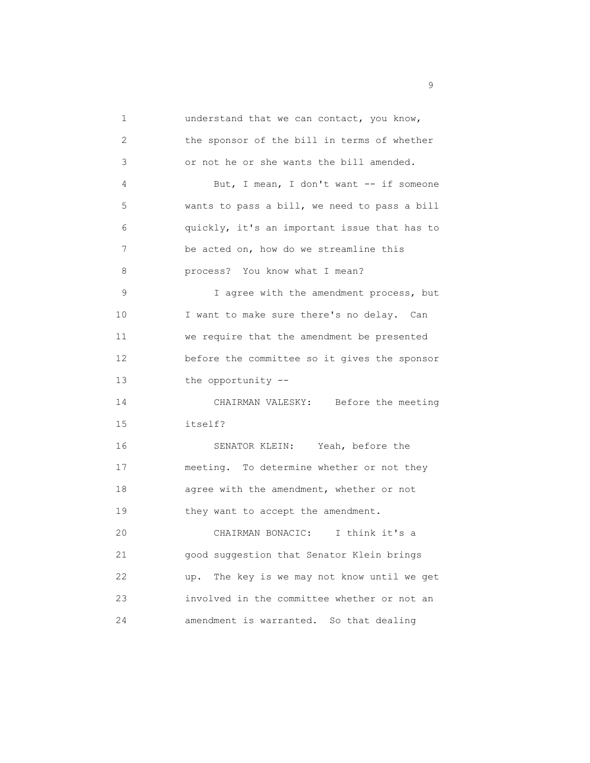1 understand that we can contact, you know, 2 the sponsor of the bill in terms of whether 3 or not he or she wants the bill amended. 4 But, I mean, I don't want -- if someone 5 wants to pass a bill, we need to pass a bill 6 quickly, it's an important issue that has to 7 be acted on, how do we streamline this 8 **process?** You know what I mean? 9 I agree with the amendment process, but 10 I want to make sure there's no delay. Can 11 we require that the amendment be presented 12 before the committee so it gives the sponsor 13 the opportunity -- 14 CHAIRMAN VALESKY: Before the meeting 15 itself? 16 SENATOR KLEIN: Yeah, before the 17 meeting. To determine whether or not they 18 agree with the amendment, whether or not 19 they want to accept the amendment. 20 CHAIRMAN BONACIC: I think it's a 21 good suggestion that Senator Klein brings 22 up. The key is we may not know until we get 23 involved in the committee whether or not an 24 amendment is warranted. So that dealing

en de la construction de la construction de la construction de la construction de la construction de la constr<br>1990 : la construction de la construction de la construction de la construction de la construction de la const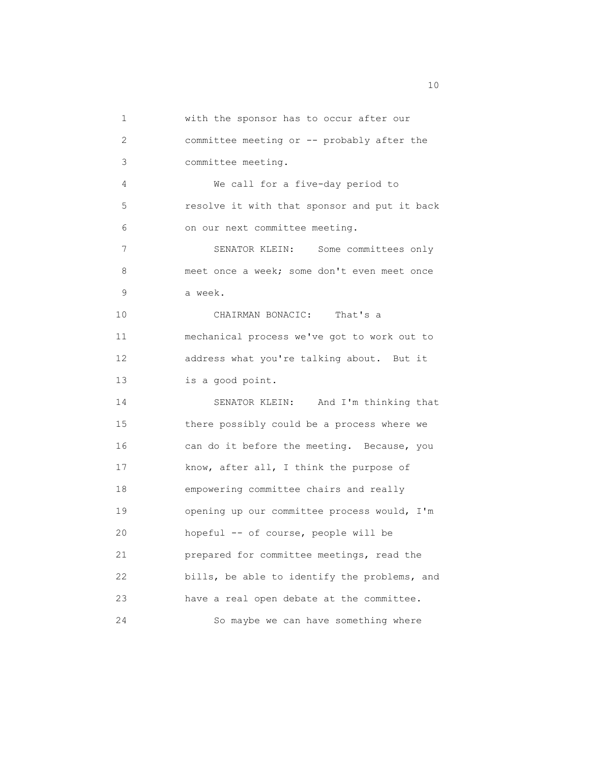| 1               | with the sponsor has to occur after our      |
|-----------------|----------------------------------------------|
| 2               | committee meeting or -- probably after the   |
| 3               | committee meeting.                           |
| 4               | We call for a five-day period to             |
| 5               | resolve it with that sponsor and put it back |
| 6               | on our next committee meeting.               |
| 7               | SENATOR KLEIN: Some committees only          |
| 8               | meet once a week; some don't even meet once  |
| 9               | a week.                                      |
| 10              | CHAIRMAN BONACIC: That's a                   |
| 11              | mechanical process we've got to work out to  |
| 12              | address what you're talking about. But it    |
| 13 <sup>°</sup> | is a good point.                             |
| 14              | SENATOR KLEIN: And I'm thinking that         |
| 15              | there possibly could be a process where we   |
| 16              | can do it before the meeting. Because, you   |
| 17              | know, after all, I think the purpose of      |
| 18              | empowering committee chairs and really       |
| 19              | opening up our committee process would, I'm  |
| 20              | hopeful -- of course, people will be         |
| 21              | prepared for committee meetings, read the    |
| 22              | bills, be able to identify the problems, and |
| 23              | have a real open debate at the committee.    |
| 24              | So maybe we can have something where         |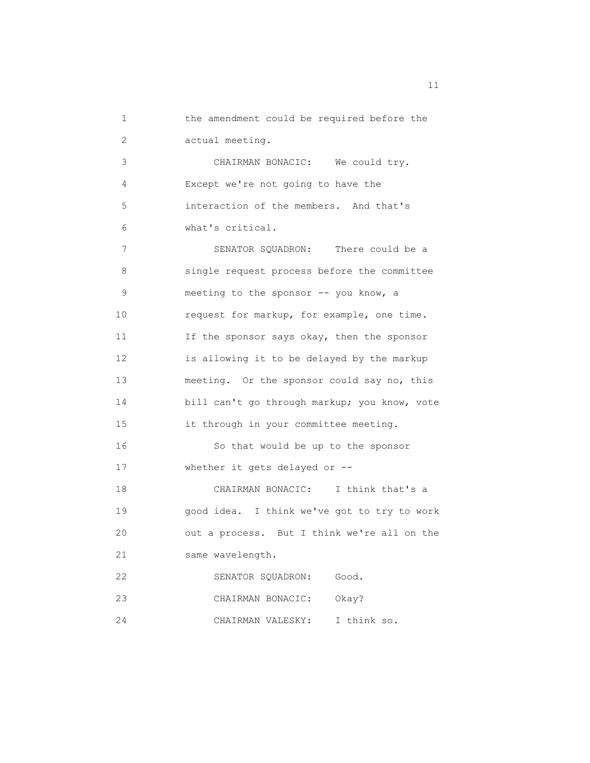1 the amendment could be required before the 2 actual meeting. 3 CHAIRMAN BONACIC: We could try. 4 Except we're not going to have the 5 interaction of the members. And that's 6 what's critical. 7 SENATOR SQUADRON: There could be a 8 single request process before the committee 9 meeting to the sponsor -- you know, a 10 request for markup, for example, one time. 11 If the sponsor says okay, then the sponsor 12 is allowing it to be delayed by the markup 13 meeting. Or the sponsor could say no, this 14 bill can't go through markup; you know, vote 15 it through in your committee meeting. 16 So that would be up to the sponsor 17 whether it gets delayed or -- 18 CHAIRMAN BONACIC: I think that's a 19 good idea. I think we've got to try to work 20 out a process. But I think we're all on the 21 same wavelength. 22 SENATOR SQUADRON: Good. 23 CHAIRMAN BONACIC: Okay? 24 CHAIRMAN VALESKY: I think so.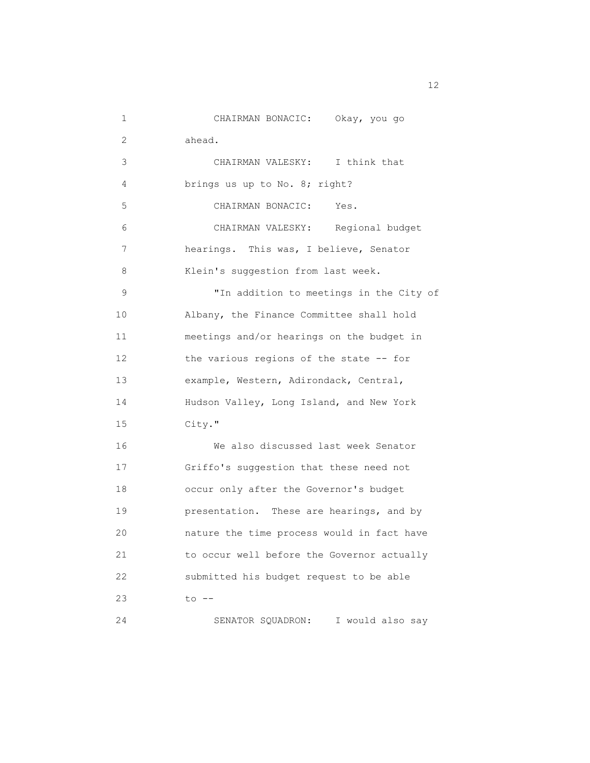| 1               | CHAIRMAN BONACIC: Okay, you go             |
|-----------------|--------------------------------------------|
| 2               | ahead.                                     |
| 3               | CHAIRMAN VALESKY: I think that             |
| 4               | brings us up to No. 8; right?              |
| 5               | CHAIRMAN BONACIC:<br>Yes.                  |
| 6               | CHAIRMAN VALESKY: Regional budget          |
| 7               | hearings. This was, I believe, Senator     |
| 8               | Klein's suggestion from last week.         |
| 9               | "In addition to meetings in the City of    |
| 10              | Albany, the Finance Committee shall hold   |
| 11              | meetings and/or hearings on the budget in  |
| 12 <sup>°</sup> | the various regions of the state -- for    |
| 13              | example, Western, Adirondack, Central,     |
| 14              | Hudson Valley, Long Island, and New York   |
| 15              | City."                                     |
| 16              | We also discussed last week Senator        |
| 17              | Griffo's suggestion that these need not    |
| 18              | occur only after the Governor's budget     |
| 19              | presentation. These are hearings, and by   |
| 20              | nature the time process would in fact have |
| 21              | to occur well before the Governor actually |
| 22              | submitted his budget request to be able    |
| 23              | $to$ $--$                                  |
| 24              | SENATOR SQUADRON:<br>I would also say      |

12 and 12 and 12 and 12 and 12 and 12 and 12 and 12 and 12 and 12 and 12 and 12 and 12 and 12 and 12 and 12 and 12 and 12 and 12 and 12 and 12 and 12 and 12 and 12 and 12 and 12 and 12 and 12 and 12 and 12 and 12 and 12 an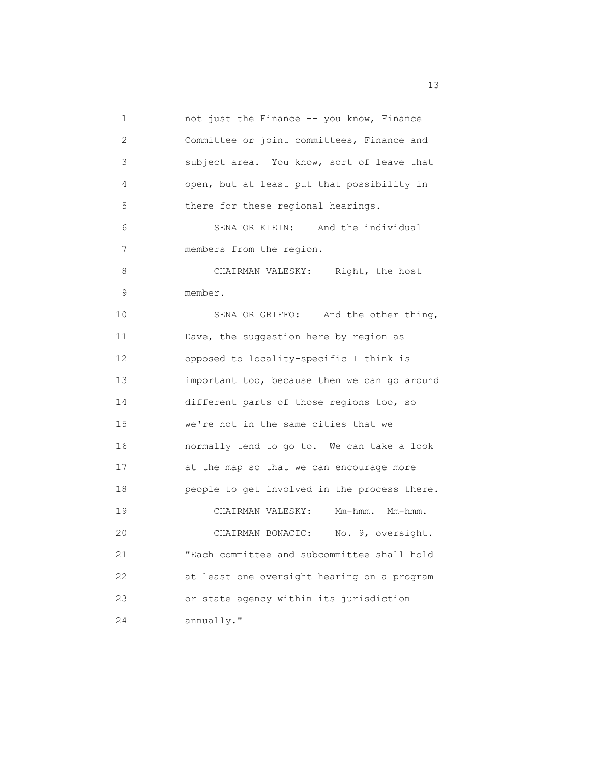1 not just the Finance -- you know, Finance 2 Committee or joint committees, Finance and 3 subject area. You know, sort of leave that 4 open, but at least put that possibility in 5 there for these regional hearings. 6 SENATOR KLEIN: And the individual 7 members from the region. 8 CHAIRMAN VALESKY: Right, the host 9 member. 10 SENATOR GRIFFO: And the other thing, 11 Dave, the suggestion here by region as 12 opposed to locality-specific I think is 13 important too, because then we can go around 14 different parts of those regions too, so 15 we're not in the same cities that we 16 normally tend to go to. We can take a look 17 at the map so that we can encourage more 18 people to get involved in the process there. 19 CHAIRMAN VALESKY: Mm-hmm. Mm-hmm. 20 CHAIRMAN BONACIC: No. 9, oversight. 21 "Each committee and subcommittee shall hold 22 at least one oversight hearing on a program 23 or state agency within its jurisdiction 24 annually."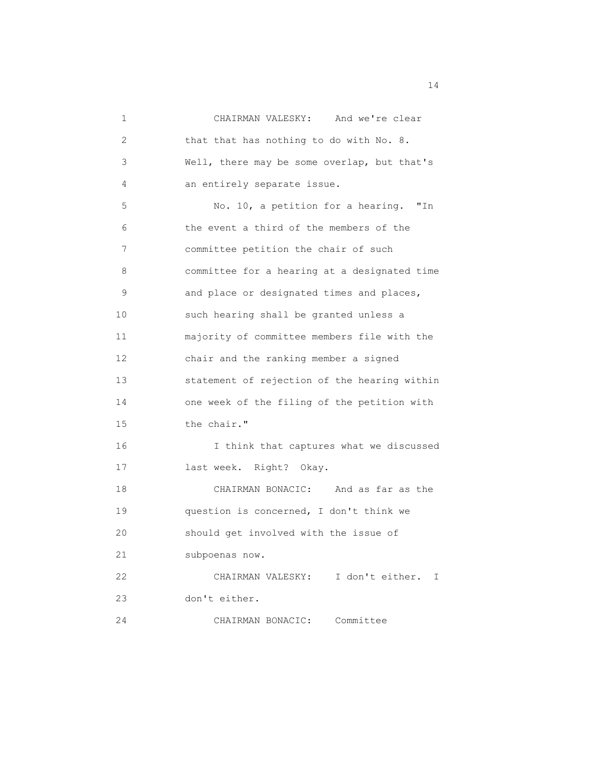| 1  | CHAIRMAN VALESKY: And we're clear            |
|----|----------------------------------------------|
| 2  | that that has nothing to do with No. 8.      |
| 3  | Well, there may be some overlap, but that's  |
| 4  | an entirely separate issue.                  |
| 5  | No. 10, a petition for a hearing. "In        |
| 6  | the event a third of the members of the      |
| 7  | committee petition the chair of such         |
| 8  | committee for a hearing at a designated time |
| 9  | and place or designated times and places,    |
| 10 | such hearing shall be granted unless a       |
| 11 | majority of committee members file with the  |
| 12 | chair and the ranking member a signed        |
| 13 | statement of rejection of the hearing within |
| 14 | one week of the filing of the petition with  |
| 15 | the chair."                                  |
| 16 | I think that captures what we discussed      |
| 17 | last week. Right? Okay.                      |
| 18 | CHAIRMAN BONACIC: And as far as the          |
| 19 | question is concerned, I don't think we      |
| 20 | should get involved with the issue of        |
| 21 | subpoenas now.                               |
| 22 | CHAIRMAN VALESKY: I don't either.<br>I       |
| 23 | don't either.                                |
| 24 | Committee<br>CHAIRMAN BONACIC:               |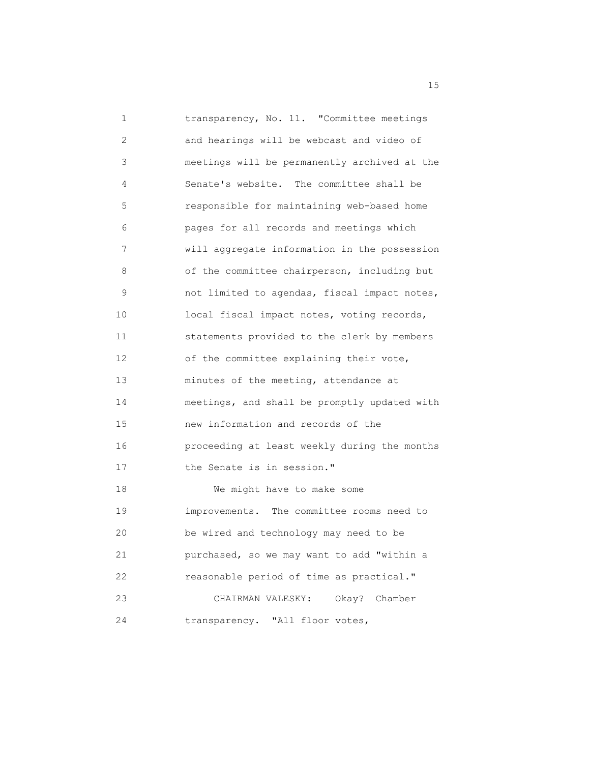| 1  | transparency, No. 11. "Committee meetings    |
|----|----------------------------------------------|
| 2  | and hearings will be webcast and video of    |
| 3  | meetings will be permanently archived at the |
| 4  | Senate's website. The committee shall be     |
| 5  | responsible for maintaining web-based home   |
| 6  | pages for all records and meetings which     |
| 7  | will aggregate information in the possession |
| 8  | of the committee chairperson, including but  |
| 9  | not limited to agendas, fiscal impact notes, |
| 10 | local fiscal impact notes, voting records,   |
| 11 | statements provided to the clerk by members  |
| 12 | of the committee explaining their vote,      |
| 13 | minutes of the meeting, attendance at        |
| 14 | meetings, and shall be promptly updated with |
| 15 | new information and records of the           |
| 16 | proceeding at least weekly during the months |
| 17 | the Senate is in session."                   |
| 18 | We might have to make some                   |
| 19 | improvements. The committee rooms need to    |
| 20 | be wired and technology may need to be       |
| 21 | purchased, so we may want to add "within a   |
| 22 | reasonable period of time as practical."     |
| 23 | CHAIRMAN VALESKY:<br>Okay? Chamber           |
| 24 | transparency. "All floor votes,              |

15 and 15 and 15 and 15 and 15 and 15 and 15 and 15 and 15 and 15 and 15 and 15 and 15 and 15 and 15 and 15 and 16 and 16 and 16 and 16 and 16 and 16 and 16 and 16 and 16 and 16 and 16 and 16 and 16 and 16 and 16 and 16 an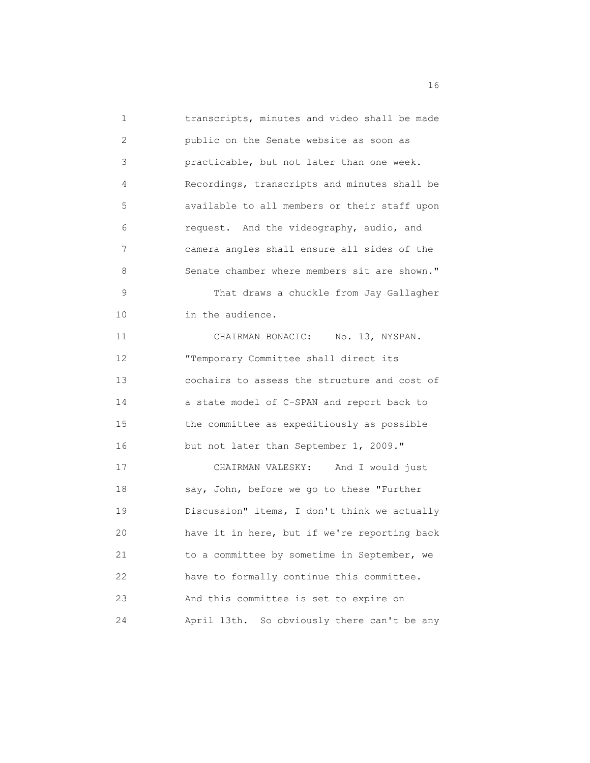1 transcripts, minutes and video shall be made 2 public on the Senate website as soon as 3 practicable, but not later than one week. 4 Recordings, transcripts and minutes shall be 5 available to all members or their staff upon 6 request. And the videography, audio, and 7 camera angles shall ensure all sides of the 8 Senate chamber where members sit are shown." 9 That draws a chuckle from Jay Gallagher 10 in the audience. 11 CHAIRMAN BONACIC: No. 13, NYSPAN. 12 "Temporary Committee shall direct its 13 cochairs to assess the structure and cost of 14 a state model of C-SPAN and report back to 15 the committee as expeditiously as possible 16 but not later than September 1, 2009." 17 CHAIRMAN VALESKY: And I would just 18 say, John, before we go to these "Further 19 Discussion" items, I don't think we actually 20 have it in here, but if we're reporting back 21 to a committee by sometime in September, we 22 have to formally continue this committee. 23 And this committee is set to expire on 24 April 13th. So obviously there can't be any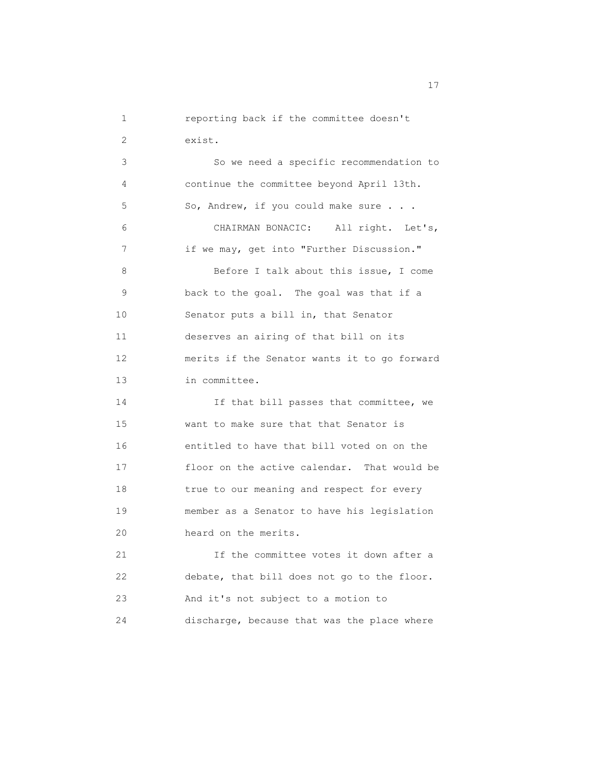```
 1 reporting back if the committee doesn't
2 exist.
```
 3 So we need a specific recommendation to 4 continue the committee beyond April 13th. 5 So, Andrew, if you could make sure . . . 6 CHAIRMAN BONACIC: All right. Let's, 7 if we may, get into "Further Discussion." 8 Before I talk about this issue, I come 9 back to the goal. The goal was that if a 10 Senator puts a bill in, that Senator 11 deserves an airing of that bill on its 12 merits if the Senator wants it to go forward 13 in committee. 14 If that bill passes that committee, we 15 want to make sure that that Senator is 16 entitled to have that bill voted on on the 17 floor on the active calendar. That would be

 19 member as a Senator to have his legislation 20 heard on the merits.

18 true to our meaning and respect for every

 21 If the committee votes it down after a 22 debate, that bill does not go to the floor. 23 And it's not subject to a motion to 24 discharge, because that was the place where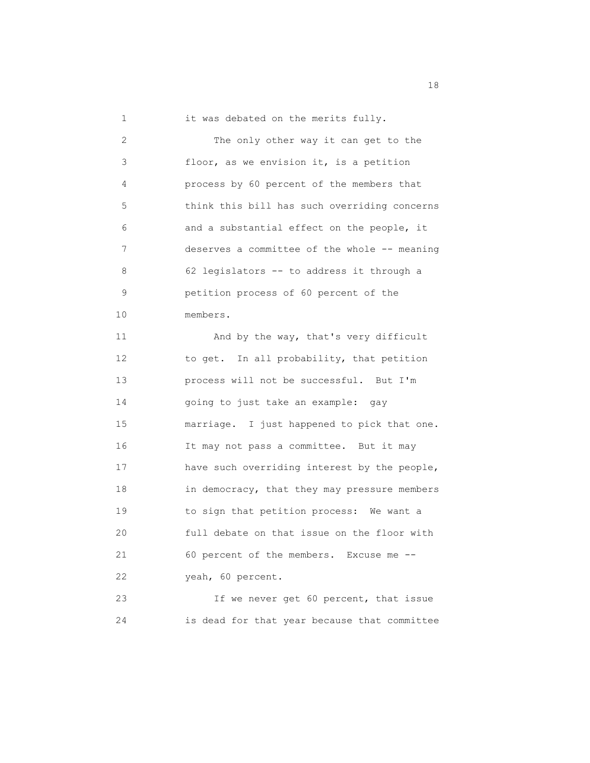1 it was debated on the merits fully. 2 The only other way it can get to the 3 floor, as we envision it, is a petition 4 process by 60 percent of the members that 5 think this bill has such overriding concerns 6 and a substantial effect on the people, it 7 deserves a committee of the whole -- meaning 8 62 legislators -- to address it through a 9 petition process of 60 percent of the 10 members. 11 And by the way, that's very difficult 12 to get. In all probability, that petition 13 process will not be successful. But I'm 14 going to just take an example: gay

 15 marriage. I just happened to pick that one. 16 It may not pass a committee. But it may 17 have such overriding interest by the people, 18 in democracy, that they may pressure members 19 to sign that petition process: We want a 20 full debate on that issue on the floor with 21 60 percent of the members. Excuse me -- 22 yeah, 60 percent.

 23 If we never get 60 percent, that issue 24 is dead for that year because that committee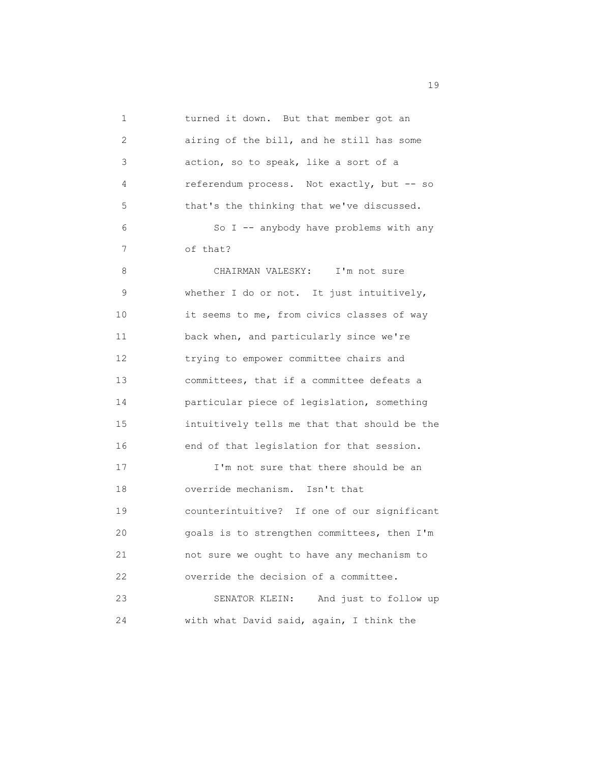| 1  | turned it down. But that member got an       |
|----|----------------------------------------------|
| 2  | airing of the bill, and he still has some    |
| 3  | action, so to speak, like a sort of a        |
| 4  | referendum process. Not exactly, but -- so   |
| 5  | that's the thinking that we've discussed.    |
| 6  | So I -- anybody have problems with any       |
| 7  | of that?                                     |
| 8  | CHAIRMAN VALESKY: I'm not sure               |
| 9  | whether I do or not. It just intuitively,    |
| 10 | it seems to me, from civics classes of way   |
| 11 | back when, and particularly since we're      |
| 12 | trying to empower committee chairs and       |
| 13 | committees, that if a committee defeats a    |
| 14 | particular piece of legislation, something   |
| 15 | intuitively tells me that that should be the |
| 16 | end of that legislation for that session.    |
| 17 | I'm not sure that there should be an         |
| 18 | override mechanism. Isn't that               |
| 19 | counterintuitive? If one of our significant  |
| 20 | goals is to strengthen committees, then I'm  |
| 21 | not sure we ought to have any mechanism to   |
| 22 | override the decision of a committee.        |
| 23 | SENATOR KLEIN:<br>And just to follow up      |
| 24 | with what David said, again, I think the     |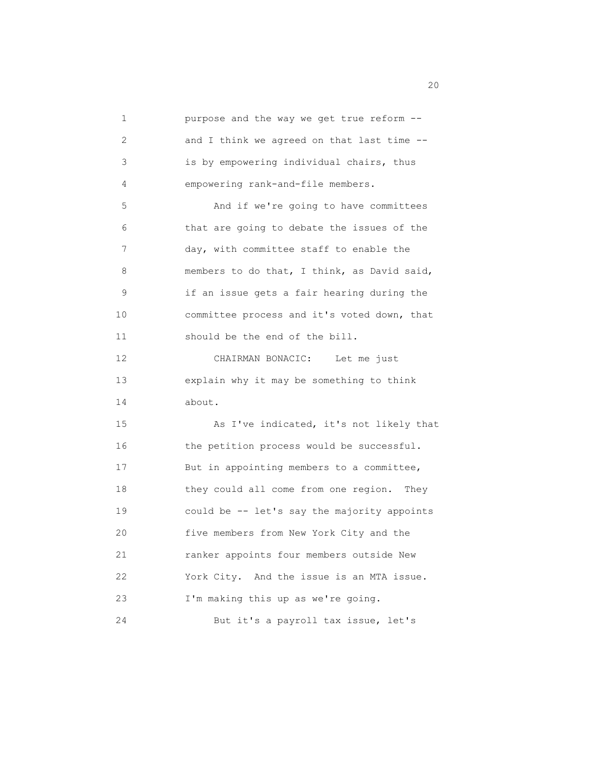| $\mathbf 1$ | purpose and the way we get true reform --    |
|-------------|----------------------------------------------|
| 2           | and I think we agreed on that last time --   |
| 3           | is by empowering individual chairs, thus     |
| 4           | empowering rank-and-file members.            |
| 5           | And if we're going to have committees        |
| 6           | that are going to debate the issues of the   |
| 7           | day, with committee staff to enable the      |
| 8           | members to do that, I think, as David said,  |
| 9           | if an issue gets a fair hearing during the   |
| 10          | committee process and it's voted down, that  |
| 11          | should be the end of the bill.               |
| 12          | CHAIRMAN BONACIC:<br>Let me just             |
| 13          | explain why it may be something to think     |
| 14          | about.                                       |
| 15          | As I've indicated, it's not likely that      |
| 16          | the petition process would be successful.    |
| 17          | But in appointing members to a committee,    |
| 18          | they could all come from one region.<br>They |
| 19          | could be -- let's say the majority appoints  |
| 20          | five members from New York City and the      |
| 21          | ranker appoints four members outside New     |
| 22          | York City. And the issue is an MTA issue.    |
| 23          | I'm making this up as we're going.           |
| 24          | But it's a payroll tax issue, let's          |

zo al control de la control de la control de la control de la control de la control de la control de la control de la control de la control de la control de la control de la control de la control de la control de la contro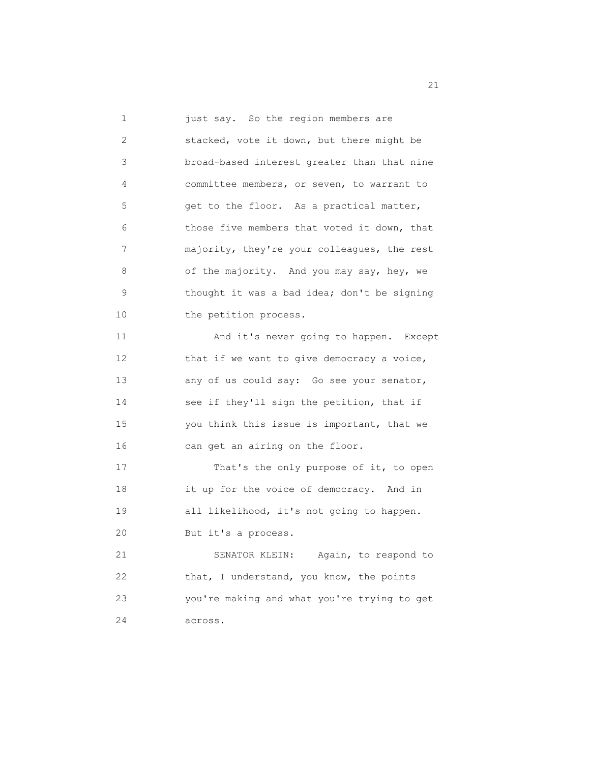1 just say. So the region members are 2 stacked, vote it down, but there might be 3 broad-based interest greater than that nine 4 committee members, or seven, to warrant to 5 get to the floor. As a practical matter, 6 those five members that voted it down, that 7 majority, they're your colleagues, the rest 8 of the majority. And you may say, hey, we 9 thought it was a bad idea; don't be signing 10 the petition process. 11 And it's never going to happen. Except 12 that if we want to give democracy a voice, 13 any of us could say: Go see your senator, 14 see if they'll sign the petition, that if 15 you think this issue is important, that we 16 can get an airing on the floor. 17 That's the only purpose of it, to open 18 it up for the voice of democracy. And in 19 all likelihood, it's not going to happen. 20 But it's a process. 21 SENATOR KLEIN: Again, to respond to 22 that, I understand, you know, the points 23 you're making and what you're trying to get 24 across.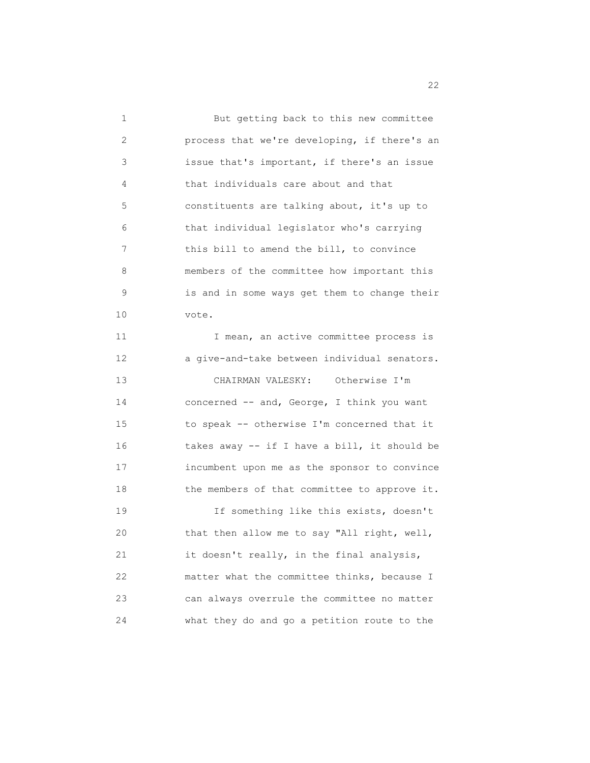| 1  | But getting back to this new committee       |
|----|----------------------------------------------|
| 2  | process that we're developing, if there's an |
| 3  | issue that's important, if there's an issue  |
| 4  | that individuals care about and that         |
| 5  | constituents are talking about, it's up to   |
| 6  | that individual legislator who's carrying    |
| 7  | this bill to amend the bill, to convince     |
| 8  | members of the committee how important this  |
| 9  | is and in some ways get them to change their |
| 10 | vote.                                        |
| 11 | I mean, an active committee process is       |
| 12 | a give-and-take between individual senators. |
| 13 | CHAIRMAN VALESKY: Otherwise I'm              |
| 14 | concerned -- and, George, I think you want   |
| 15 | to speak -- otherwise I'm concerned that it  |
| 16 | takes away -- if I have a bill, it should be |
| 17 | incumbent upon me as the sponsor to convince |
| 18 | the members of that committee to approve it. |
| 19 | If something like this exists, doesn't       |
| 20 | that then allow me to say "All right, well,  |
| 21 | it doesn't really, in the final analysis,    |
| 22 | matter what the committee thinks, because I  |
| 23 | can always overrule the committee no matter  |
| 24 | what they do and go a petition route to the  |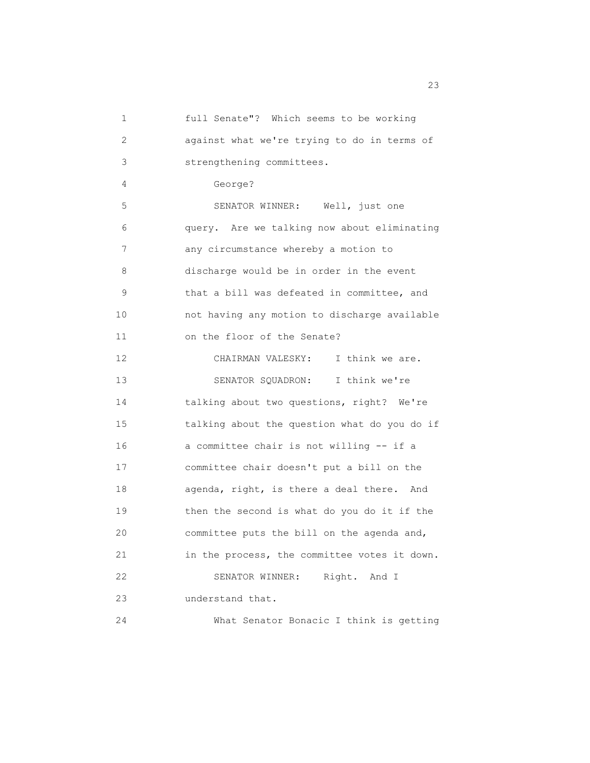| 1  | full Senate"? Which seems to be working      |
|----|----------------------------------------------|
| 2  | against what we're trying to do in terms of  |
| 3  | strengthening committees.                    |
| 4  | George?                                      |
| 5  | SENATOR WINNER: Well, just one               |
| 6  | query. Are we talking now about eliminating  |
| 7  | any circumstance whereby a motion to         |
| 8  | discharge would be in order in the event     |
| 9  | that a bill was defeated in committee, and   |
| 10 | not having any motion to discharge available |
| 11 | on the floor of the Senate?                  |
| 12 | CHAIRMAN VALESKY: I think we are.            |
| 13 | SENATOR SQUADRON: I think we're              |
| 14 | talking about two questions, right? We're    |
| 15 | talking about the question what do you do if |
| 16 | a committee chair is not willing -- if a     |
| 17 | committee chair doesn't put a bill on the    |
| 18 | agenda, right, is there a deal there. And    |
| 19 | then the second is what do you do it if the  |
| 20 | committee puts the bill on the agenda and,   |
| 21 | in the process, the committee votes it down. |
| 22 | Right. And I<br>SENATOR WINNER:              |
| 23 | understand that.                             |
| 24 | What Senator Bonacic I think is getting      |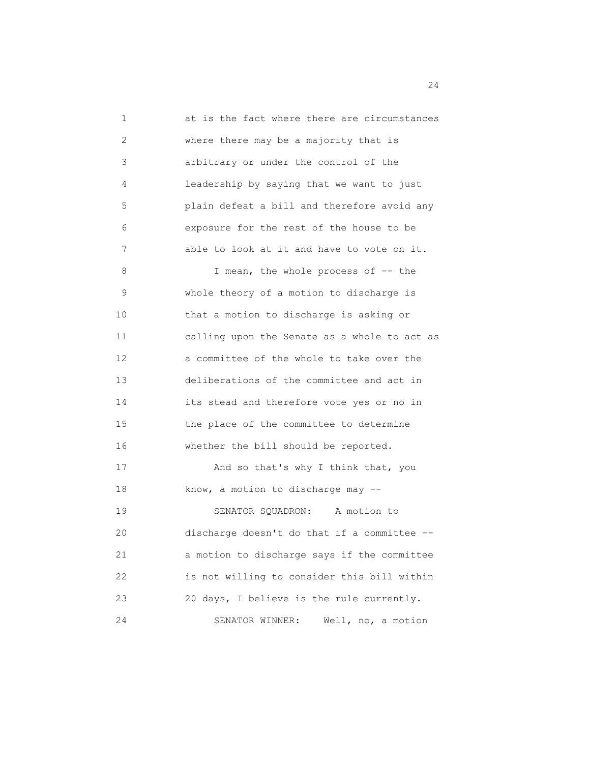1 at is the fact where there are circumstances 2 where there may be a majority that is 3 arbitrary or under the control of the 4 leadership by saying that we want to just 5 plain defeat a bill and therefore avoid any 6 exposure for the rest of the house to be 7 able to look at it and have to vote on it. 8 I mean, the whole process of -- the 9 whole theory of a motion to discharge is 10 that a motion to discharge is asking or 11 calling upon the Senate as a whole to act as 12 a committee of the whole to take over the 13 deliberations of the committee and act in 14 its stead and therefore vote yes or no in 15 the place of the committee to determine 16 whether the bill should be reported. 17 And so that's why I think that, you 18 know, a motion to discharge may -- 19 SENATOR SQUADRON: A motion to 20 discharge doesn't do that if a committee -- 21 a motion to discharge says if the committee 22 is not willing to consider this bill within 23 20 days, I believe is the rule currently. 24 SENATOR WINNER: Well, no, a motion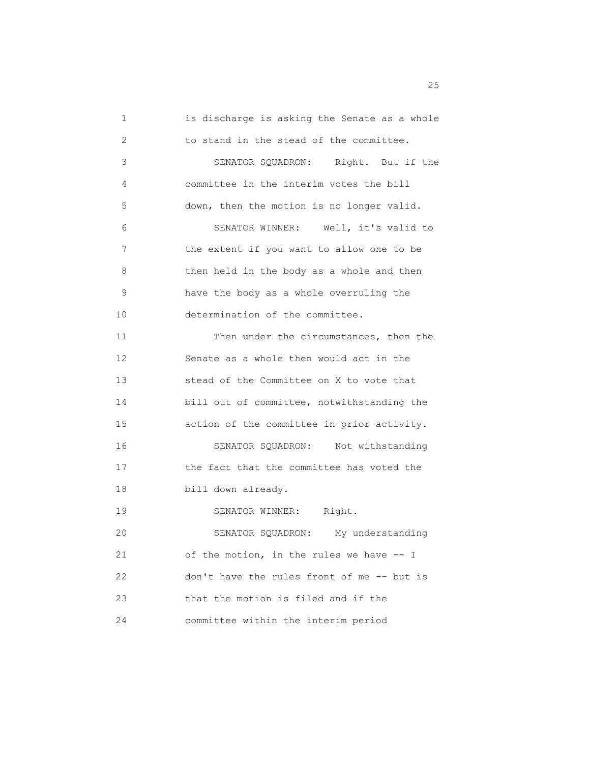1 is discharge is asking the Senate as a whole 2 to stand in the stead of the committee. 3 SENATOR SQUADRON: Right. But if the 4 committee in the interim votes the bill 5 down, then the motion is no longer valid. 6 SENATOR WINNER: Well, it's valid to 7 the extent if you want to allow one to be 8 then held in the body as a whole and then 9 have the body as a whole overruling the 10 determination of the committee. 11 Then under the circumstances, then the 12 Senate as a whole then would act in the 13 stead of the Committee on X to vote that 14 bill out of committee, notwithstanding the 15 action of the committee in prior activity. 16 SENATOR SQUADRON: Not withstanding 17 the fact that the committee has voted the 18 bill down already. 19 SENATOR WINNER: Right. 20 SENATOR SQUADRON: My understanding 21 of the motion, in the rules we have -- I 22 don't have the rules front of me -- but is 23 that the motion is filed and if the 24 committee within the interim period

<u>25</u>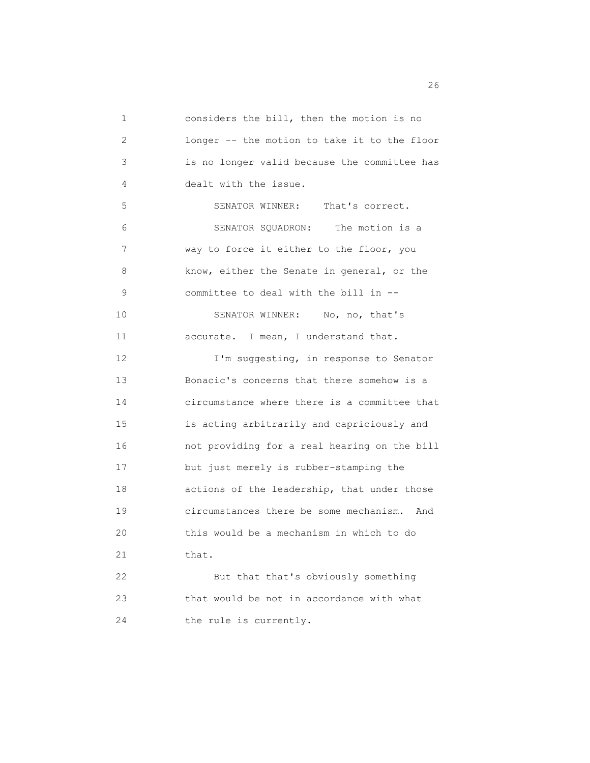1 considers the bill, then the motion is no 2 longer -- the motion to take it to the floor 3 is no longer valid because the committee has 4 dealt with the issue. 5 SENATOR WINNER: That's correct. 6 SENATOR SQUADRON: The motion is a 7 way to force it either to the floor, you 8 know, either the Senate in general, or the 9 committee to deal with the bill in -- 10 SENATOR WINNER: No, no, that's 11 accurate. I mean, I understand that. 12 **I'm suggesting, in response to Senator**  13 Bonacic's concerns that there somehow is a 14 circumstance where there is a committee that 15 is acting arbitrarily and capriciously and 16 not providing for a real hearing on the bill 17 but just merely is rubber-stamping the 18 actions of the leadership, that under those 19 circumstances there be some mechanism. And 20 this would be a mechanism in which to do 21 that. 22 But that that's obviously something 23 that would be not in accordance with what 24 the rule is currently.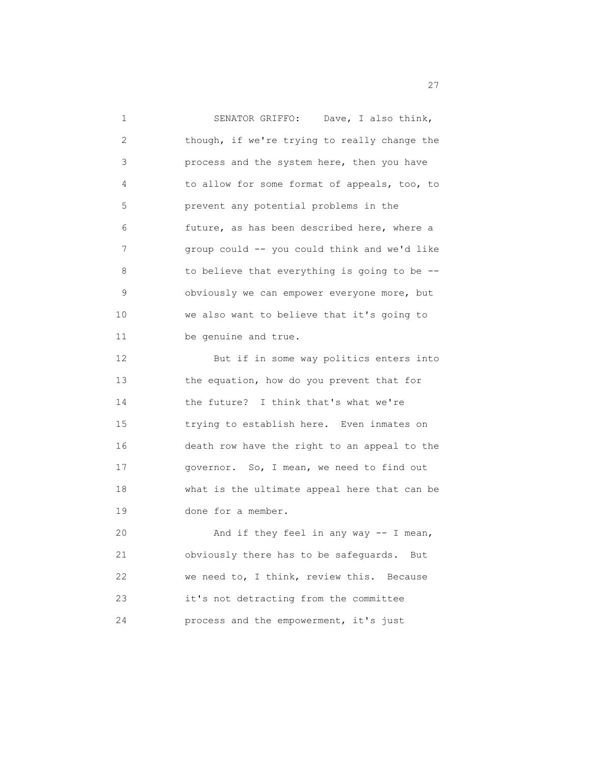| 1  | SENATOR GRIFFO: Dave, I also think,          |
|----|----------------------------------------------|
| 2  | though, if we're trying to really change the |
| 3  | process and the system here, then you have   |
| 4  | to allow for some format of appeals, too, to |
| 5  | prevent any potential problems in the        |
| 6  | future, as has been described here, where a  |
| 7  | group could -- you could think and we'd like |
| 8  | to believe that everything is going to be -- |
| 9  | obviously we can empower everyone more, but  |
| 10 | we also want to believe that it's going to   |
| 11 | be genuine and true.                         |
| 12 | But if in some way politics enters into      |
| 13 | the equation, how do you prevent that for    |
| 14 | the future? I think that's what we're        |
| 15 | trying to establish here. Even inmates on    |
| 16 | death row have the right to an appeal to the |
| 17 | governor. So, I mean, we need to find out    |
| 18 | what is the ultimate appeal here that can be |
| 19 | done for a member.                           |
| 20 | And if they feel in any way -- I mean,       |
| 21 | obviously there has to be safeguards. But    |
| 22 | we need to, I think, review this.<br>Because |
| 23 | it's not detracting from the committee       |
| 24 | process and the empowerment, it's just       |

<u>27</u>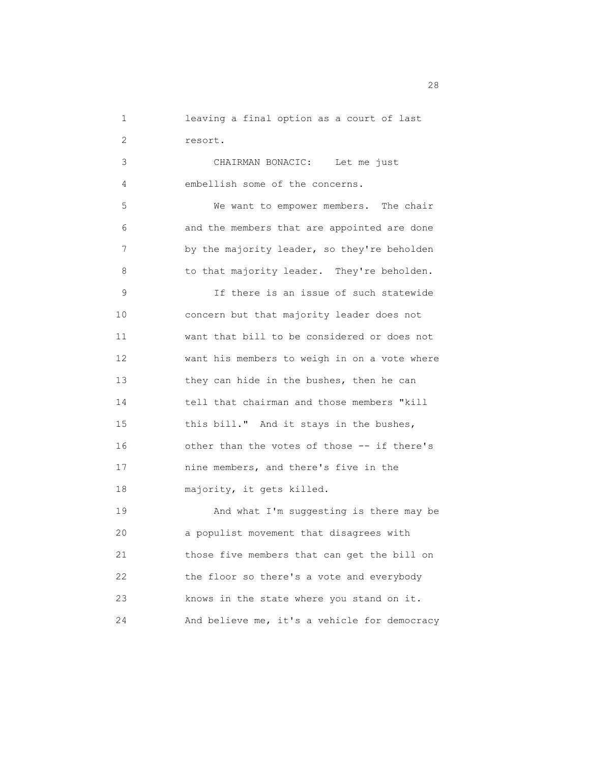1 leaving a final option as a court of last 2 resort.

 3 CHAIRMAN BONACIC: Let me just 4 embellish some of the concerns.

 5 We want to empower members. The chair 6 and the members that are appointed are done 7 by the majority leader, so they're beholden 8 to that majority leader. They're beholden.

 9 If there is an issue of such statewide 10 concern but that majority leader does not 11 want that bill to be considered or does not 12 want his members to weigh in on a vote where 13 they can hide in the bushes, then he can 14 tell that chairman and those members "kill 15 this bill." And it stays in the bushes, 16 other than the votes of those -- if there's 17 nine members, and there's five in the 18 majority, it gets killed.

 19 And what I'm suggesting is there may be 20 a populist movement that disagrees with 21 those five members that can get the bill on 22 the floor so there's a vote and everybody 23 knows in the state where you stand on it. 24 And believe me, it's a vehicle for democracy

28 and 28 and 28 and 28 and 28 and 28 and 28 and 28 and 28 and 28 and 28 and 28 and 28 and 28 and 28 and 28 and 28 and 28 and 28 and 28 and 28 and 28 and 28 and 28 and 28 and 28 and 28 and 28 and 28 and 28 and 28 and 28 an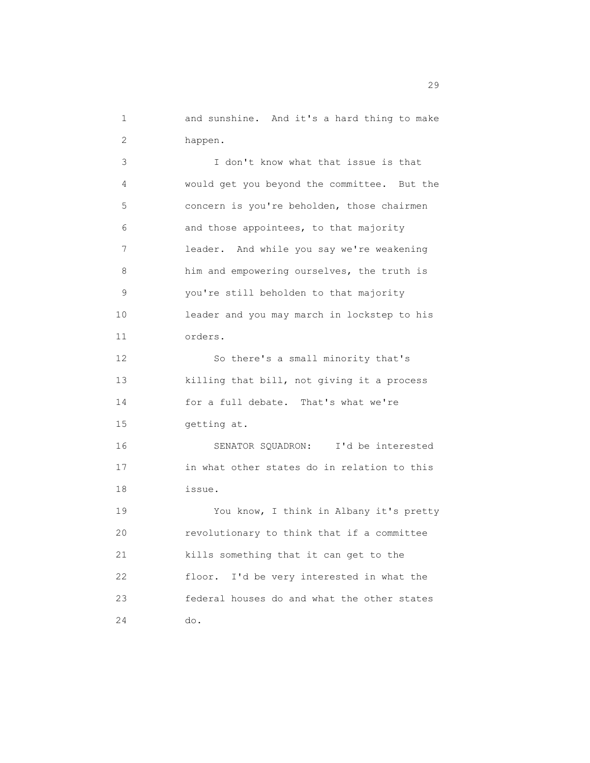1 and sunshine. And it's a hard thing to make 2 happen.

 3 I don't know what that issue is that 4 would get you beyond the committee. But the 5 concern is you're beholden, those chairmen 6 and those appointees, to that majority 7 leader. And while you say we're weakening 8 him and empowering ourselves, the truth is 9 you're still beholden to that majority 10 leader and you may march in lockstep to his 11 orders. 12 So there's a small minority that's 13 killing that bill, not giving it a process 14 for a full debate. That's what we're 15 getting at. 16 SENATOR SQUADRON: I'd be interested 17 in what other states do in relation to this 18 issue. 19 You know, I think in Albany it's pretty 20 revolutionary to think that if a committee 21 kills something that it can get to the 22 floor. I'd be very interested in what the 23 federal houses do and what the other states 24 do.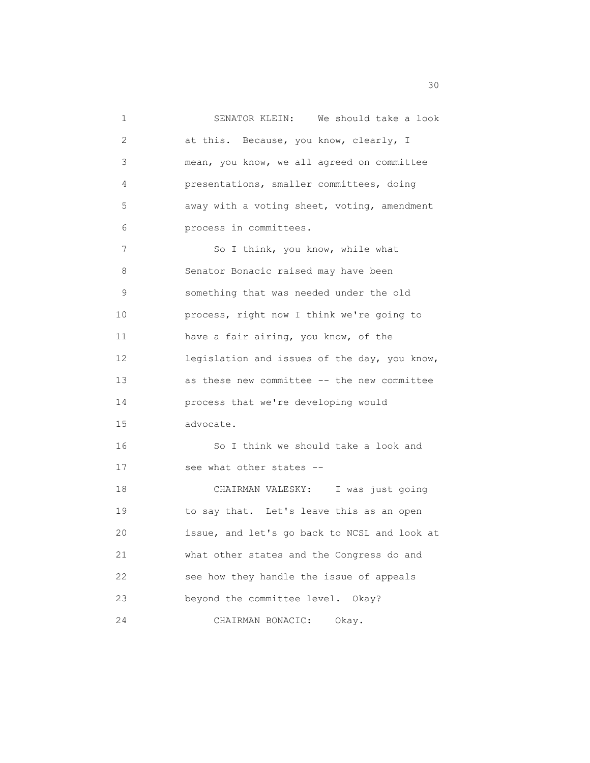1 SENATOR KLEIN: We should take a look 2 at this. Because, you know, clearly, I 3 mean, you know, we all agreed on committee 4 presentations, smaller committees, doing 5 away with a voting sheet, voting, amendment 6 process in committees. 7 So I think, you know, while what 8 Senator Bonacic raised may have been 9 something that was needed under the old 10 process, right now I think we're going to 11 have a fair airing, you know, of the 12 legislation and issues of the day, you know, 13 as these new committee -- the new committee 14 process that we're developing would 15 advocate. 16 So I think we should take a look and 17 see what other states -- 18 CHAIRMAN VALESKY: I was just going 19 to say that. Let's leave this as an open 20 issue, and let's go back to NCSL and look at 21 what other states and the Congress do and 22 see how they handle the issue of appeals 23 beyond the committee level. Okay? 24 CHAIRMAN BONACIC: Okay.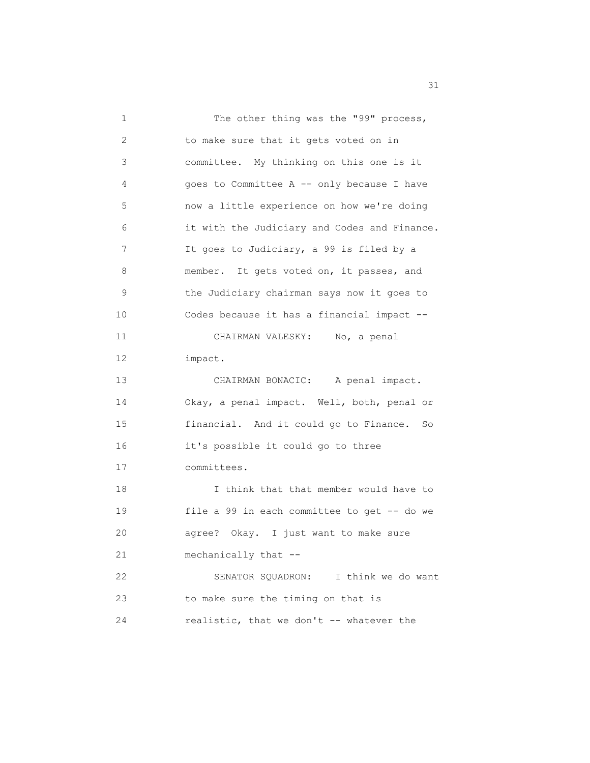| 1  | The other thing was the "99" process,        |
|----|----------------------------------------------|
| 2  | to make sure that it gets voted on in        |
| 3  | committee. My thinking on this one is it     |
| 4  | goes to Committee A -- only because I have   |
| 5  | now a little experience on how we're doing   |
| 6  | it with the Judiciary and Codes and Finance. |
| 7  | It goes to Judiciary, a 99 is filed by a     |
| 8  | member. It gets voted on, it passes, and     |
| 9  | the Judiciary chairman says now it goes to   |
| 10 | Codes because it has a financial impact --   |
| 11 | CHAIRMAN VALESKY: No, a penal                |
| 12 | impact.                                      |
| 13 | CHAIRMAN BONACIC: A penal impact.            |
| 14 | Okay, a penal impact. Well, both, penal or   |
| 15 | financial. And it could go to Finance. So    |
| 16 | it's possible it could go to three           |
| 17 | committees.                                  |
| 18 | I think that that member would have to       |
| 19 | file a 99 in each committee to get -- do we  |
| 20 | agree? Okay. I just want to make sure        |
| 21 | mechanically that --                         |
| 22 | SENATOR SQUADRON: I think we do want         |
| 23 | to make sure the timing on that is           |
| 24 | realistic, that we don't -- whatever the     |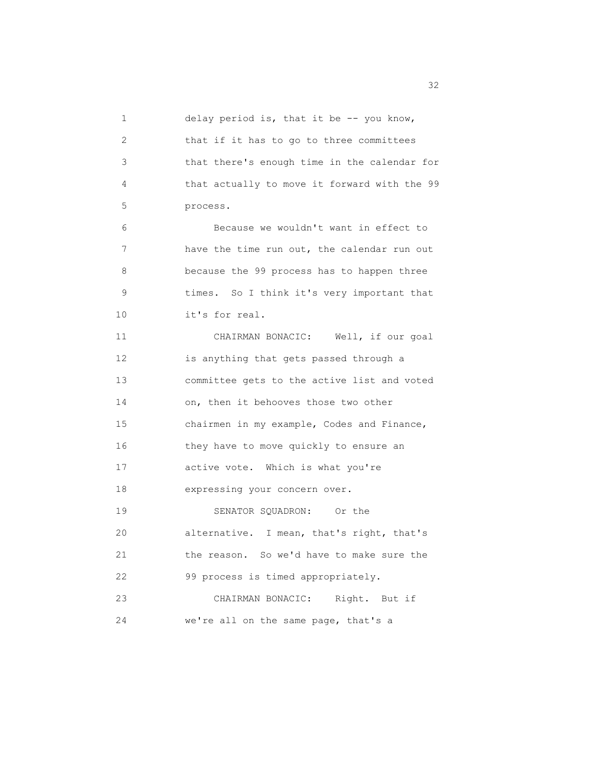1 delay period is, that it be -- you know, 2 that if it has to go to three committees 3 that there's enough time in the calendar for 4 that actually to move it forward with the 99 5 process. 6 Because we wouldn't want in effect to 7 have the time run out, the calendar run out 8 because the 99 process has to happen three 9 times. So I think it's very important that 10 it's for real. 11 CHAIRMAN BONACIC: Well, if our goal 12 is anything that gets passed through a 13 committee gets to the active list and voted 14 on, then it behooves those two other 15 chairmen in my example, Codes and Finance, 16 they have to move quickly to ensure an 17 active vote. Which is what you're 18 expressing your concern over. 19 SENATOR SQUADRON: Or the 20 alternative. I mean, that's right, that's 21 the reason. So we'd have to make sure the 22 99 process is timed appropriately. 23 CHAIRMAN BONACIC: Right. But if 24 we're all on the same page, that's a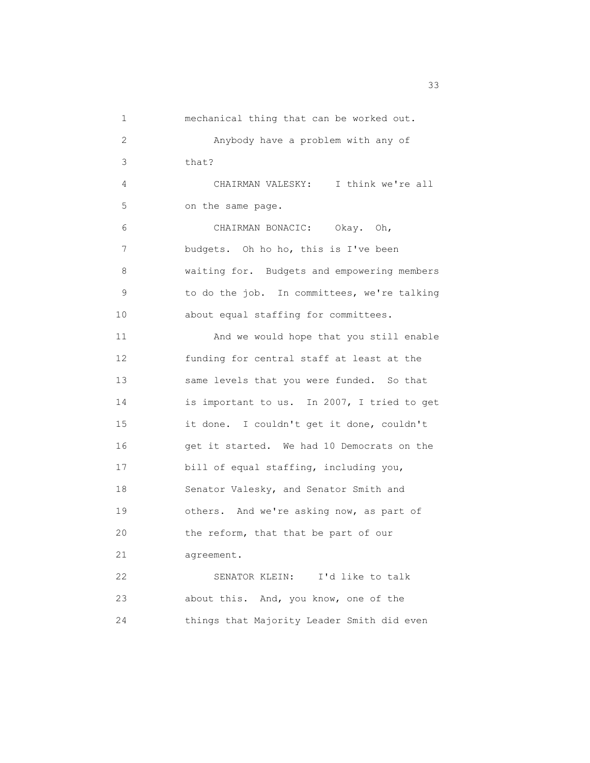| 1  | mechanical thing that can be worked out.    |
|----|---------------------------------------------|
| 2  | Anybody have a problem with any of          |
| 3  | that?                                       |
| 4  | CHAIRMAN VALESKY: I think we're all         |
| 5  | on the same page.                           |
| 6  | CHAIRMAN BONACIC: Okay. Oh,                 |
| 7  | budgets. Oh ho ho, this is I've been        |
| 8  | waiting for. Budgets and empowering members |
| 9  | to do the job. In committees, we're talking |
| 10 | about equal staffing for committees.        |
| 11 | And we would hope that you still enable     |
| 12 | funding for central staff at least at the   |
| 13 | same levels that you were funded. So that   |
| 14 | is important to us. In 2007, I tried to get |
| 15 | it done. I couldn't get it done, couldn't   |
| 16 | get it started. We had 10 Democrats on the  |
| 17 | bill of equal staffing, including you,      |
| 18 | Senator Valesky, and Senator Smith and      |
| 19 | others. And we're asking now, as part of    |
| 20 | the reform, that that be part of our        |
| 21 | agreement.                                  |
| 22 | SENATOR KLEIN:<br>I'd like to talk          |
| 23 | about this. And, you know, one of the       |
| 24 | things that Majority Leader Smith did even  |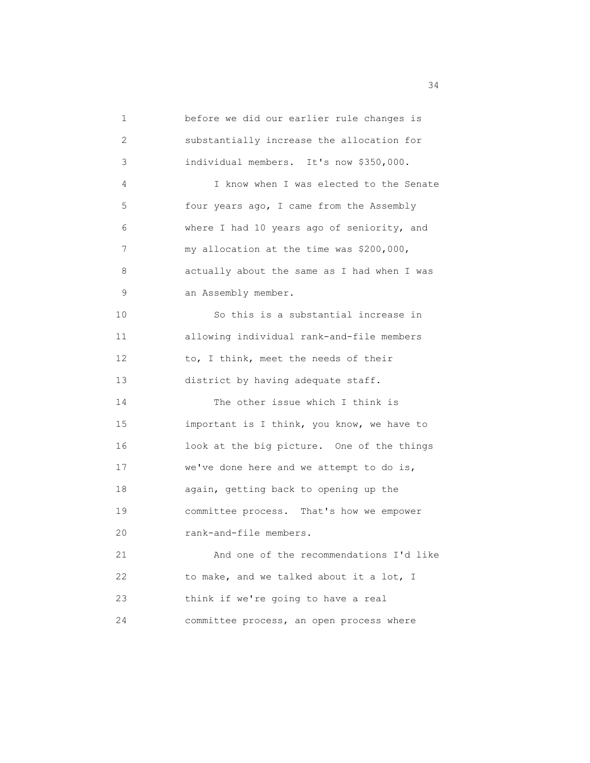1 before we did our earlier rule changes is 2 substantially increase the allocation for 3 individual members. It's now \$350,000. 4 I know when I was elected to the Senate 5 four years ago, I came from the Assembly 6 where I had 10 years ago of seniority, and 7 my allocation at the time was \$200,000, 8 actually about the same as I had when I was 9 an Assembly member. 10 So this is a substantial increase in 11 allowing individual rank-and-file members 12 to, I think, meet the needs of their 13 district by having adequate staff. 14 The other issue which I think is 15 important is I think, you know, we have to 16 look at the big picture. One of the things 17 we've done here and we attempt to do is, 18 again, getting back to opening up the 19 committee process. That's how we empower 20 rank-and-file members. 21 And one of the recommendations I'd like 22 to make, and we talked about it a lot, I 23 think if we're going to have a real 24 committee process, an open process where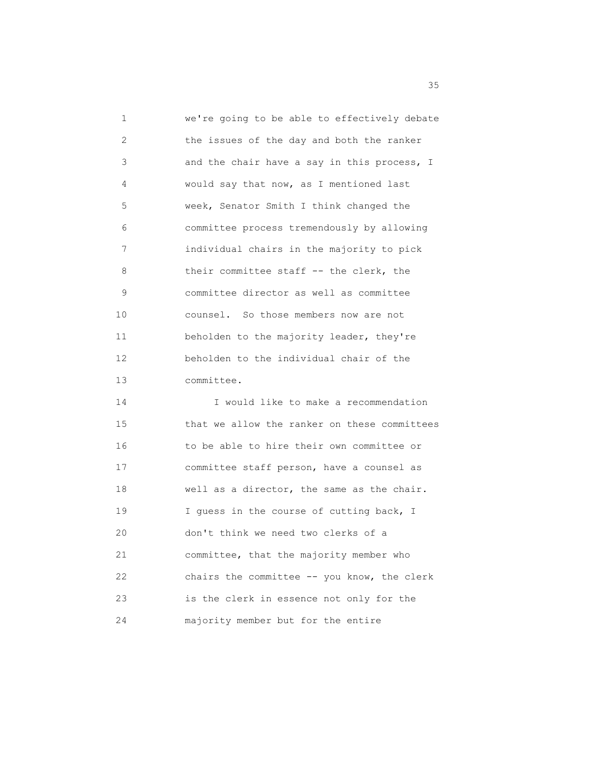1 we're going to be able to effectively debate 2 the issues of the day and both the ranker 3 and the chair have a say in this process, I 4 would say that now, as I mentioned last 5 week, Senator Smith I think changed the 6 committee process tremendously by allowing 7 individual chairs in the majority to pick 8 their committee staff -- the clerk, the 9 committee director as well as committee 10 counsel. So those members now are not 11 beholden to the majority leader, they're 12 beholden to the individual chair of the 13 committee.

 14 I would like to make a recommendation 15 that we allow the ranker on these committees 16 to be able to hire their own committee or 17 committee staff person, have a counsel as 18 well as a director, the same as the chair. 19 I guess in the course of cutting back, I 20 don't think we need two clerks of a 21 committee, that the majority member who 22 chairs the committee -- you know, the clerk 23 is the clerk in essence not only for the 24 majority member but for the entire

<u>35 States and the states and the states and the states and the states and the states and the states and the states and the states and the states and the states and the states and the states and the states and the states a</u>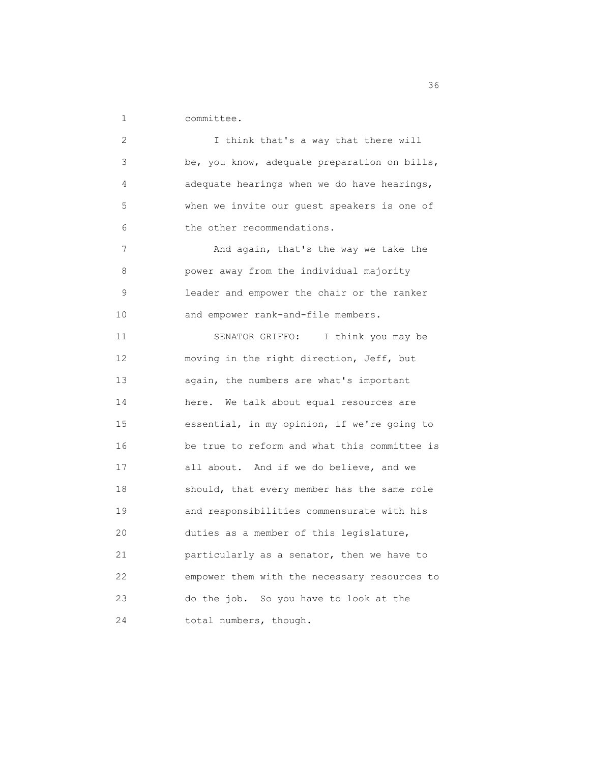1 committee.

 2 I think that's a way that there will 3 be, you know, adequate preparation on bills, 4 adequate hearings when we do have hearings, 5 when we invite our guest speakers is one of 6 the other recommendations. 7 And again, that's the way we take the 8 power away from the individual majority 9 leader and empower the chair or the ranker 10 and empower rank-and-file members. 11 SENATOR GRIFFO: I think you may be 12 moving in the right direction, Jeff, but 13 again, the numbers are what's important 14 here. We talk about equal resources are 15 essential, in my opinion, if we're going to 16 be true to reform and what this committee is 17 all about. And if we do believe, and we 18 should, that every member has the same role 19 and responsibilities commensurate with his 20 duties as a member of this legislature, 21 particularly as a senator, then we have to 22 empower them with the necessary resources to 23 do the job. So you have to look at the 24 total numbers, though.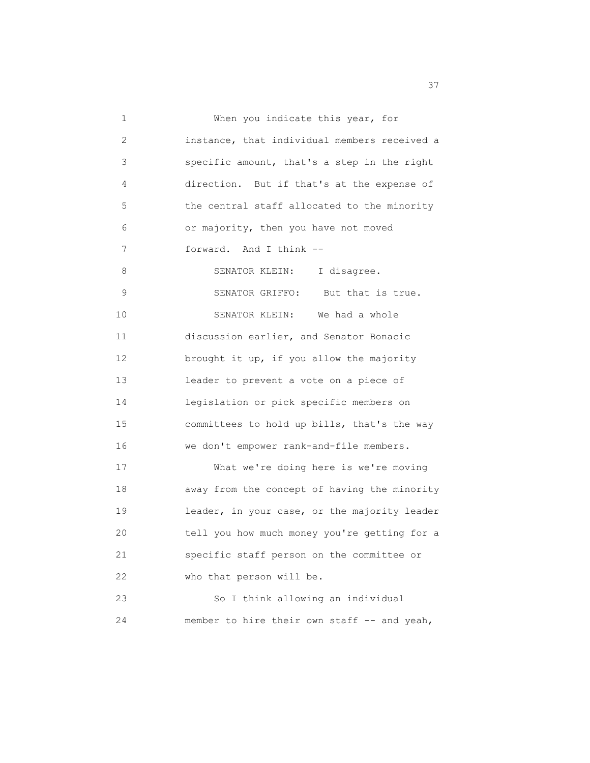| 1  | When you indicate this year, for             |
|----|----------------------------------------------|
| 2  | instance, that individual members received a |
| 3  | specific amount, that's a step in the right  |
| 4  | direction. But if that's at the expense of   |
| 5  | the central staff allocated to the minority  |
| 6  | or majority, then you have not moved         |
| 7  | forward. And I think --                      |
| 8  | SENATOR KLEIN: I disagree.                   |
| 9  | SENATOR GRIFFO: But that is true.            |
| 10 | SENATOR KLEIN: We had a whole                |
| 11 | discussion earlier, and Senator Bonacic      |
| 12 | brought it up, if you allow the majority     |
| 13 | leader to prevent a vote on a piece of       |
| 14 | legislation or pick specific members on      |
| 15 | committees to hold up bills, that's the way  |
| 16 | we don't empower rank-and-file members.      |
| 17 | What we're doing here is we're moving        |
| 18 | away from the concept of having the minority |
| 19 | leader, in your case, or the majority leader |
| 20 | tell you how much money you're getting for a |
| 21 | specific staff person on the committee or    |
| 22 | who that person will be.                     |
| 23 | So I think allowing an individual            |
| 24 | member to hire their own staff -- and yeah,  |

<u>37</u>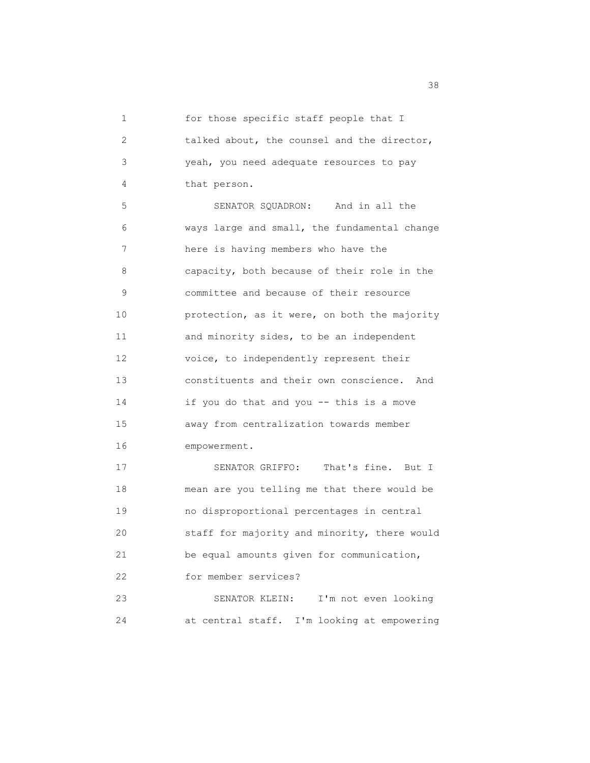1 for those specific staff people that I 2 talked about, the counsel and the director, 3 yeah, you need adequate resources to pay 4 that person. 5 SENATOR SQUADRON: And in all the

 6 ways large and small, the fundamental change 7 here is having members who have the 8 capacity, both because of their role in the 9 committee and because of their resource 10 protection, as it were, on both the majority 11 and minority sides, to be an independent 12 voice, to independently represent their 13 constituents and their own conscience. And 14 if you do that and you -- this is a move 15 away from centralization towards member 16 empowerment.

17 SENATOR GRIFFO: That's fine. But I 18 mean are you telling me that there would be 19 no disproportional percentages in central 20 staff for majority and minority, there would 21 be equal amounts given for communication, 22 for member services? 23 SENATOR KLEIN: I'm not even looking 24 at central staff. I'm looking at empowering

<u>38</u> September 2008 and 2008 September 2008 and 2008 September 2008 September 2008 September 2008 September 2008 September 2008 September 2008 September 2008 September 2008 September 2008 September 2008 September 2008 Sept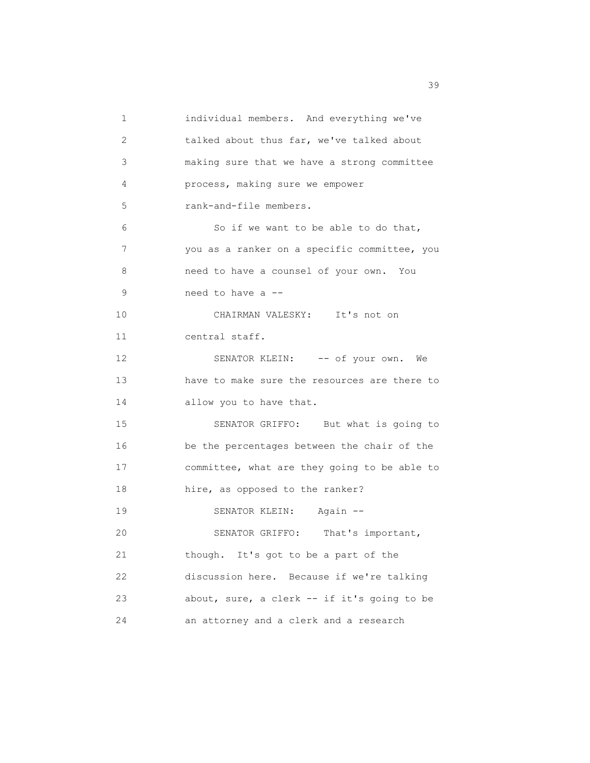1 individual members. And everything we've 2 talked about thus far, we've talked about 3 making sure that we have a strong committee 4 process, making sure we empower 5 rank-and-file members. 6 So if we want to be able to do that, 7 you as a ranker on a specific committee, you 8 need to have a counsel of your own. You 9 need to have a -- 10 CHAIRMAN VALESKY: It's not on 11 central staff. 12 SENATOR KLEIN: -- of your own. We 13 have to make sure the resources are there to 14 allow you to have that. 15 SENATOR GRIFFO: But what is going to 16 be the percentages between the chair of the 17 committee, what are they going to be able to 18 hire, as opposed to the ranker? 19 SENATOR KLEIN: Again -- 20 SENATOR GRIFFO: That's important, 21 though. It's got to be a part of the 22 discussion here. Because if we're talking 23 about, sure, a clerk -- if it's going to be 24 an attorney and a clerk and a research

39 and 2012 and 2012 and 2012 and 2012 and 2012 and 2012 and 2012 and 2012 and 2013 and 2013 and 2013 and 2013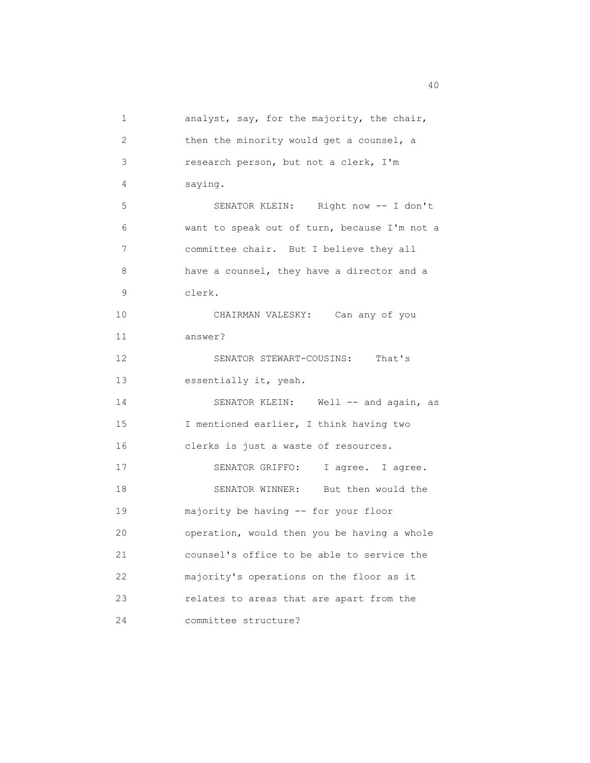1 analyst, say, for the majority, the chair, 2 then the minority would get a counsel, a 3 research person, but not a clerk, I'm 4 saying. 5 SENATOR KLEIN: Right now -- I don't 6 want to speak out of turn, because I'm not a 7 committee chair. But I believe they all 8 have a counsel, they have a director and a 9 clerk. 10 CHAIRMAN VALESKY: Can any of you 11 answer? 12 SENATOR STEWART-COUSINS: That's 13 essentially it, yeah. 14 SENATOR KLEIN: Well -- and again, as 15 I mentioned earlier, I think having two 16 clerks is just a waste of resources. 17 SENATOR GRIFFO: I agree. I agree. 18 SENATOR WINNER: But then would the 19 majority be having -- for your floor 20 operation, would then you be having a whole 21 counsel's office to be able to service the 22 majority's operations on the floor as it 23 relates to areas that are apart from the 24 committee structure?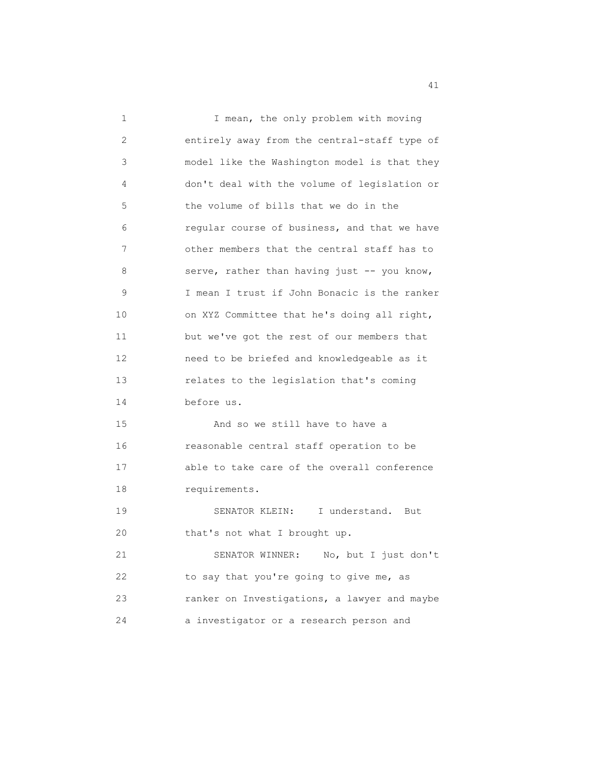1 I mean, the only problem with moving 2 entirely away from the central-staff type of 3 model like the Washington model is that they 4 don't deal with the volume of legislation or 5 the volume of bills that we do in the 6 regular course of business, and that we have 7 other members that the central staff has to 8 serve, rather than having just -- you know, 9 I mean I trust if John Bonacic is the ranker 10 on XYZ Committee that he's doing all right, 11 but we've got the rest of our members that 12 need to be briefed and knowledgeable as it 13 relates to the legislation that's coming 14 before us. 15 And so we still have to have a 16 reasonable central staff operation to be 17 able to take care of the overall conference 18 requirements. 19 SENATOR KLEIN: I understand. But 20 that's not what I brought up. 21 SENATOR WINNER: No, but I just don't 22 to say that you're going to give me, as 23 ranker on Investigations, a lawyer and maybe 24 a investigator or a research person and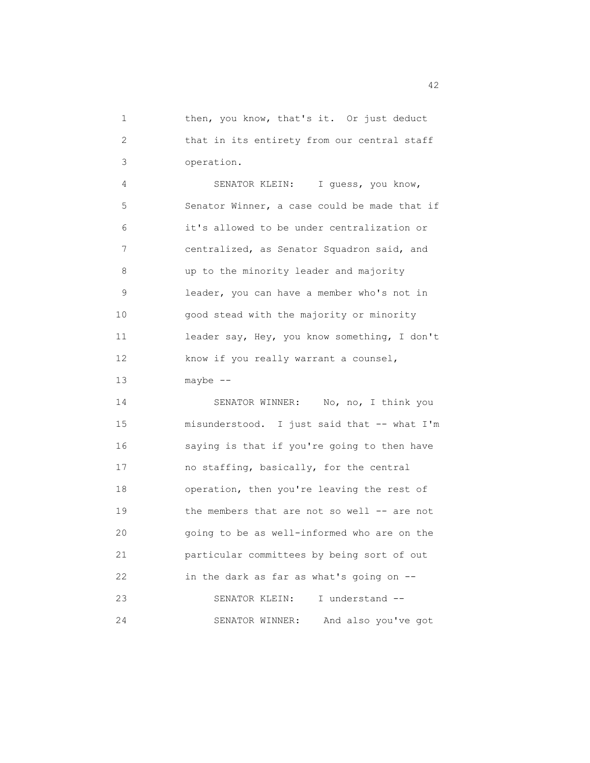1 then, you know, that's it. Or just deduct 2 that in its entirety from our central staff 3 operation.

 4 SENATOR KLEIN: I guess, you know, 5 Senator Winner, a case could be made that if 6 it's allowed to be under centralization or 7 centralized, as Senator Squadron said, and 8 up to the minority leader and majority 9 leader, you can have a member who's not in 10 good stead with the majority or minority 11 leader say, Hey, you know something, I don't 12 know if you really warrant a counsel, 13 maybe --

14 SENATOR WINNER: No, no, I think you 15 misunderstood. I just said that -- what I'm 16 saying is that if you're going to then have 17 no staffing, basically, for the central 18 operation, then you're leaving the rest of 19 the members that are not so well -- are not 20 going to be as well-informed who are on the 21 particular committees by being sort of out 22 in the dark as far as what's going on -- 23 SENATOR KLEIN: I understand -- 24 SENATOR WINNER: And also you've got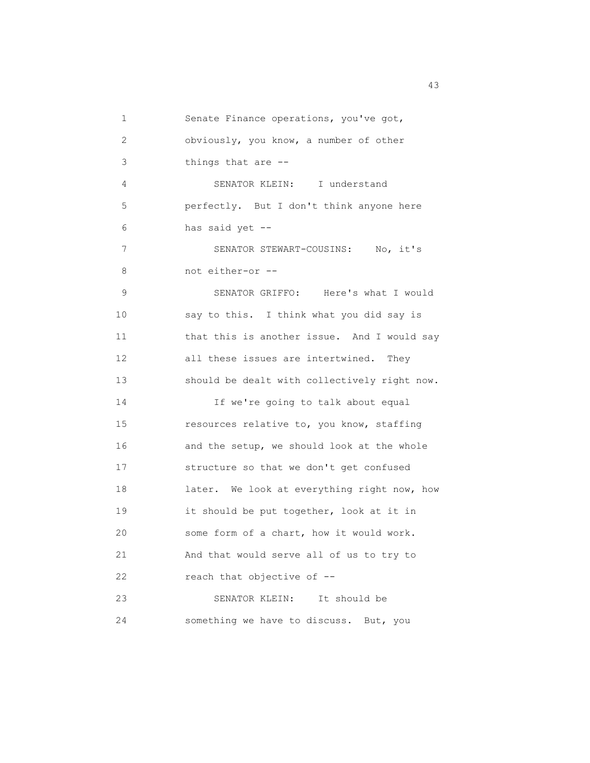| 1               | Senate Finance operations, you've got,       |
|-----------------|----------------------------------------------|
| 2               | obviously, you know, a number of other       |
| 3               | things that are --                           |
| 4               | SENATOR KLEIN: I understand                  |
| 5               | perfectly. But I don't think anyone here     |
| 6               | has said yet --                              |
| 7               | SENATOR STEWART-COUSINS: No, it's            |
| 8               | not either-or --                             |
| 9               | SENATOR GRIFFO: Here's what I would          |
| 10              | say to this. I think what you did say is     |
| 11              | that this is another issue. And I would say  |
| 12 <sup>°</sup> | all these issues are intertwined.<br>They    |
| 13              | should be dealt with collectively right now. |
| 14              | If we're going to talk about equal           |
| 15              | resources relative to, you know, staffing    |
| 16              | and the setup, we should look at the whole   |
| 17              | structure so that we don't get confused      |
| 18              | later. We look at everything right now, how  |
| 19              | it should be put together, look at it in     |
| 20              | some form of a chart, how it would work.     |
| 21              | And that would serve all of us to try to     |
| 22              | reach that objective of --                   |
| 23              | SENATOR KLEIN:<br>It should be               |
| 24              | something we have to discuss. But, you       |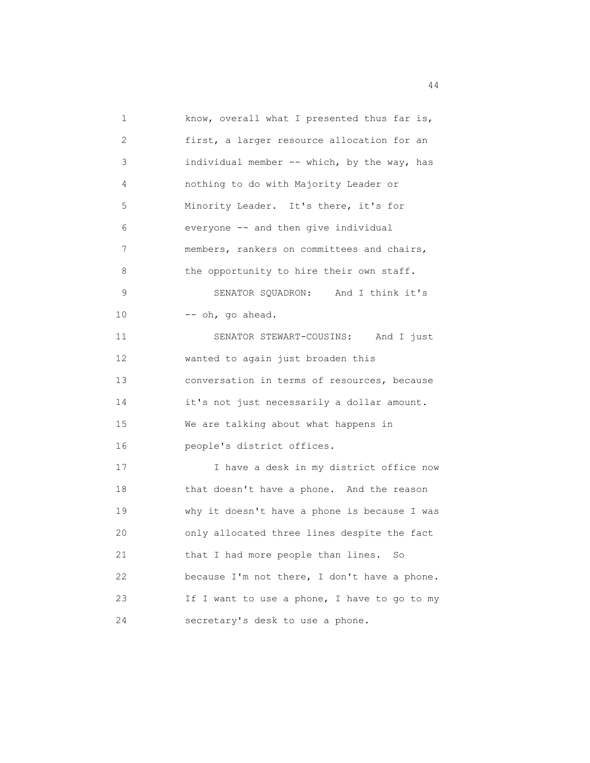| 1  | know, overall what I presented thus far is,  |
|----|----------------------------------------------|
| 2  | first, a larger resource allocation for an   |
| 3  | individual member -- which, by the way, has  |
| 4  | nothing to do with Majority Leader or        |
| 5  | Minority Leader. It's there, it's for        |
| 6  | everyone -- and then give individual         |
| 7  | members, rankers on committees and chairs,   |
| 8  | the opportunity to hire their own staff.     |
| 9  | SENATOR SQUADRON: And I think it's           |
| 10 | -- oh, go ahead.                             |
| 11 | SENATOR STEWART-COUSINS: And I just          |
| 12 | wanted to again just broaden this            |
| 13 | conversation in terms of resources, because  |
| 14 | it's not just necessarily a dollar amount.   |
| 15 | We are talking about what happens in         |
| 16 | people's district offices.                   |
| 17 | I have a desk in my district office now      |
| 18 | that doesn't have a phone. And the reason    |
| 19 | why it doesn't have a phone is because I was |
| 20 | only allocated three lines despite the fact  |
| 21 | that I had more people than lines. So        |
| 22 | because I'm not there, I don't have a phone. |
| 23 | If I want to use a phone, I have to go to my |
| 24 | secretary's desk to use a phone.             |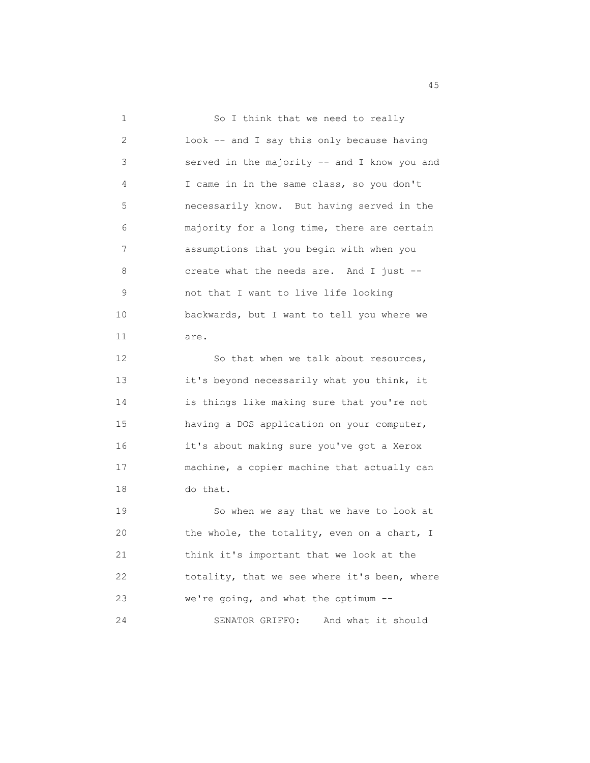| 1  | So I think that we need to really            |
|----|----------------------------------------------|
| 2  | look -- and I say this only because having   |
| 3  | served in the majority -- and I know you and |
| 4  | I came in in the same class, so you don't    |
| 5  | necessarily know. But having served in the   |
| 6  | majority for a long time, there are certain  |
| 7  | assumptions that you begin with when you     |
| 8  | create what the needs are. And I just --     |
| 9  | not that I want to live life looking         |
| 10 | backwards, but I want to tell you where we   |
| 11 | are.                                         |
| 12 | So that when we talk about resources,        |
| 13 | it's beyond necessarily what you think, it   |
| 14 | is things like making sure that you're not   |
| 15 | having a DOS application on your computer,   |
| 16 | it's about making sure you've got a Xerox    |
| 17 | machine, a copier machine that actually can  |
| 18 | do that.                                     |
| 19 | So when we say that we have to look at       |
| 20 | the whole, the totality, even on a chart, I  |
| 21 | think it's important that we look at the     |
| 22 | totality, that we see where it's been, where |
| 23 | we're going, and what the optimum --         |
| 24 | SENATOR GRIFFO:<br>And what it should        |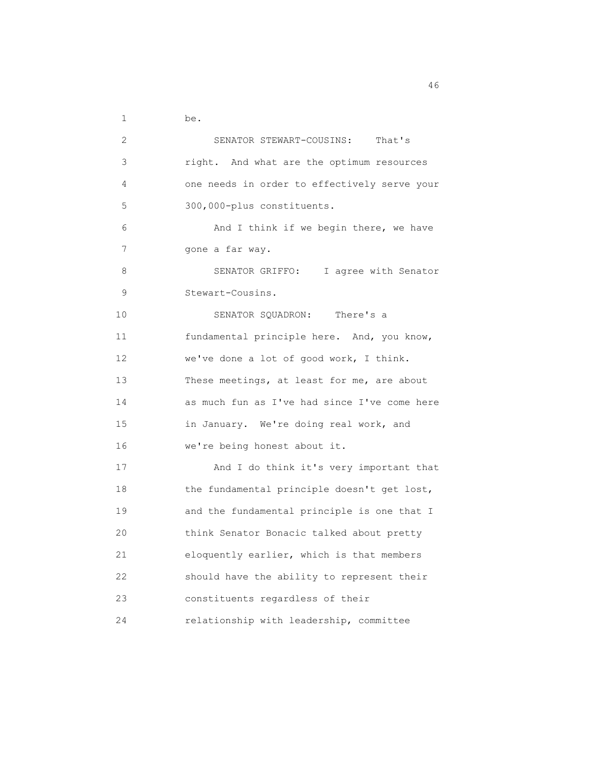1 be.

| 2  | SENATOR STEWART-COUSINS:<br>That's           |
|----|----------------------------------------------|
| 3  | right. And what are the optimum resources    |
| 4  | one needs in order to effectively serve your |
| 5  | 300,000-plus constituents.                   |
| 6  | And I think if we begin there, we have       |
| 7  | gone a far way.                              |
| 8  | SENATOR GRIFFO: I agree with Senator         |
| 9  | Stewart-Cousins.                             |
| 10 | SENATOR SQUADRON: There's a                  |
| 11 | fundamental principle here. And, you know,   |
| 12 | we've done a lot of good work, I think.      |
| 13 | These meetings, at least for me, are about   |
| 14 | as much fun as I've had since I've come here |
| 15 | in January. We're doing real work, and       |
| 16 | we're being honest about it.                 |
| 17 | And I do think it's very important that      |
| 18 | the fundamental principle doesn't get lost,  |
| 19 | and the fundamental principle is one that I  |
| 20 | think Senator Bonacic talked about pretty    |
| 21 | eloquently earlier, which is that members    |
| 22 | should have the ability to represent their   |
| 23 | constituents regardless of their             |
| 24 | relationship with leadership, committee      |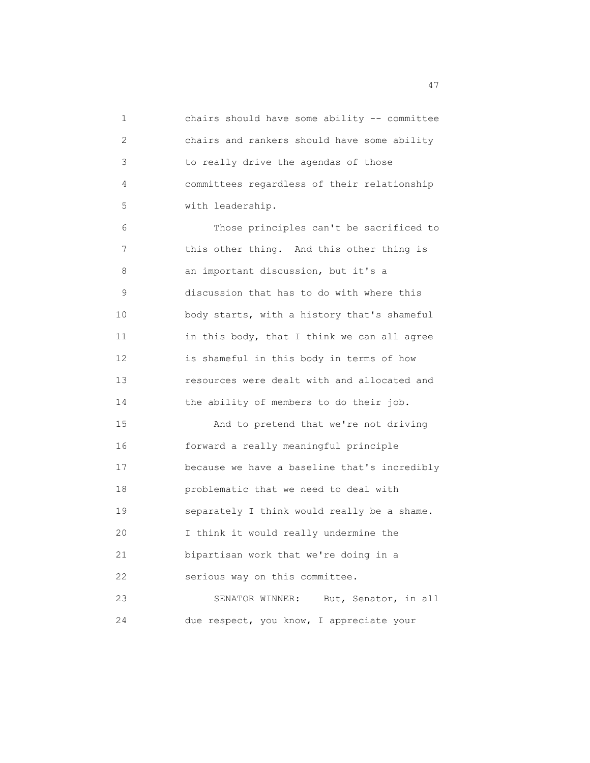1 chairs should have some ability -- committee 2 chairs and rankers should have some ability 3 to really drive the agendas of those 4 committees regardless of their relationship 5 with leadership. 6 Those principles can't be sacrificed to 7 this other thing. And this other thing is 8 an important discussion, but it's a 9 discussion that has to do with where this 10 body starts, with a history that's shameful 11 in this body, that I think we can all agree 12 is shameful in this body in terms of how 13 resources were dealt with and allocated and 14 the ability of members to do their job. 15 And to pretend that we're not driving 16 forward a really meaningful principle 17 because we have a baseline that's incredibly 18 problematic that we need to deal with 19 separately I think would really be a shame. 20 I think it would really undermine the 21 bipartisan work that we're doing in a 22 serious way on this committee. 23 SENATOR WINNER: But, Senator, in all 24 due respect, you know, I appreciate your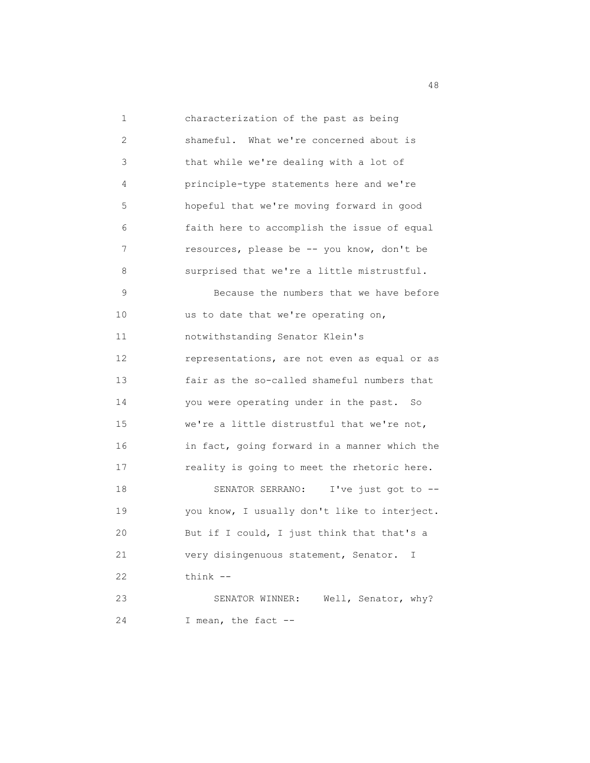1 characterization of the past as being 2 shameful. What we're concerned about is 3 that while we're dealing with a lot of 4 principle-type statements here and we're 5 hopeful that we're moving forward in good 6 faith here to accomplish the issue of equal 7 resources, please be -- you know, don't be 8 surprised that we're a little mistrustful. 9 Because the numbers that we have before 10 us to date that we're operating on, 11 notwithstanding Senator Klein's 12 representations, are not even as equal or as 13 fair as the so-called shameful numbers that 14 you were operating under in the past. So 15 we're a little distrustful that we're not, 16 in fact, going forward in a manner which the 17 reality is going to meet the rhetoric here. 18 SENATOR SERRANO: I've just got to -- 19 you know, I usually don't like to interject. 20 But if I could, I just think that that's a 21 very disingenuous statement, Senator. I 22 think -- 23 SENATOR WINNER: Well, Senator, why? 24 I mean, the fact --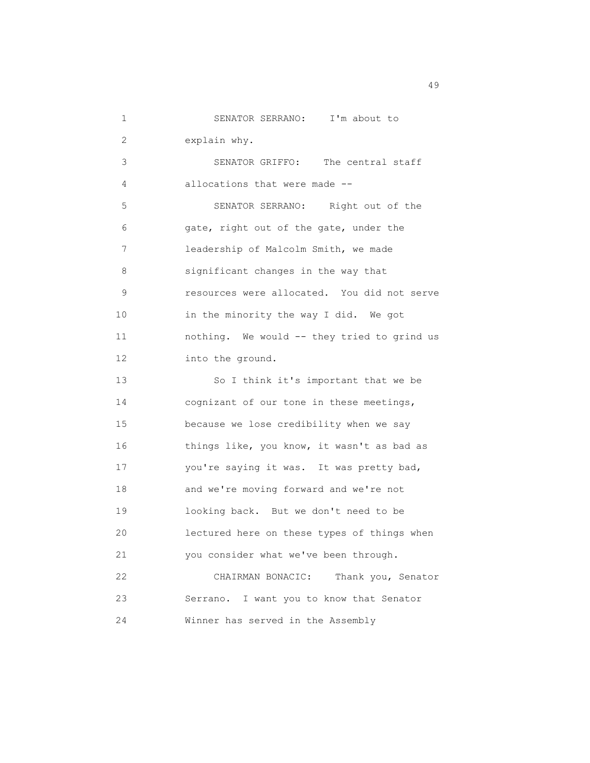| 1               | SENATOR SERRANO: I'm about to               |
|-----------------|---------------------------------------------|
| 2               | explain why.                                |
| 3               | SENATOR GRIFFO: The central staff           |
| 4               | allocations that were made --               |
| 5               | SENATOR SERRANO: Right out of the           |
| 6               | gate, right out of the gate, under the      |
| 7               | leadership of Malcolm Smith, we made        |
| 8               | significant changes in the way that         |
| 9               | resources were allocated. You did not serve |
| 10              | in the minority the way I did. We got       |
| 11              | nothing. We would -- they tried to grind us |
| 12 <sup>°</sup> | into the ground.                            |
| 13              | So I think it's important that we be        |
| 14              | cognizant of our tone in these meetings,    |
| 15              | because we lose credibility when we say     |
| 16              | things like, you know, it wasn't as bad as  |
| 17              | you're saying it was. It was pretty bad,    |
| 18              | and we're moving forward and we're not      |
| 19              | looking back. But we don't need to be       |
| 20              | lectured here on these types of things when |
| 21              | you consider what we've been through.       |
| 22              | CHAIRMAN BONACIC:<br>Thank you, Senator     |
| 23              | Serrano. I want you to know that Senator    |
| 24              | Winner has served in the Assembly           |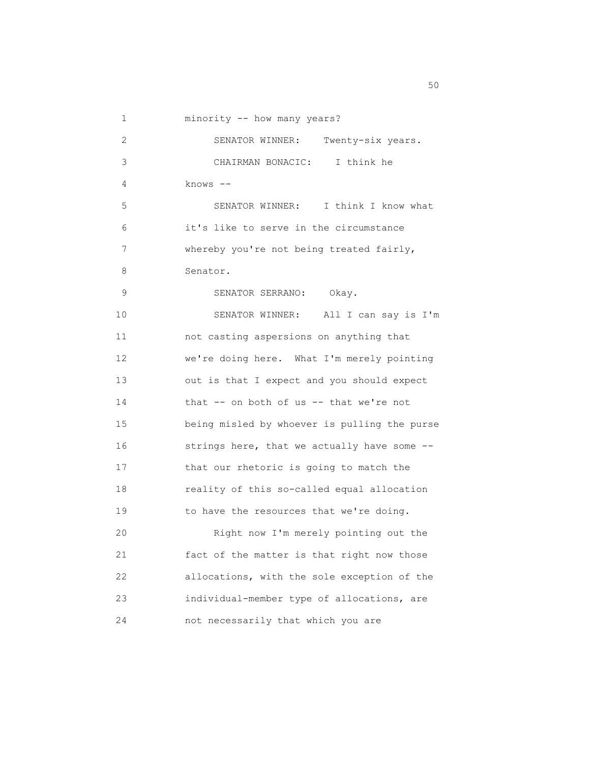1 minority -- how many years?

| 2  | SENATOR WINNER:<br>Twenty-six years.         |
|----|----------------------------------------------|
| 3  | I think he<br>CHAIRMAN BONACIC:              |
| 4  | $knows$ --                                   |
| 5  | SENATOR WINNER:<br>I think I know what       |
| 6  | it's like to serve in the circumstance       |
| 7  | whereby you're not being treated fairly,     |
| 8  | Senator.                                     |
| 9  | SENATOR SERRANO:<br>Okay.                    |
| 10 | SENATOR WINNER:<br>All I can say is I'm      |
| 11 | not casting aspersions on anything that      |
| 12 | we're doing here. What I'm merely pointing   |
| 13 | out is that I expect and you should expect   |
| 14 | that $--$ on both of us $--$ that we're not  |
| 15 | being misled by whoever is pulling the purse |
| 16 | strings here, that we actually have some --  |
| 17 | that our rhetoric is going to match the      |
| 18 | reality of this so-called equal allocation   |
| 19 | to have the resources that we're doing.      |
| 20 | Right now I'm merely pointing out the        |
| 21 | fact of the matter is that right now those   |
| 22 | allocations, with the sole exception of the  |
| 23 | individual-member type of allocations, are   |
| 24 | not necessarily that which you are           |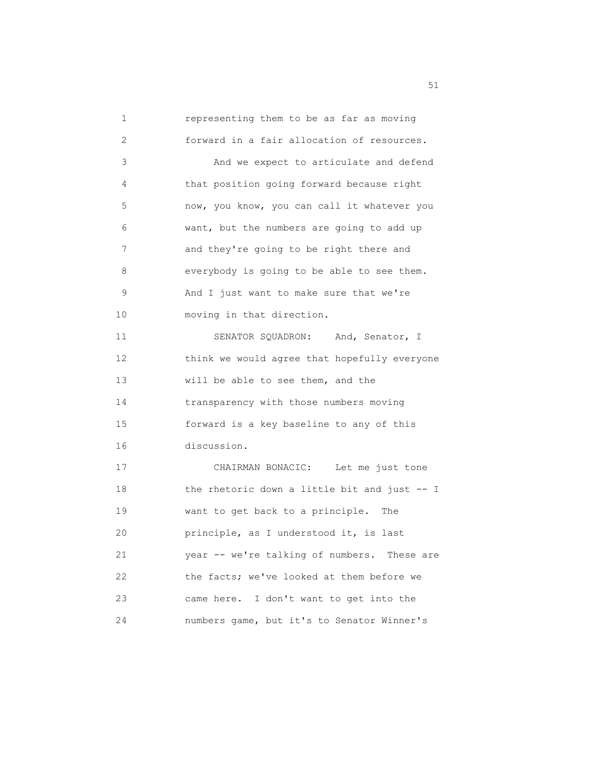1 representing them to be as far as moving 2 forward in a fair allocation of resources. 3 And we expect to articulate and defend 4 that position going forward because right 5 now, you know, you can call it whatever you 6 want, but the numbers are going to add up 7 and they're going to be right there and 8 everybody is going to be able to see them. 9 And I just want to make sure that we're 10 moving in that direction. 11 SENATOR SQUADRON: And, Senator, I 12 think we would agree that hopefully everyone 13 will be able to see them, and the 14 transparency with those numbers moving 15 forward is a key baseline to any of this 16 discussion. 17 CHAIRMAN BONACIC: Let me just tone 18 the rhetoric down a little bit and just -- I 19 want to get back to a principle. The 20 principle, as I understood it, is last 21 year -- we're talking of numbers. These are 22 the facts; we've looked at them before we 23 came here. I don't want to get into the 24 numbers game, but it's to Senator Winner's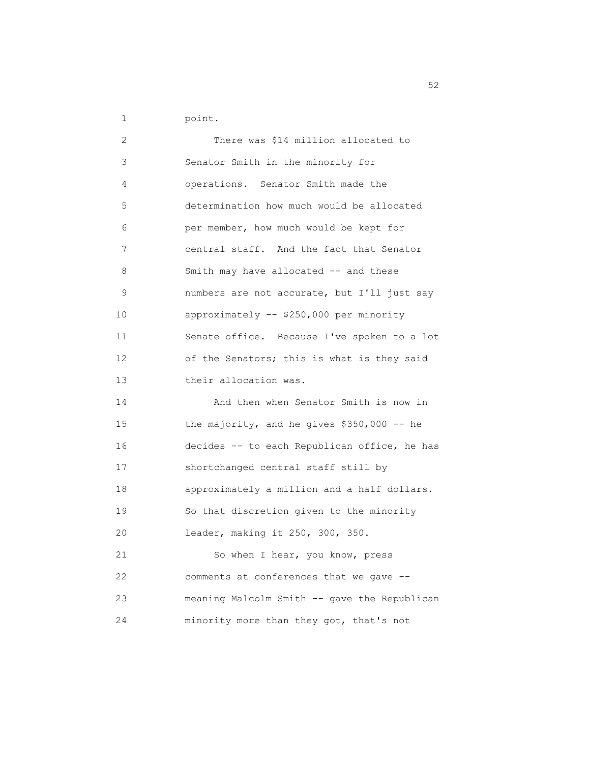1 point.

| 2  | There was \$14 million allocated to          |
|----|----------------------------------------------|
| 3  | Senator Smith in the minority for            |
| 4  | operations. Senator Smith made the           |
| 5  | determination how much would be allocated    |
| 6  | per member, how much would be kept for       |
| 7  | central staff. And the fact that Senator     |
| 8  | Smith may have allocated -- and these        |
| 9  | numbers are not accurate, but I'll just say  |
| 10 | approximately -- \$250,000 per minority      |
| 11 | Senate office. Because I've spoken to a lot  |
| 12 | of the Senators; this is what is they said   |
| 13 | their allocation was.                        |
| 14 | And then when Senator Smith is now in        |
| 15 | the majority, and he gives $$350,000$ -- he  |
| 16 | decides -- to each Republican office, he has |
| 17 | shortchanged central staff still by          |
| 18 | approximately a million and a half dollars.  |
| 19 | So that discretion given to the minority     |
| 20 | leader, making it 250, 300, 350.             |
| 21 | So when I hear, you know, press              |
| 22 | comments at conferences that we gave --      |
| 23 | meaning Malcolm Smith -- gave the Republican |
| 24 | minority more than they got, that's not      |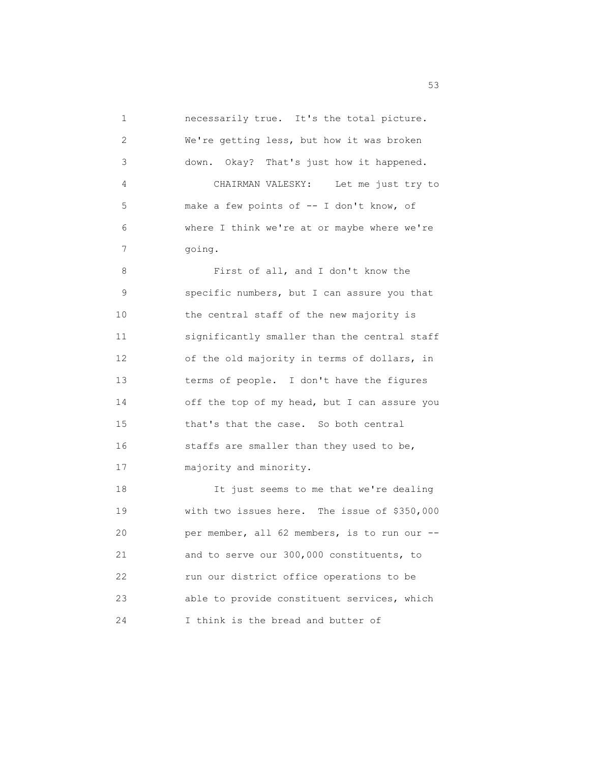1 necessarily true. It's the total picture. 2 We're getting less, but how it was broken 3 down. Okay? That's just how it happened. 4 CHAIRMAN VALESKY: Let me just try to 5 make a few points of -- I don't know, of 6 where I think we're at or maybe where we're 7 going. 8 First of all, and I don't know the 9 specific numbers, but I can assure you that 10 the central staff of the new majority is 11 significantly smaller than the central staff 12 of the old majority in terms of dollars, in 13 terms of people. I don't have the figures 14 off the top of my head, but I can assure you 15 that's that the case. So both central 16 staffs are smaller than they used to be, 17 majority and minority. 18 It just seems to me that we're dealing 19 with two issues here. The issue of \$350,000 20 per member, all 62 members, is to run our -- 21 and to serve our 300,000 constituents, to 22 run our district office operations to be 23 able to provide constituent services, which 24 I think is the bread and butter of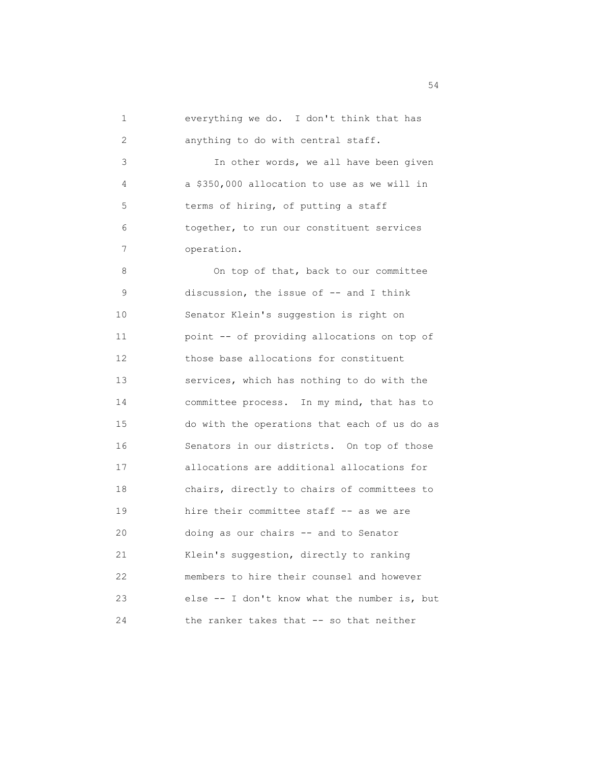| 1  | everything we do. I don't think that has     |
|----|----------------------------------------------|
| 2  | anything to do with central staff.           |
| 3  | In other words, we all have been given       |
| 4  | a \$350,000 allocation to use as we will in  |
| 5  | terms of hiring, of putting a staff          |
| 6  | together, to run our constituent services    |
| 7  | operation.                                   |
| 8  | On top of that, back to our committee        |
| 9  | discussion, the issue of -- and I think      |
| 10 | Senator Klein's suggestion is right on       |
| 11 | point -- of providing allocations on top of  |
| 12 | those base allocations for constituent       |
| 13 | services, which has nothing to do with the   |
| 14 | committee process. In my mind, that has to   |
| 15 | do with the operations that each of us do as |
| 16 | Senators in our districts. On top of those   |
| 17 | allocations are additional allocations for   |
| 18 | chairs, directly to chairs of committees to  |
| 19 | hire their committee staff -- as we are      |
| 20 | doing as our chairs -- and to Senator        |
| 21 | Klein's suggestion, directly to ranking      |
| 22 | members to hire their counsel and however    |
| 23 | else -- I don't know what the number is, but |
| 24 | the ranker takes that -- so that neither     |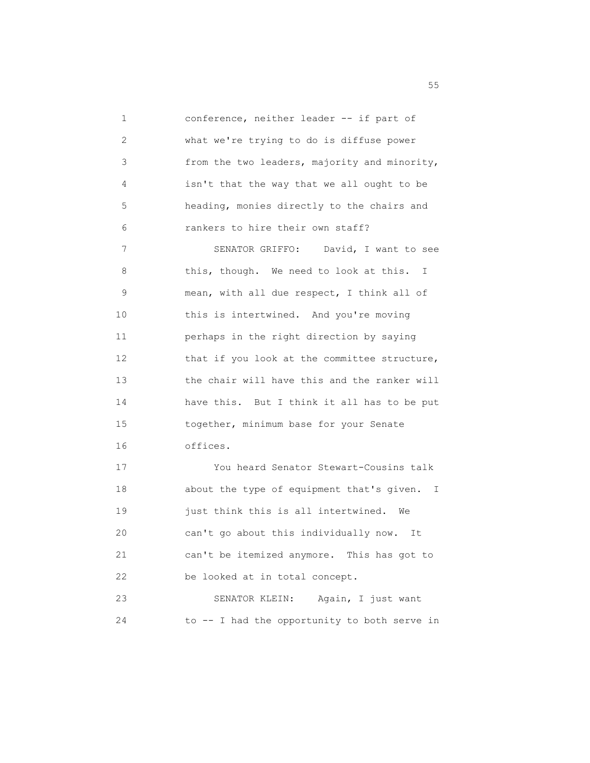1 conference, neither leader -- if part of 2 what we're trying to do is diffuse power 3 from the two leaders, majority and minority, 4 isn't that the way that we all ought to be 5 heading, monies directly to the chairs and 6 rankers to hire their own staff? 7 SENATOR GRIFFO: David, I want to see 8 this, though. We need to look at this. I 9 mean, with all due respect, I think all of 10 this is intertwined. And you're moving 11 perhaps in the right direction by saying 12 that if you look at the committee structure, 13 the chair will have this and the ranker will 14 have this. But I think it all has to be put 15 together, minimum base for your Senate 16 offices. 17 You heard Senator Stewart-Cousins talk 18 about the type of equipment that's given. I 19 just think this is all intertwined. We 20 can't go about this individually now. It 21 can't be itemized anymore. This has got to 22 be looked at in total concept. 23 SENATOR KLEIN: Again, I just want 24 to -- I had the opportunity to both serve in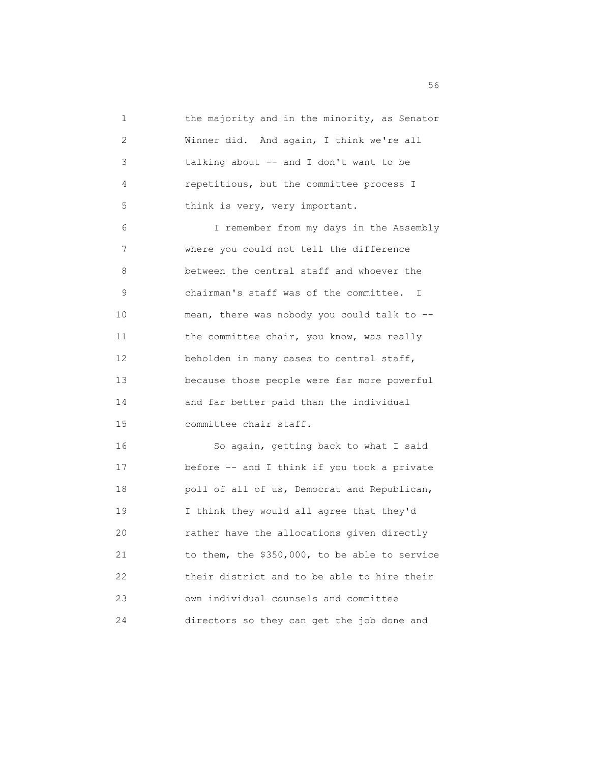1 the majority and in the minority, as Senator 2 Winner did. And again, I think we're all 3 talking about -- and I don't want to be 4 repetitious, but the committee process I 5 think is very, very important. 6 I remember from my days in the Assembly 7 where you could not tell the difference 8 between the central staff and whoever the 9 chairman's staff was of the committee. I 10 mean, there was nobody you could talk to -- 11 the committee chair, you know, was really 12 beholden in many cases to central staff, 13 because those people were far more powerful 14 and far better paid than the individual 15 committee chair staff. 16 So again, getting back to what I said 17 before -- and I think if you took a private 18 poll of all of us, Democrat and Republican, 19 I think they would all agree that they'd 20 rather have the allocations given directly 21 to them, the \$350,000, to be able to service 22 their district and to be able to hire their 23 own individual counsels and committee

24 directors so they can get the job done and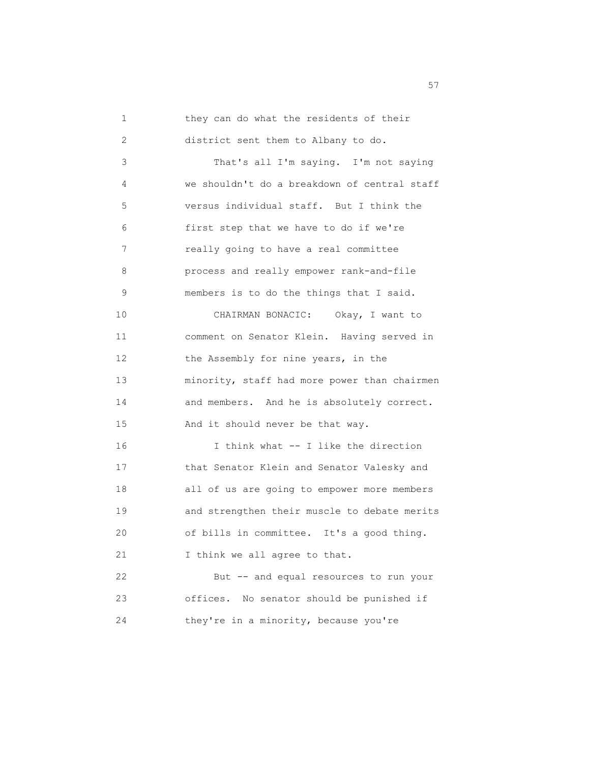| $\mathbf 1$ | they can do what the residents of their      |
|-------------|----------------------------------------------|
| 2           | district sent them to Albany to do.          |
| 3           | That's all I'm saying. I'm not saying        |
| 4           | we shouldn't do a breakdown of central staff |
| 5           | versus individual staff. But I think the     |
| 6           | first step that we have to do if we're       |
| 7           | really going to have a real committee        |
| 8           | process and really empower rank-and-file     |
| 9           | members is to do the things that I said.     |
| 10          | CHAIRMAN BONACIC: Okay, I want to            |
| 11          | comment on Senator Klein. Having served in   |
| 12          | the Assembly for nine years, in the          |
| 13          | minority, staff had more power than chairmen |
| 14          | and members. And he is absolutely correct.   |
| 15          | And it should never be that way.             |
| 16          | I think what -- I like the direction         |
| 17          | that Senator Klein and Senator Valesky and   |
| 18          | all of us are going to empower more members  |
| 19          | and strengthen their muscle to debate merits |
| 20          | of bills in committee. It's a good thing.    |
| 21          | I think we all agree to that.                |
| 22          | But -- and equal resources to run your       |
| 23          | No senator should be punished if<br>offices. |
| 24          | they're in a minority, because you're        |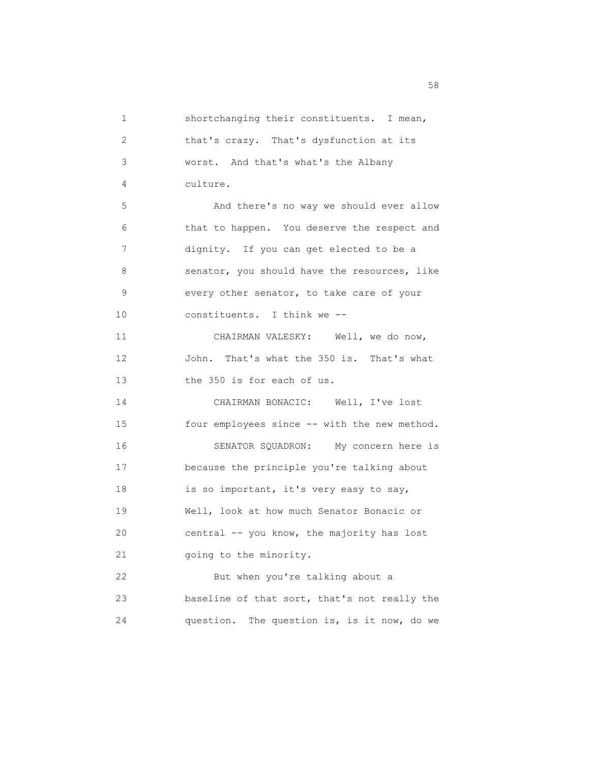1 shortchanging their constituents. I mean, 2 that's crazy. That's dysfunction at its 3 worst. And that's what's the Albany 4 culture. 5 And there's no way we should ever allow 6 that to happen. You deserve the respect and 7 dignity. If you can get elected to be a 8 senator, you should have the resources, like 9 every other senator, to take care of your 10 constituents. I think we -- 11 CHAIRMAN VALESKY: Well, we do now, 12 John. That's what the 350 is. That's what 13 the 350 is for each of us. 14 CHAIRMAN BONACIC: Well, I've lost 15 four employees since -- with the new method. 16 SENATOR SQUADRON: My concern here is 17 because the principle you're talking about 18 is so important, it's very easy to say, 19 Well, look at how much Senator Bonacic or 20 central -- you know, the majority has lost 21 going to the minority. 22 But when you're talking about a 23 baseline of that sort, that's not really the 24 question. The question is, is it now, do we

the state of the state of the state of the state of the state of the state of the state of the state of the state of the state of the state of the state of the state of the state of the state of the state of the state of t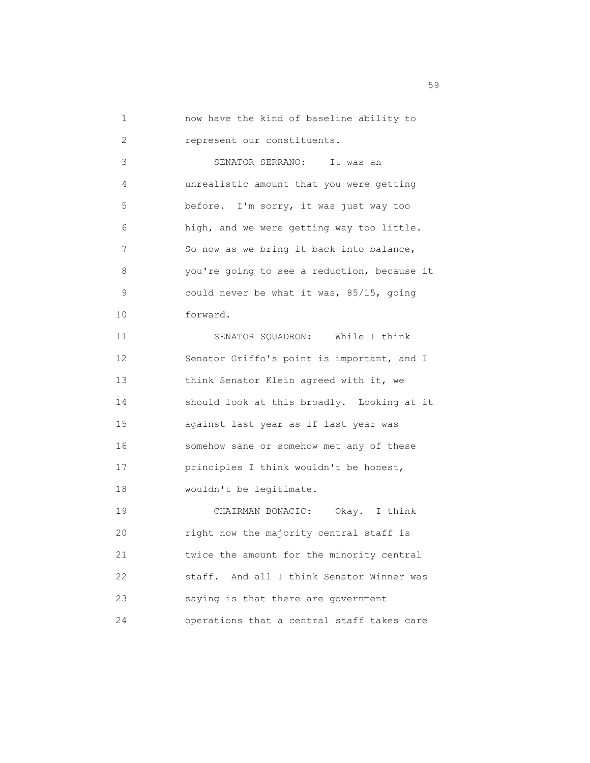1 now have the kind of baseline ability to 2 represent our constituents.

 3 SENATOR SERRANO: It was an 4 unrealistic amount that you were getting 5 before. I'm sorry, it was just way too 6 high, and we were getting way too little. 7 So now as we bring it back into balance, 8 you're going to see a reduction, because it 9 could never be what it was, 85/15, going 10 forward.

 11 SENATOR SQUADRON: While I think 12 Senator Griffo's point is important, and I 13 think Senator Klein agreed with it, we 14 should look at this broadly. Looking at it 15 against last year as if last year was 16 somehow sane or somehow met any of these 17 principles I think wouldn't be honest, 18 wouldn't be legitimate.

 19 CHAIRMAN BONACIC: Okay. I think 20 right now the majority central staff is 21 twice the amount for the minority central 22 staff. And all I think Senator Winner was 23 saying is that there are government 24 operations that a central staff takes care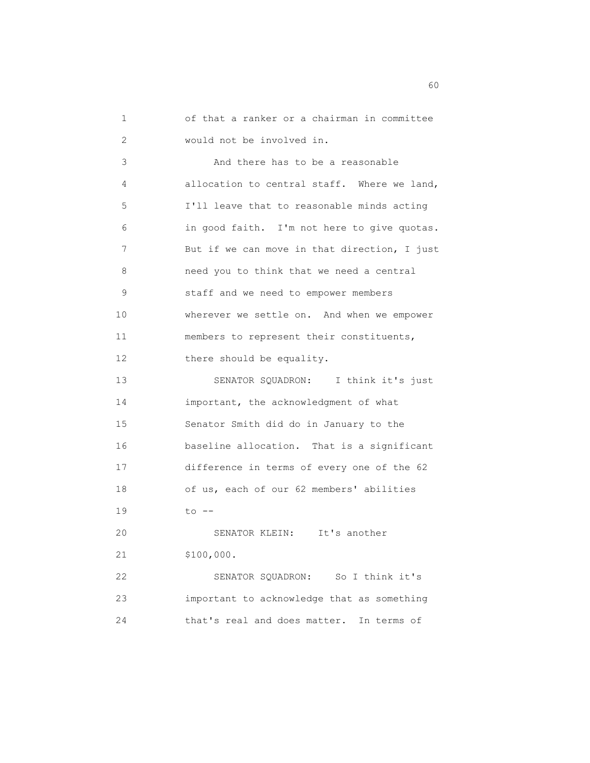1 of that a ranker or a chairman in committee 2 would not be involved in.

 3 And there has to be a reasonable 4 allocation to central staff. Where we land, 5 I'll leave that to reasonable minds acting 6 in good faith. I'm not here to give quotas. 7 But if we can move in that direction, I just 8 need you to think that we need a central 9 staff and we need to empower members 10 wherever we settle on. And when we empower 11 members to represent their constituents, 12 there should be equality.

 13 SENATOR SQUADRON: I think it's just 14 important, the acknowledgment of what 15 Senator Smith did do in January to the 16 baseline allocation. That is a significant 17 difference in terms of every one of the 62 18 of us, each of our 62 members' abilities 19 to --

 20 SENATOR KLEIN: It's another 21 \$100,000.

 22 SENATOR SQUADRON: So I think it's 23 important to acknowledge that as something 24 that's real and does matter. In terms of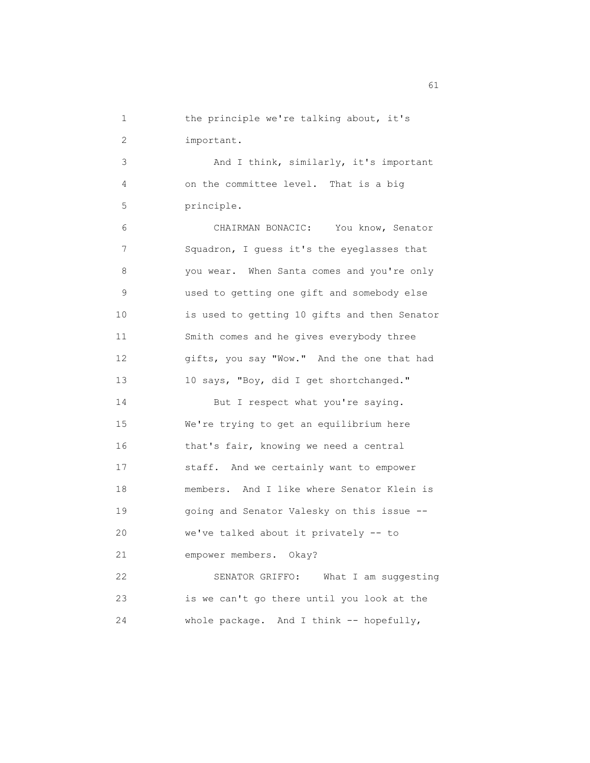1 the principle we're talking about, it's 2 important.

 3 And I think, similarly, it's important 4 on the committee level. That is a big 5 principle.

 6 CHAIRMAN BONACIC: You know, Senator 7 Squadron, I guess it's the eyeglasses that 8 you wear. When Santa comes and you're only 9 used to getting one gift and somebody else 10 is used to getting 10 gifts and then Senator 11 Smith comes and he gives everybody three 12 gifts, you say "Wow." And the one that had 13 10 says, "Boy, did I get shortchanged."

14 But I respect what you're saying. 15 We're trying to get an equilibrium here 16 that's fair, knowing we need a central 17 staff. And we certainly want to empower 18 members. And I like where Senator Klein is 19 going and Senator Valesky on this issue -- 20 we've talked about it privately -- to 21 empower members. Okay? 22 SENATOR GRIFFO: What I am suggesting

 23 is we can't go there until you look at the 24 whole package. And I think -- hopefully,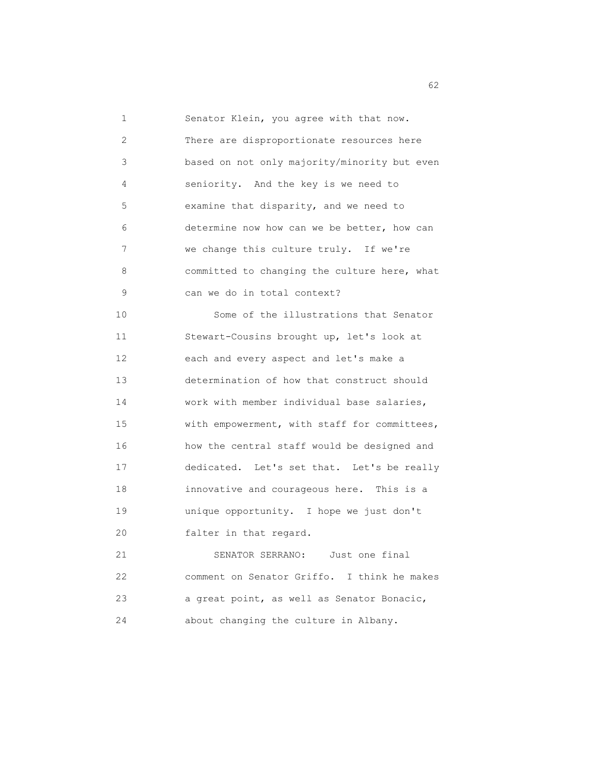1 Senator Klein, you agree with that now. 2 There are disproportionate resources here 3 based on not only majority/minority but even 4 seniority. And the key is we need to 5 examine that disparity, and we need to 6 determine now how can we be better, how can 7 we change this culture truly. If we're 8 committed to changing the culture here, what 9 can we do in total context? 10 Some of the illustrations that Senator 11 Stewart-Cousins brought up, let's look at 12 each and every aspect and let's make a 13 determination of how that construct should 14 work with member individual base salaries, 15 with empowerment, with staff for committees, 16 how the central staff would be designed and 17 dedicated. Let's set that. Let's be really 18 innovative and courageous here. This is a 19 unique opportunity. I hope we just don't 20 falter in that regard. 21 SENATOR SERRANO: Just one final 22 comment on Senator Griffo. I think he makes 23 a great point, as well as Senator Bonacic, 24 about changing the culture in Albany.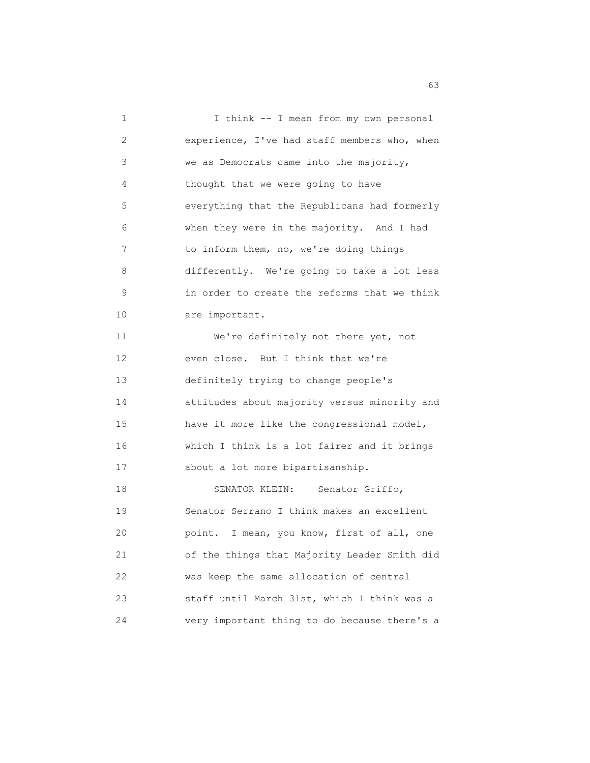| 1  | I think -- I mean from my own personal       |
|----|----------------------------------------------|
| 2  | experience, I've had staff members who, when |
| 3  | we as Democrats came into the majority,      |
| 4  | thought that we were going to have           |
| 5  | everything that the Republicans had formerly |
| 6  | when they were in the majority. And I had    |
| 7  | to inform them, no, we're doing things       |
| 8  | differently. We're going to take a lot less  |
| 9  | in order to create the reforms that we think |
| 10 | are important.                               |
| 11 | We're definitely not there yet, not          |
| 12 | even close. But I think that we're           |
| 13 | definitely trying to change people's         |
| 14 | attitudes about majority versus minority and |
| 15 | have it more like the congressional model,   |
| 16 | which I think is a lot fairer and it brings  |
| 17 | about a lot more bipartisanship.             |
| 18 | SENATOR KLEIN:<br>Senator Griffo,            |
| 19 | Senator Serrano I think makes an excellent   |
| 20 | point. I mean, you know, first of all, one   |
| 21 | of the things that Majority Leader Smith did |
| 22 | was keep the same allocation of central      |
| 23 | staff until March 31st, which I think was a  |
| 24 | very important thing to do because there's a |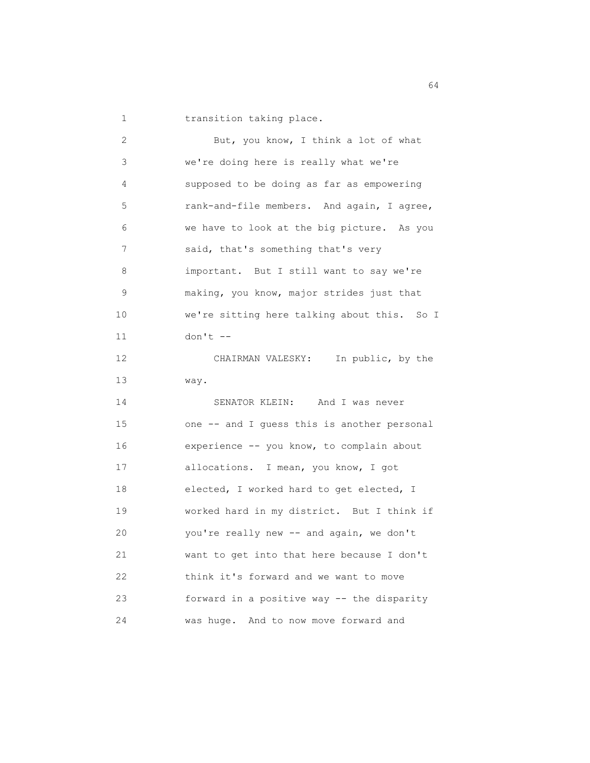1 transition taking place.

| 2  | But, you know, I think a lot of what        |
|----|---------------------------------------------|
| 3  | we're doing here is really what we're       |
| 4  | supposed to be doing as far as empowering   |
| 5  | rank-and-file members. And again, I agree,  |
| 6  | we have to look at the big picture. As you  |
| 7  | said, that's something that's very          |
| 8  | important. But I still want to say we're    |
| 9  | making, you know, major strides just that   |
| 10 | we're sitting here talking about this. So I |
| 11 | $don't --$                                  |
| 12 | CHAIRMAN VALESKY: In public, by the         |
| 13 | way.                                        |
| 14 | SENATOR KLEIN: And I was never              |
| 15 | one -- and I quess this is another personal |
| 16 | experience -- you know, to complain about   |
| 17 | allocations. I mean, you know, I got        |
| 18 | elected, I worked hard to get elected, I    |
| 19 | worked hard in my district. But I think if  |
| 20 | you're really new -- and again, we don't    |
| 21 | want to get into that here because I don't  |
| 22 | think it's forward and we want to move      |
| 23 | forward in a positive way -- the disparity  |
| 24 | was huge. And to now move forward and       |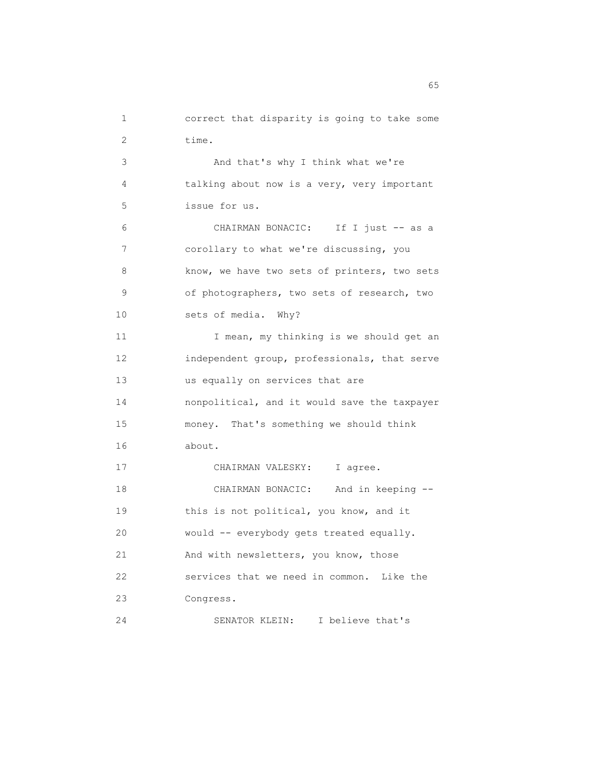1 correct that disparity is going to take some 2 time. 3 And that's why I think what we're 4 talking about now is a very, very important 5 issue for us. 6 CHAIRMAN BONACIC: If I just -- as a 7 corollary to what we're discussing, you 8 know, we have two sets of printers, two sets 9 of photographers, two sets of research, two 10 sets of media. Why? 11 I mean, my thinking is we should get an 12 independent group, professionals, that serve 13 us equally on services that are 14 nonpolitical, and it would save the taxpayer 15 money. That's something we should think 16 about. 17 CHAIRMAN VALESKY: I agree. 18 CHAIRMAN BONACIC: And in keeping -- 19 this is not political, you know, and it 20 would -- everybody gets treated equally. 21 And with newsletters, you know, those 22 services that we need in common. Like the 23 Congress. 24 SENATOR KLEIN: I believe that's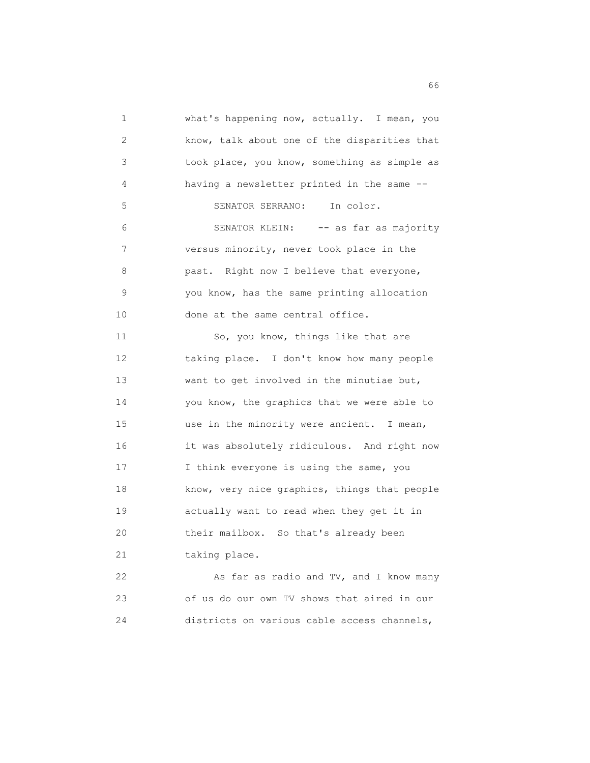1 what's happening now, actually. I mean, you 2 know, talk about one of the disparities that 3 took place, you know, something as simple as 4 having a newsletter printed in the same -- 5 SENATOR SERRANO: In color. 6 SENATOR KLEIN: -- as far as majority 7 versus minority, never took place in the 8 **past.** Right now I believe that everyone, 9 you know, has the same printing allocation 10 done at the same central office. 11 So, you know, things like that are 12 taking place. I don't know how many people 13 want to get involved in the minutiae but, 14 you know, the graphics that we were able to 15 use in the minority were ancient. I mean, 16 it was absolutely ridiculous. And right now 17 I think everyone is using the same, you 18 know, very nice graphics, things that people 19 actually want to read when they get it in 20 their mailbox. So that's already been 21 taking place. 22 As far as radio and TV, and I know many 23 of us do our own TV shows that aired in our

24 districts on various cable access channels,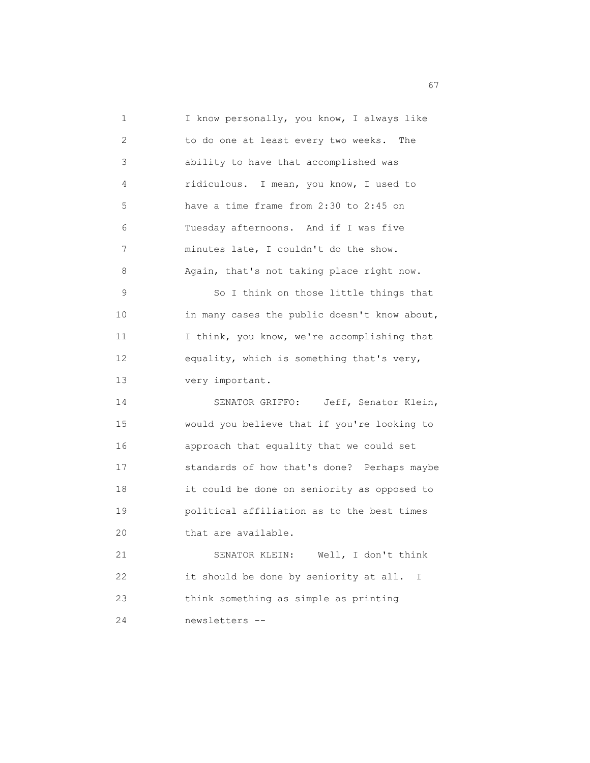1 I know personally, you know, I always like 2 to do one at least every two weeks. The 3 ability to have that accomplished was 4 ridiculous. I mean, you know, I used to 5 have a time frame from 2:30 to 2:45 on 6 Tuesday afternoons. And if I was five 7 minutes late, I couldn't do the show. 8 Again, that's not taking place right now. 9 So I think on those little things that 10 in many cases the public doesn't know about, 11 I think, you know, we're accomplishing that 12 equality, which is something that's very, 13 very important. 14 SENATOR GRIFFO: Jeff, Senator Klein, 15 would you believe that if you're looking to 16 approach that equality that we could set 17 standards of how that's done? Perhaps maybe 18 it could be done on seniority as opposed to 19 political affiliation as to the best times 20 that are available. 21 SENATOR KLEIN: Well, I don't think 22 it should be done by seniority at all. I 23 think something as simple as printing 24 newsletters --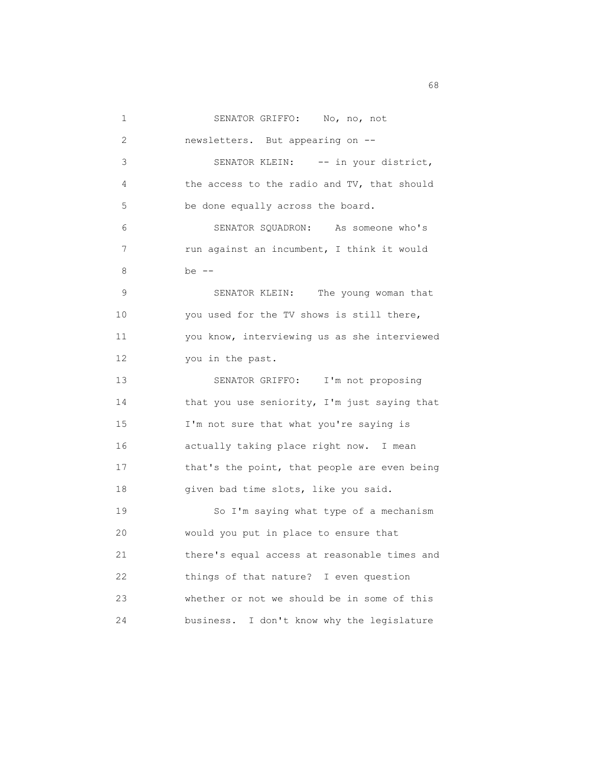| 1  | SENATOR GRIFFO: No, no, not                   |
|----|-----------------------------------------------|
| 2  | newsletters. But appearing on --              |
| 3  | SENATOR KLEIN: -- in your district,           |
| 4  | the access to the radio and TV, that should   |
| 5  | be done equally across the board.             |
| 6  | SENATOR SQUADRON: As someone who's            |
| 7  | run against an incumbent, I think it would    |
| 8  | be --                                         |
| 9  | SENATOR KLEIN: The young woman that           |
| 10 | you used for the TV shows is still there,     |
| 11 | you know, interviewing us as she interviewed  |
| 12 | you in the past.                              |
| 13 | SENATOR GRIFFO: I'm not proposing             |
| 14 | that you use seniority, I'm just saying that  |
| 15 | I'm not sure that what you're saying is       |
| 16 | actually taking place right now. I mean       |
| 17 | that's the point, that people are even being  |
| 18 | given bad time slots, like you said.          |
| 19 | So I'm saying what type of a mechanism        |
| 20 | would you put in place to ensure that         |
| 21 | there's equal access at reasonable times and  |
| 22 | things of that nature? I even question        |
| 23 | whether or not we should be in some of this   |
| 24 | business.<br>I don't know why the legislature |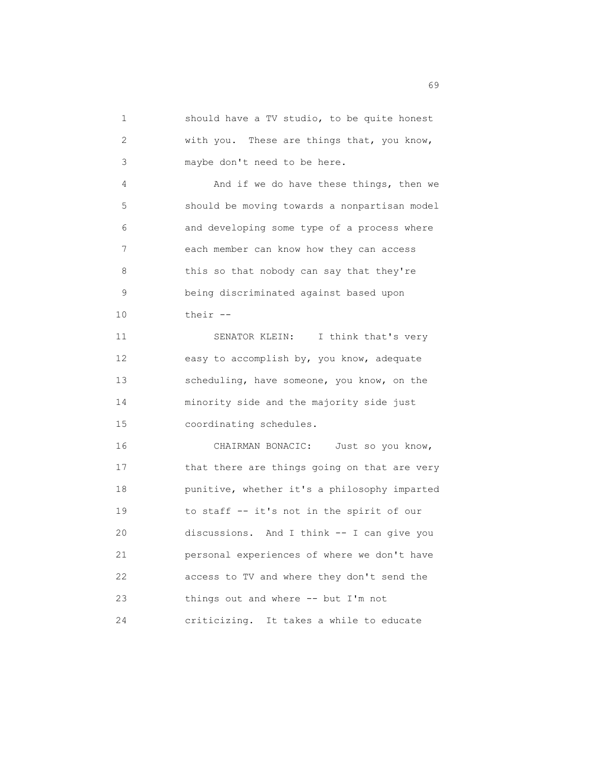1 should have a TV studio, to be quite honest 2 with you. These are things that, you know, 3 maybe don't need to be here. 4 And if we do have these things, then we 5 should be moving towards a nonpartisan model 6 and developing some type of a process where 7 each member can know how they can access 8 this so that nobody can say that they're 9 being discriminated against based upon 10 their -- 11 SENATOR KLEIN: I think that's very 12 easy to accomplish by, you know, adequate 13 scheduling, have someone, you know, on the 14 minority side and the majority side just 15 coordinating schedules. 16 CHAIRMAN BONACIC: Just so you know, 17 that there are things going on that are very 18 punitive, whether it's a philosophy imparted 19 to staff -- it's not in the spirit of our 20 discussions. And I think -- I can give you 21 personal experiences of where we don't have 22 access to TV and where they don't send the 23 things out and where -- but I'm not 24 criticizing. It takes a while to educate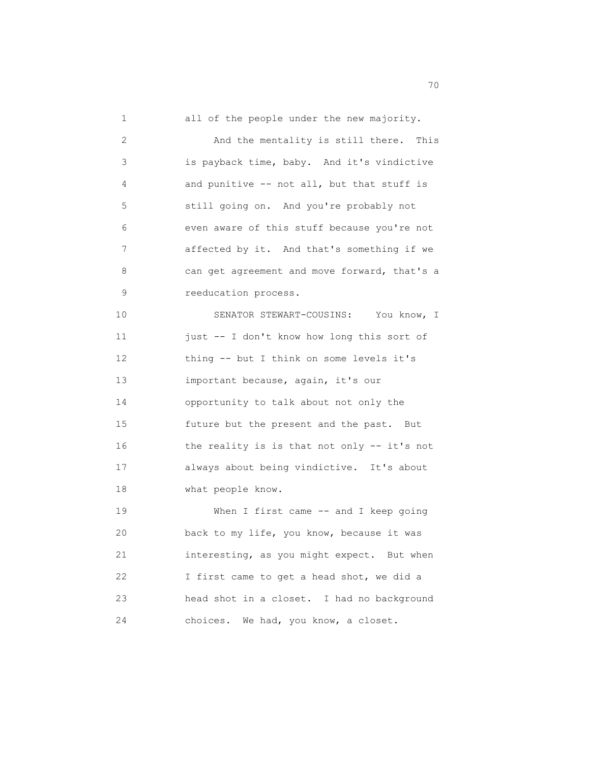1 all of the people under the new majority. 2 And the mentality is still there. This 3 is payback time, baby. And it's vindictive 4 and punitive -- not all, but that stuff is 5 still going on. And you're probably not 6 even aware of this stuff because you're not 7 affected by it. And that's something if we 8 can get agreement and move forward, that's a 9 reeducation process. 10 SENATOR STEWART-COUSINS: You know, I 11 just -- I don't know how long this sort of 12 thing -- but I think on some levels it's 13 important because, again, it's our 14 opportunity to talk about not only the 15 future but the present and the past. But 16 the reality is is that not only -- it's not 17 always about being vindictive. It's about 18 what people know. 19 When I first came -- and I keep going 20 back to my life, you know, because it was 21 interesting, as you might expect. But when 22 I first came to get a head shot, we did a 23 head shot in a closet. I had no background 24 choices. We had, you know, a closet.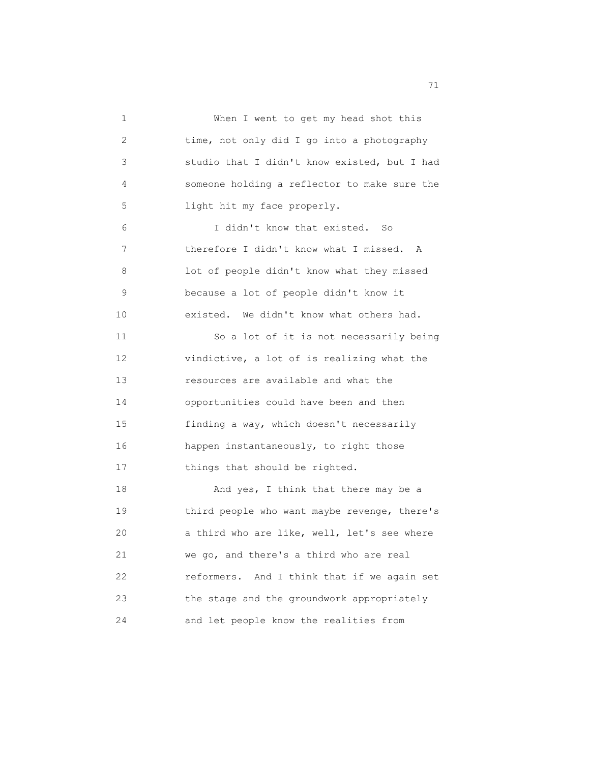1 When I went to get my head shot this 2 time, not only did I go into a photography 3 studio that I didn't know existed, but I had 4 someone holding a reflector to make sure the 5 light hit my face properly. 6 I didn't know that existed. So 7 therefore I didn't know what I missed. A 8 lot of people didn't know what they missed 9 because a lot of people didn't know it 10 existed. We didn't know what others had. 11 So a lot of it is not necessarily being 12 vindictive, a lot of is realizing what the 13 resources are available and what the 14 opportunities could have been and then 15 finding a way, which doesn't necessarily 16 happen instantaneously, to right those 17 things that should be righted. 18 And yes, I think that there may be a 19 third people who want maybe revenge, there's 20 a third who are like, well, let's see where 21 we go, and there's a third who are real 22 reformers. And I think that if we again set 23 the stage and the groundwork appropriately 24 and let people know the realities from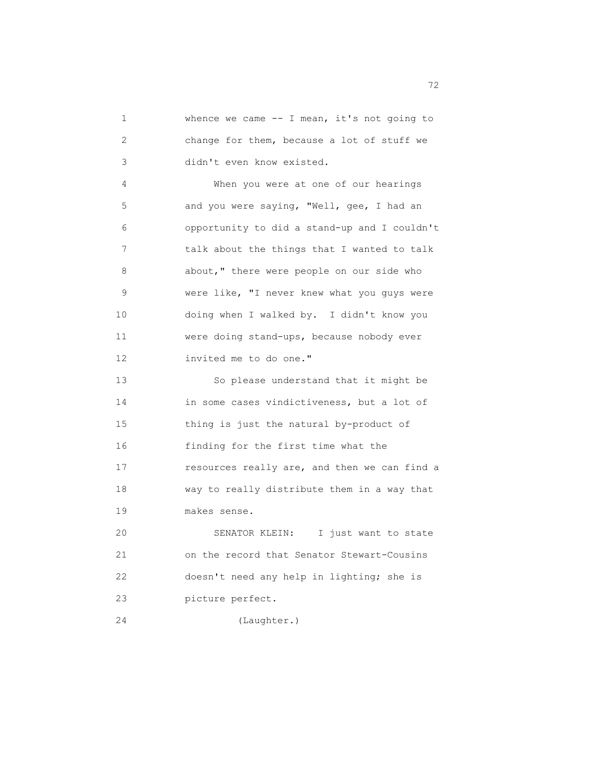1 whence we came -- I mean, it's not going to 2 change for them, because a lot of stuff we 3 didn't even know existed. 4 When you were at one of our hearings 5 and you were saying, "Well, gee, I had an 6 opportunity to did a stand-up and I couldn't 7 talk about the things that I wanted to talk 8 about," there were people on our side who 9 were like, "I never knew what you guys were 10 doing when I walked by. I didn't know you 11 were doing stand-ups, because nobody ever 12 invited me to do one." 13 So please understand that it might be 14 in some cases vindictiveness, but a lot of 15 thing is just the natural by-product of 16 finding for the first time what the 17 resources really are, and then we can find a 18 way to really distribute them in a way that 19 makes sense. 20 SENATOR KLEIN: I just want to state

 21 on the record that Senator Stewart-Cousins 22 doesn't need any help in lighting; she is 23 picture perfect.

24 (Laughter.)

ли в село в село в село в село в село в село в село в село в село в село в село в село в село в село в село в<br>22 de enero de 1920 e 1920 e 1920 e 1920 e 1920 e 1920 e 1920 e 1920 e 1920 e 1920 e 1920 e 1920 e 1920 e 1920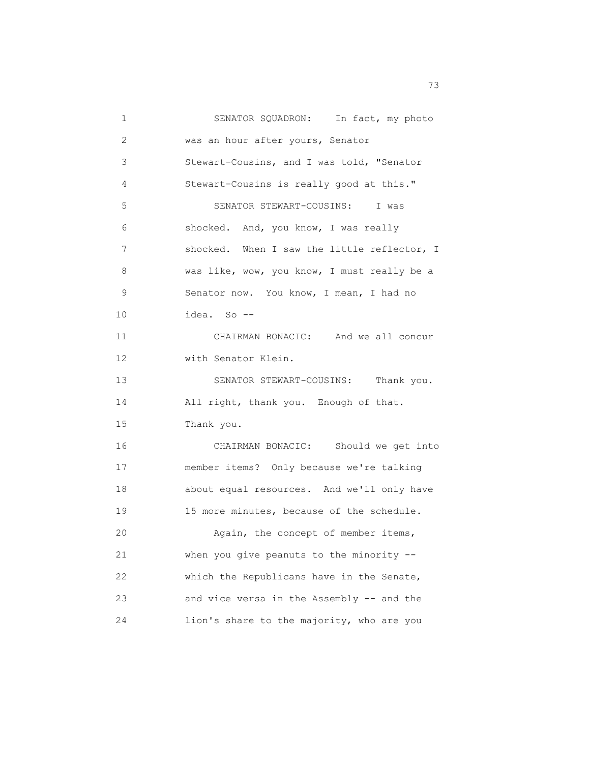| $\mathbf{1}$ | SENATOR SQUADRON: In fact, my photo         |
|--------------|---------------------------------------------|
| 2            | was an hour after yours, Senator            |
| 3            | Stewart-Cousins, and I was told, "Senator   |
| 4            | Stewart-Cousins is really good at this."    |
| 5            | SENATOR STEWART-COUSINS: I was              |
| 6            | shocked. And, you know, I was really        |
| 7            | shocked. When I saw the little reflector, I |
| 8            | was like, wow, you know, I must really be a |
| 9            | Senator now. You know, I mean, I had no     |
| 10           | idea. So --                                 |
| 11           | CHAIRMAN BONACIC: And we all concur         |
| 12           | with Senator Klein.                         |
| 13           | SENATOR STEWART-COUSINS: Thank you.         |
| 14           | All right, thank you. Enough of that.       |
| 15           | Thank you.                                  |
| 16           | CHAIRMAN BONACIC: Should we get into        |
| 17           | member items? Only because we're talking    |
| 18           | about equal resources. And we'll only have  |
| 19           | 15 more minutes, because of the schedule.   |
| 20           | Again, the concept of member items,         |
| 21           | when you give peanuts to the minority --    |
| 22           | which the Republicans have in the Senate,   |
| 23           | and vice versa in the Assembly -- and the   |
| 24           | lion's share to the majority, who are you   |

<u>73</u>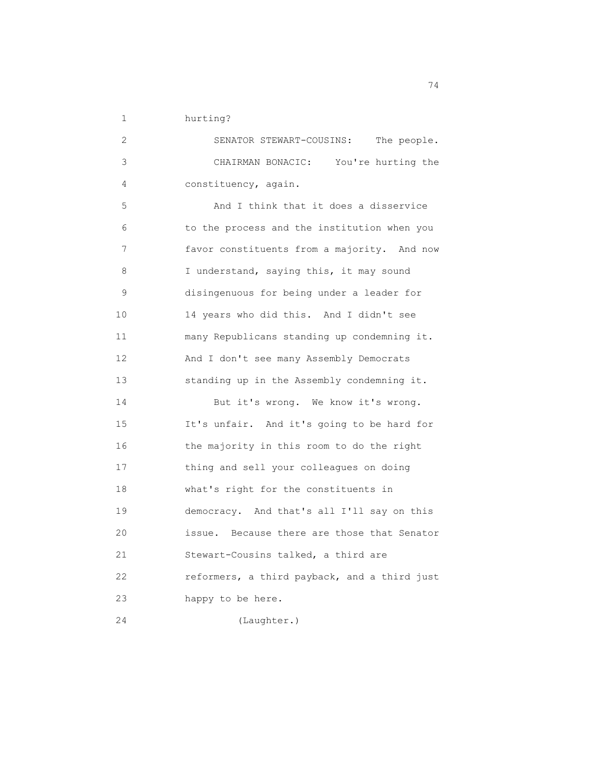1 hurting?

| 2  | SENATOR STEWART-COUSINS: The people.         |
|----|----------------------------------------------|
| 3  | CHAIRMAN BONACIC: You're hurting the         |
| 4  | constituency, again.                         |
| 5  | And I think that it does a disservice        |
| 6  | to the process and the institution when you  |
| 7  | favor constituents from a majority. And now  |
| 8  | I understand, saying this, it may sound      |
| 9  | disingenuous for being under a leader for    |
| 10 | 14 years who did this. And I didn't see      |
| 11 | many Republicans standing up condemning it.  |
| 12 | And I don't see many Assembly Democrats      |
| 13 | standing up in the Assembly condemning it.   |
| 14 | But it's wrong. We know it's wrong.          |
| 15 | It's unfair. And it's going to be hard for   |
| 16 | the majority in this room to do the right    |
| 17 | thing and sell your colleagues on doing      |
| 18 | what's right for the constituents in         |
| 19 | democracy. And that's all I'll say on this   |
| 20 | issue. Because there are those that Senator  |
| 21 | Stewart-Cousins talked, a third are          |
| 22 | reformers, a third payback, and a third just |
| 23 | happy to be here.                            |
| 24 | (Laughter.)                                  |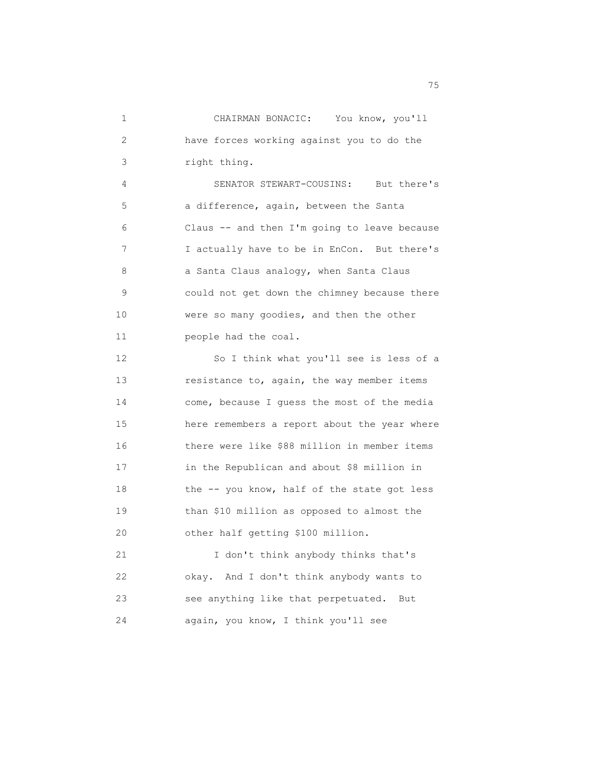1 CHAIRMAN BONACIC: You know, you'll 2 have forces working against you to do the 3 right thing. 4 SENATOR STEWART-COUSINS: But there's 5 a difference, again, between the Santa 6 Claus -- and then I'm going to leave because 7 I actually have to be in EnCon. But there's 8 a Santa Claus analogy, when Santa Claus 9 could not get down the chimney because there 10 were so many goodies, and then the other 11 people had the coal. 12 So I think what you'll see is less of a 13 resistance to, again, the way member items 14 come, because I guess the most of the media 15 here remembers a report about the year where 16 there were like \$88 million in member items 17 in the Republican and about \$8 million in 18 the -- you know, half of the state got less 19 than \$10 million as opposed to almost the 20 other half getting \$100 million. 21 I don't think anybody thinks that's 22 okay. And I don't think anybody wants to 23 see anything like that perpetuated. But 24 again, you know, I think you'll see

na matsay na matsay na katalog as na mga 1950. Ang isang mga 1950 na mga 1950 na mga 1950 na mga 1950 na mga 1<br>Mga 1950 na mga 1950 na mga 1950 na mga 1950 na mga 1950 na mga 1950 na mga 1950 na mga 1950 na mga 1950 na mg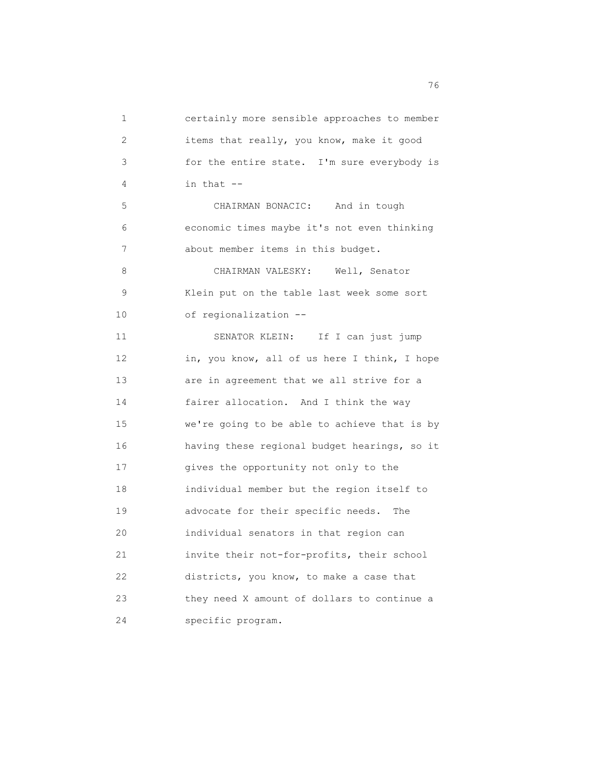1 certainly more sensible approaches to member 2 items that really, you know, make it good 3 for the entire state. I'm sure everybody is 4 in that -- 5 CHAIRMAN BONACIC: And in tough 6 economic times maybe it's not even thinking 7 about member items in this budget. 8 CHAIRMAN VALESKY: Well, Senator 9 Klein put on the table last week some sort 10 of regionalization -- 11 SENATOR KLEIN: If I can just jump 12 in, you know, all of us here I think, I hope 13 are in agreement that we all strive for a 14 fairer allocation. And I think the way 15 we're going to be able to achieve that is by 16 having these regional budget hearings, so it 17 gives the opportunity not only to the 18 individual member but the region itself to 19 advocate for their specific needs. The 20 individual senators in that region can 21 invite their not-for-profits, their school 22 districts, you know, to make a case that 23 they need X amount of dollars to continue a 24 specific program.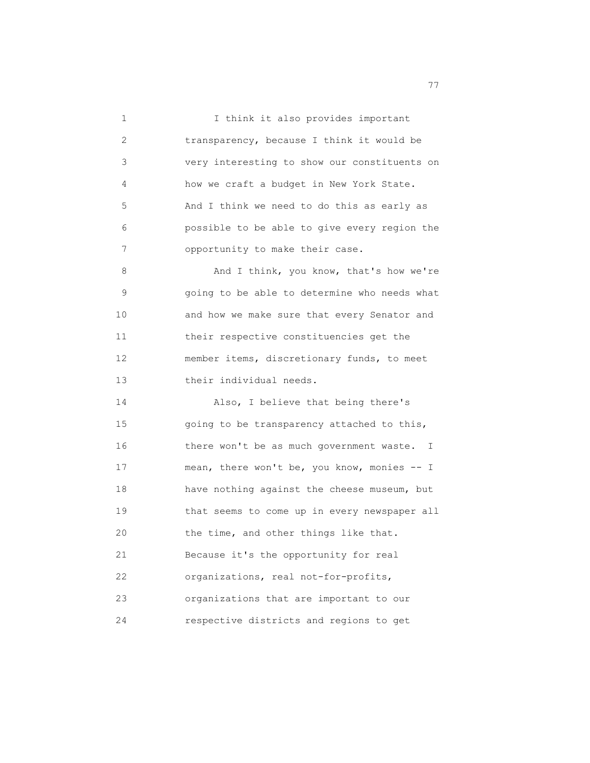1 I think it also provides important 2 transparency, because I think it would be 3 very interesting to show our constituents on 4 how we craft a budget in New York State. 5 And I think we need to do this as early as 6 possible to be able to give every region the 7 opportunity to make their case. 8 And I think, you know, that's how we're 9 going to be able to determine who needs what 10 and how we make sure that every Senator and 11 their respective constituencies get the 12 member items, discretionary funds, to meet 13 their individual needs. 14 Also, I believe that being there's 15 going to be transparency attached to this, 16 there won't be as much government waste. I 17 mean, there won't be, you know, monies -- I 18 have nothing against the cheese museum, but 19 that seems to come up in every newspaper all 20 the time, and other things like that. 21 Because it's the opportunity for real 22 organizations, real not-for-profits, 23 organizations that are important to our 24 respective districts and regions to get

ли в село в село в село в село в село в село в село в село в село в село в село в село в село в село в село в<br>После в село в село в село в село в село в село в село в село в село в село в село в село в село в село в село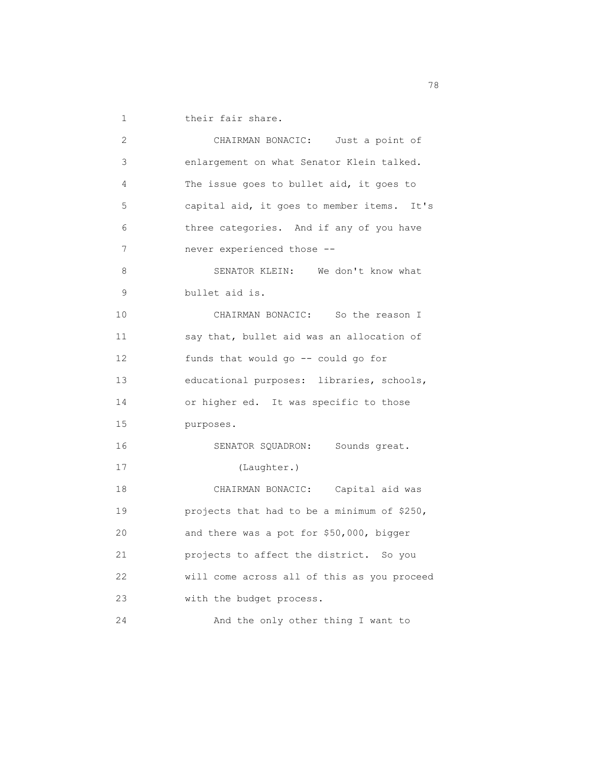1 their fair share.

| 2  | CHAIRMAN BONACIC: Just a point of           |
|----|---------------------------------------------|
| 3  | enlargement on what Senator Klein talked.   |
| 4  | The issue goes to bullet aid, it goes to    |
| 5  | capital aid, it goes to member items. It's  |
| 6  | three categories. And if any of you have    |
| 7  | never experienced those --                  |
| 8  | SENATOR KLEIN: We don't know what           |
| 9  | bullet aid is.                              |
| 10 | CHAIRMAN BONACIC: So the reason I           |
| 11 | say that, bullet aid was an allocation of   |
| 12 | funds that would go -- could go for         |
| 13 | educational purposes: libraries, schools,   |
| 14 | or higher ed. It was specific to those      |
| 15 | purposes.                                   |
| 16 | SENATOR SQUADRON: Sounds great.             |
| 17 | (Laughter.)                                 |
| 18 | CHAIRMAN BONACIC: Capital aid was           |
| 19 | projects that had to be a minimum of \$250, |
| 20 | and there was a pot for \$50,000, bigger    |
| 21 | projects to affect the district. So you     |
| 22 | will come across all of this as you proceed |
| 23 | with the budget process.                    |
| 24 | And the only other thing I want to          |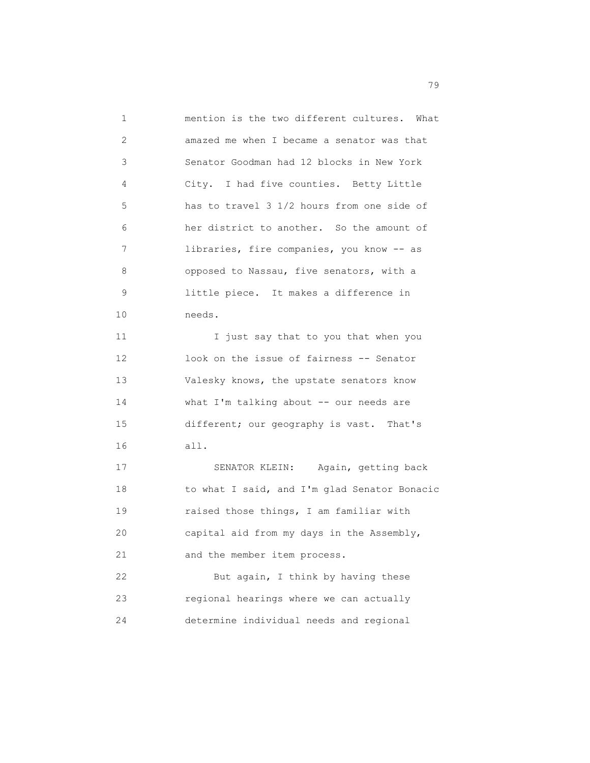| $\mathbf{1}$ | mention is the two different cultures. What  |
|--------------|----------------------------------------------|
| 2            | amazed me when I became a senator was that   |
| 3            | Senator Goodman had 12 blocks in New York    |
| 4            | City. I had five counties. Betty Little      |
| 5            | has to travel 3 1/2 hours from one side of   |
| 6            | her district to another. So the amount of    |
| 7            | libraries, fire companies, you know -- as    |
| 8            | opposed to Nassau, five senators, with a     |
| 9            | little piece. It makes a difference in       |
| 10           | needs.                                       |
| 11           | I just say that to you that when you         |
| 12           | look on the issue of fairness -- Senator     |
| 13           | Valesky knows, the upstate senators know     |
| 14           | what I'm talking about $--$ our needs are    |
| 15           | different; our geography is vast. That's     |
| 16           | all.                                         |
| 17           | SENATOR KLEIN: Again, getting back           |
| 18           | to what I said, and I'm glad Senator Bonacic |
| 19           | raised those things, I am familiar with      |
| 20           | capital aid from my days in the Assembly,    |
| 21           | and the member item process.                 |
| 22           | But again, I think by having these           |
| 23           | regional hearings where we can actually      |
| 24           | determine individual needs and regional      |

na matsayan na katalog as na karang sa mga 1990. Ang isang mga 1990 na mga 1990 na mga 1990 na mga 1990 na mga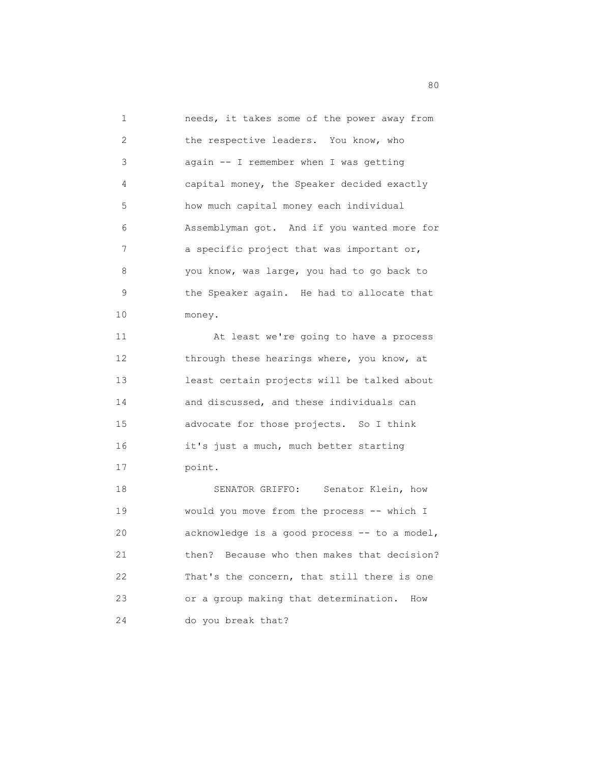1 needs, it takes some of the power away from 2 the respective leaders. You know, who 3 again -- I remember when I was getting 4 capital money, the Speaker decided exactly 5 how much capital money each individual 6 Assemblyman got. And if you wanted more for 7 a specific project that was important or, 8 you know, was large, you had to go back to 9 the Speaker again. He had to allocate that 10 money. 11 At least we're going to have a process

12 through these hearings where, you know, at 13 least certain projects will be talked about 14 and discussed, and these individuals can 15 advocate for those projects. So I think 16 it's just a much, much better starting 17 point.

18 SENATOR GRIFFO: Senator Klein, how 19 would you move from the process -- which I 20 acknowledge is a good process -- to a model, 21 then? Because who then makes that decision? 22 That's the concern, that still there is one 23 or a group making that determination. How 24 do you break that?

en de la construction de la construction de la construction de la construction de la construction de la constr<br>1980 : le construction de la construction de la construction de la construction de la construction de la const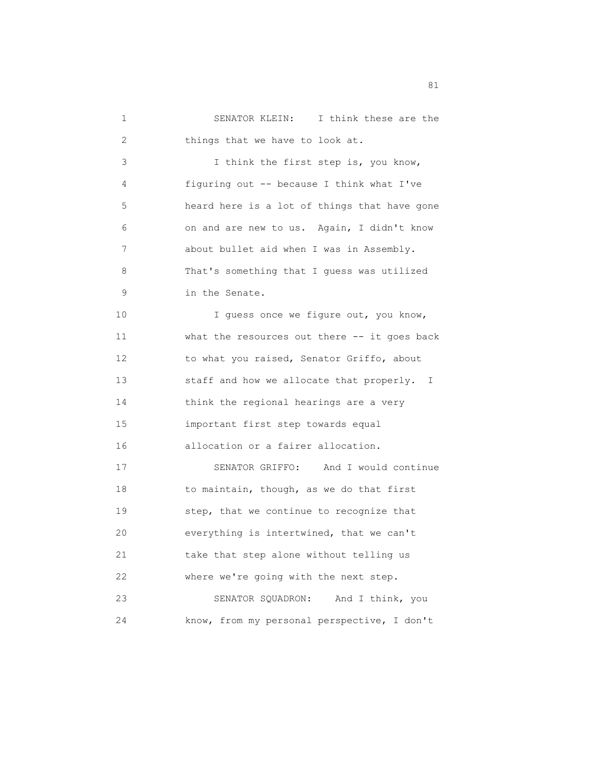1 SENATOR KLEIN: I think these are the 2 things that we have to look at. 3 I think the first step is, you know, 4 figuring out -- because I think what I've 5 heard here is a lot of things that have gone 6 on and are new to us. Again, I didn't know 7 about bullet aid when I was in Assembly. 8 That's something that I guess was utilized 9 in the Senate. 10 I guess once we figure out, you know, 11 what the resources out there -- it goes back 12 to what you raised, Senator Griffo, about 13 staff and how we allocate that properly. I 14 think the regional hearings are a very 15 important first step towards equal 16 allocation or a fairer allocation. 17 SENATOR GRIFFO: And I would continue 18 to maintain, though, as we do that first 19 step, that we continue to recognize that 20 everything is intertwined, that we can't 21 take that step alone without telling us 22 where we're going with the next step. 23 SENATOR SQUADRON: And I think, you 24 know, from my personal perspective, I don't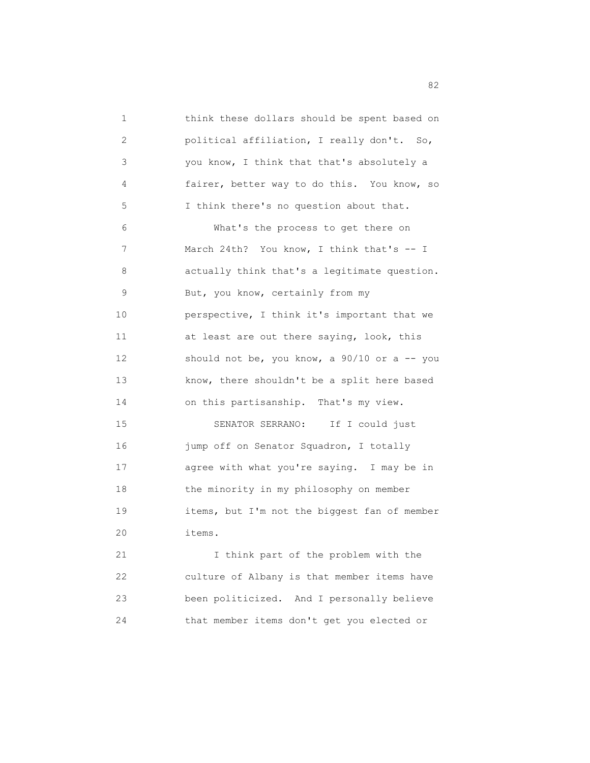1 think these dollars should be spent based on 2 political affiliation, I really don't. So, 3 you know, I think that that's absolutely a 4 fairer, better way to do this. You know, so 5 I think there's no question about that. 6 What's the process to get there on 7 March 24th? You know, I think that's -- I 8 actually think that's a legitimate question. 9 But, you know, certainly from my 10 perspective, I think it's important that we 11 at least are out there saying, look, this 12 should not be, you know, a 90/10 or a -- you 13 know, there shouldn't be a split here based 14 on this partisanship. That's my view. 15 SENATOR SERRANO: If I could just 16 jump off on Senator Squadron, I totally 17 agree with what you're saying. I may be in 18 the minority in my philosophy on member 19 items, but I'm not the biggest fan of member 20 items. 21 I think part of the problem with the 22 culture of Albany is that member items have

 23 been politicized. And I personally believe 24 that member items don't get you elected or

experience of the contract of the contract of the contract of the contract of the contract of the contract of the contract of the contract of the contract of the contract of the contract of the contract of the contract of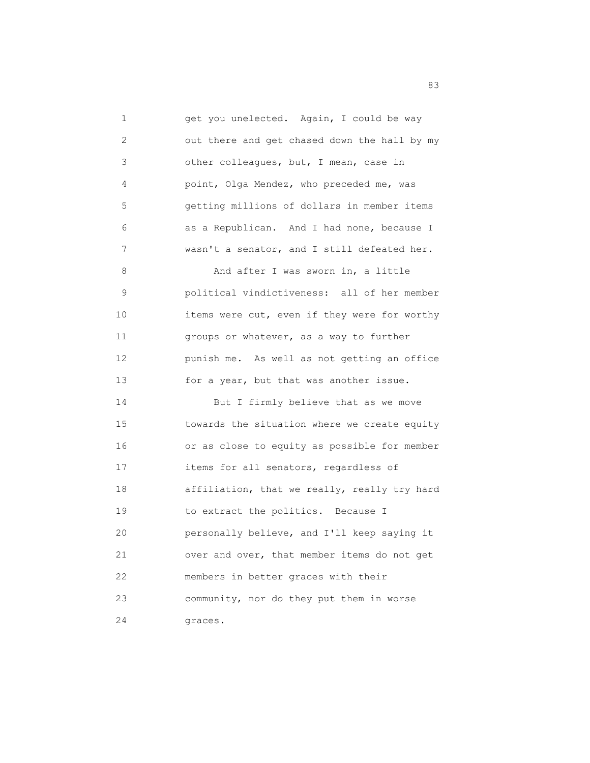1 get you unelected. Again, I could be way 2 out there and get chased down the hall by my 3 other colleagues, but, I mean, case in 4 point, Olga Mendez, who preceded me, was 5 getting millions of dollars in member items 6 as a Republican. And I had none, because I 7 wasn't a senator, and I still defeated her. 8 And after I was sworn in, a little 9 political vindictiveness: all of her member 10 items were cut, even if they were for worthy 11 groups or whatever, as a way to further 12 punish me. As well as not getting an office 13 for a year, but that was another issue. 14 But I firmly believe that as we move 15 towards the situation where we create equity 16 or as close to equity as possible for member 17 items for all senators, regardless of 18 affiliation, that we really, really try hard

 19 to extract the politics. Because I 20 personally believe, and I'll keep saying it 21 over and over, that member items do not get 22 members in better graces with their 23 community, nor do they put them in worse 24 graces.

en 1982 en 1983 en 1983 en 1983 en 1984 en 1984 en 1984 en 1984 en 1984 en 1984 en 1984 en 1984 en 1984 en 19<br>Segonioù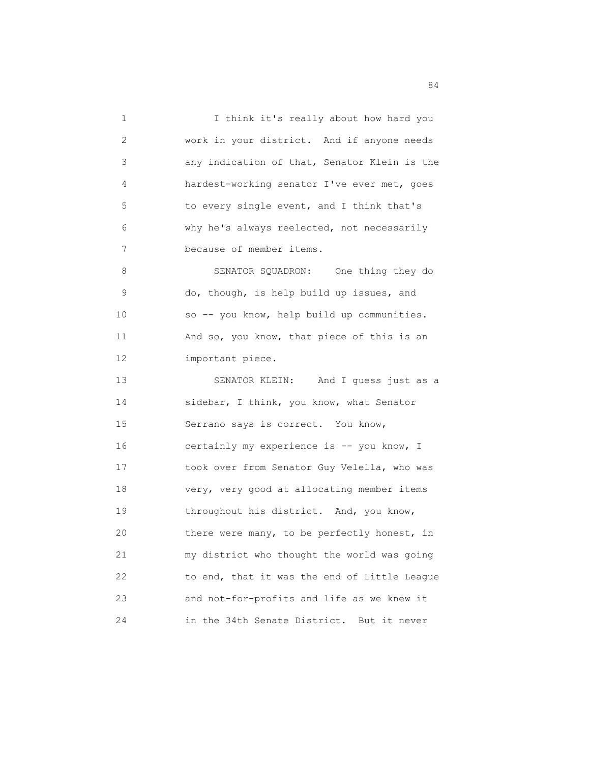1 I think it's really about how hard you 2 work in your district. And if anyone needs 3 any indication of that, Senator Klein is the 4 hardest-working senator I've ever met, goes 5 to every single event, and I think that's 6 why he's always reelected, not necessarily 7 because of member items. 8 SENATOR SQUADRON: One thing they do 9 do, though, is help build up issues, and 10 so -- you know, help build up communities. 11 And so, you know, that piece of this is an 12 important piece. 13 SENATOR KLEIN: And I guess just as a 14 sidebar, I think, you know, what Senator 15 Serrano says is correct. You know, 16 certainly my experience is -- you know, I 17 took over from Senator Guy Velella, who was 18 very, very good at allocating member items 19 throughout his district. And, you know, 20 there were many, to be perfectly honest, in 21 my district who thought the world was going 22 to end, that it was the end of Little League 23 and not-for-profits and life as we knew it 24 in the 34th Senate District. But it never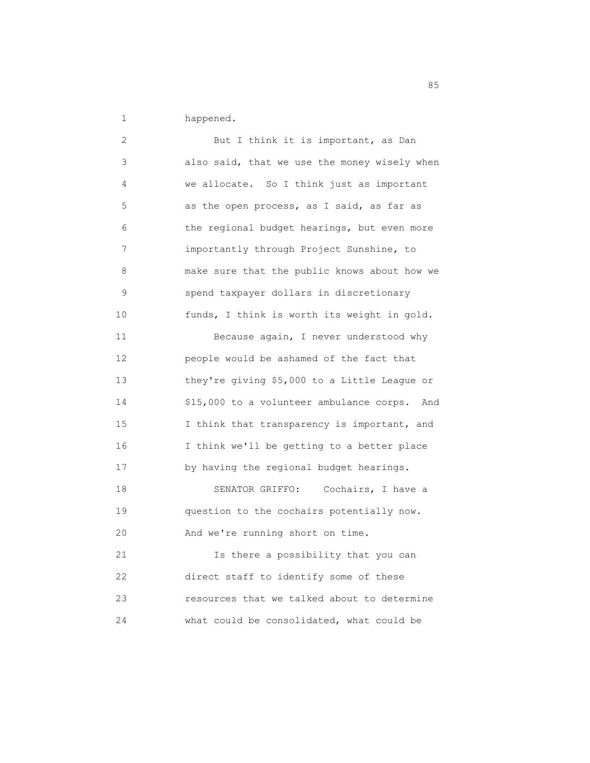1 happened.

| 2  | But I think it is important, as Dan          |
|----|----------------------------------------------|
| 3  | also said, that we use the money wisely when |
| 4  | we allocate. So I think just as important    |
| 5  | as the open process, as I said, as far as    |
| 6  | the regional budget hearings, but even more  |
| 7  | importantly through Project Sunshine, to     |
| 8  | make sure that the public knows about how we |
| 9  | spend taxpayer dollars in discretionary      |
| 10 | funds, I think is worth its weight in gold.  |
| 11 | Because again, I never understood why        |
| 12 | people would be ashamed of the fact that     |
| 13 | they're giving \$5,000 to a Little League or |
| 14 | \$15,000 to a volunteer ambulance corps. And |
| 15 | I think that transparency is important, and  |
| 16 | I think we'll be getting to a better place   |
| 17 | by having the regional budget hearings.      |
| 18 | SENATOR GRIFFO:<br>Cochairs, I have a        |
| 19 | question to the cochairs potentially now.    |
| 20 | And we're running short on time.             |
| 21 | Is there a possibility that you can          |
| 22 | direct staff to identify some of these       |
| 23 | resources that we talked about to determine  |
| 24 | what could be consolidated, what could be    |

<u>85 September 2005 September 2005 September 2005 September 2005 September 2005 September 2005 September 2005 S</u>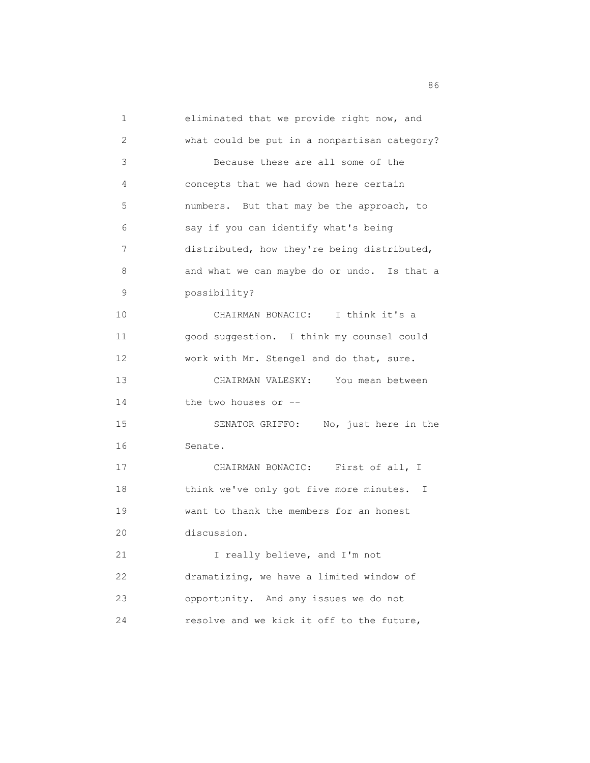1 eliminated that we provide right now, and 2 what could be put in a nonpartisan category? 3 Because these are all some of the 4 concepts that we had down here certain 5 numbers. But that may be the approach, to 6 say if you can identify what's being 7 distributed, how they're being distributed, 8 and what we can maybe do or undo. Is that a 9 possibility? 10 CHAIRMAN BONACIC: I think it's a 11 good suggestion. I think my counsel could 12 work with Mr. Stengel and do that, sure. 13 CHAIRMAN VALESKY: You mean between 14 the two houses or -- 15 SENATOR GRIFFO: No, just here in the 16 Senate. 17 CHAIRMAN BONACIC: First of all, I 18 think we've only got five more minutes. I 19 want to thank the members for an honest 20 discussion. 21 I really believe, and I'm not 22 dramatizing, we have a limited window of 23 opportunity. And any issues we do not 24 resolve and we kick it off to the future,

<u>86 and 2001 and 2002 and 2003 and 2003 and 2003 and 2003 and 2003 and 2003 and 2003</u>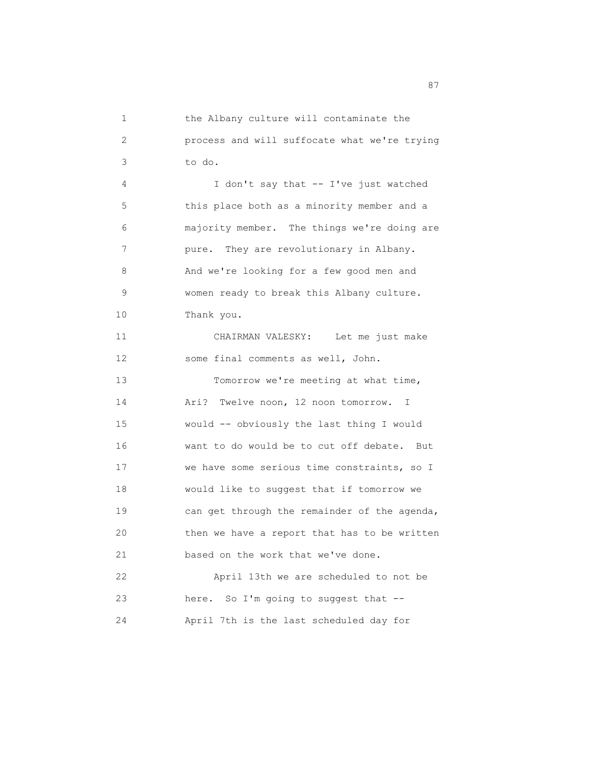1 the Albany culture will contaminate the 2 process and will suffocate what we're trying 3 to do. 4 I don't say that -- I've just watched 5 this place both as a minority member and a 6 majority member. The things we're doing are 7 pure. They are revolutionary in Albany. 8 And we're looking for a few good men and 9 women ready to break this Albany culture. 10 Thank you. 11 CHAIRMAN VALESKY: Let me just make 12 some final comments as well, John. 13 Tomorrow we're meeting at what time, 14 Ari? Twelve noon, 12 noon tomorrow. I 15 would -- obviously the last thing I would 16 want to do would be to cut off debate. But 17 we have some serious time constraints, so I 18 would like to suggest that if tomorrow we 19 can get through the remainder of the agenda, 20 then we have a report that has to be written 21 based on the work that we've done. 22 April 13th we are scheduled to not be 23 here. So I'm going to suggest that -- 24 April 7th is the last scheduled day for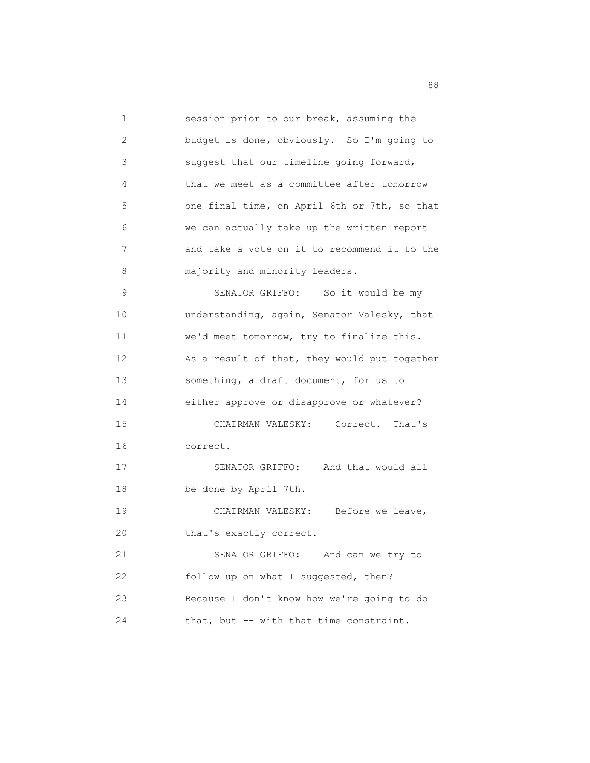1 session prior to our break, assuming the 2 budget is done, obviously. So I'm going to 3 suggest that our timeline going forward, 4 that we meet as a committee after tomorrow 5 one final time, on April 6th or 7th, so that 6 we can actually take up the written report 7 and take a vote on it to recommend it to the 8 majority and minority leaders. 9 SENATOR GRIFFO: So it would be my 10 understanding, again, Senator Valesky, that 11 we'd meet tomorrow, try to finalize this. 12 As a result of that, they would put together 13 something, a draft document, for us to 14 either approve or disapprove or whatever? 15 CHAIRMAN VALESKY: Correct. That's 16 correct. 17 SENATOR GRIFFO: And that would all 18 be done by April 7th. 19 CHAIRMAN VALESKY: Before we leave, 20 that's exactly correct. 21 SENATOR GRIFFO: And can we try to 22 follow up on what I suggested, then? 23 Because I don't know how we're going to do 24 that, but -- with that time constraint.

en de la construction de la construction de la construction de la construction de la construction de la constr<br>1888 : le construction de la construction de la construction de la construction de la construction de la const